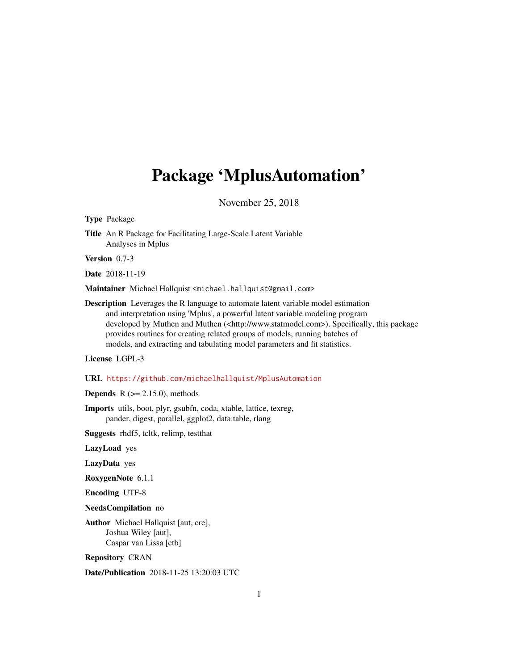# <span id="page-0-0"></span>Package 'MplusAutomation'

November 25, 2018

Type Package

Title An R Package for Facilitating Large-Scale Latent Variable Analyses in Mplus

Version 0.7-3

Date 2018-11-19

Maintainer Michael Hallquist <michael.hallquist@gmail.com>

Description Leverages the R language to automate latent variable model estimation and interpretation using 'Mplus', a powerful latent variable modeling program developed by Muthen and Muthen (<http://www.statmodel.com>). Specifically, this package provides routines for creating related groups of models, running batches of models, and extracting and tabulating model parameters and fit statistics.

License LGPL-3

URL <https://github.com/michaelhallquist/MplusAutomation>

**Depends**  $R$  ( $>= 2.15.0$ ), methods

Imports utils, boot, plyr, gsubfn, coda, xtable, lattice, texreg, pander, digest, parallel, ggplot2, data.table, rlang

Suggests rhdf5, tcltk, relimp, testthat

LazyLoad yes

LazyData yes

RoxygenNote 6.1.1

Encoding UTF-8

NeedsCompilation no

Author Michael Hallquist [aut, cre], Joshua Wiley [aut], Caspar van Lissa [ctb]

Repository CRAN

Date/Publication 2018-11-25 13:20:03 UTC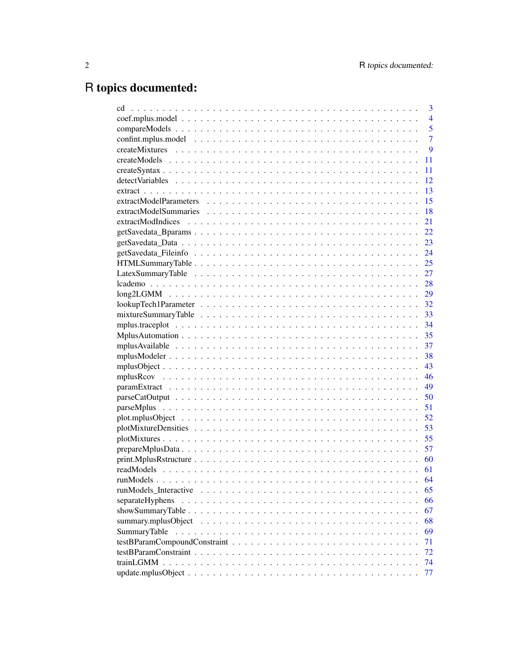# R topics documented:

| cd                                                                                                        | 3              |
|-----------------------------------------------------------------------------------------------------------|----------------|
|                                                                                                           | $\overline{4}$ |
|                                                                                                           | 5              |
|                                                                                                           | $\overline{7}$ |
|                                                                                                           | 9              |
|                                                                                                           | 11             |
|                                                                                                           | 11             |
|                                                                                                           | 12             |
|                                                                                                           | 13             |
|                                                                                                           | 15             |
|                                                                                                           | 18             |
| extractModIndices                                                                                         | 21             |
|                                                                                                           | 22             |
|                                                                                                           | 23             |
|                                                                                                           | 24             |
|                                                                                                           | 25             |
|                                                                                                           | 27             |
|                                                                                                           | 28             |
|                                                                                                           | 29             |
|                                                                                                           | 32             |
| $mixtureSummaryTable \dots \dots \dots \dots \dots \dots \dots \dots \dots \dots \dots \dots \dots \dots$ | 33             |
|                                                                                                           | 34             |
|                                                                                                           | 35             |
|                                                                                                           | 37             |
|                                                                                                           | 38             |
|                                                                                                           | 43             |
|                                                                                                           | 46             |
|                                                                                                           | 49             |
|                                                                                                           | 50             |
|                                                                                                           | 51             |
|                                                                                                           | 52             |
|                                                                                                           | 53             |
|                                                                                                           | 55             |
|                                                                                                           | 57             |
|                                                                                                           | 60             |
|                                                                                                           | 61             |
|                                                                                                           | 64             |
|                                                                                                           | 65             |
| separateHyphens                                                                                           | 66             |
|                                                                                                           | 67             |
|                                                                                                           | 68             |
| SummaryTable                                                                                              | 69             |
|                                                                                                           | 71             |
|                                                                                                           | 72             |
|                                                                                                           | 74             |
|                                                                                                           | 77             |
|                                                                                                           |                |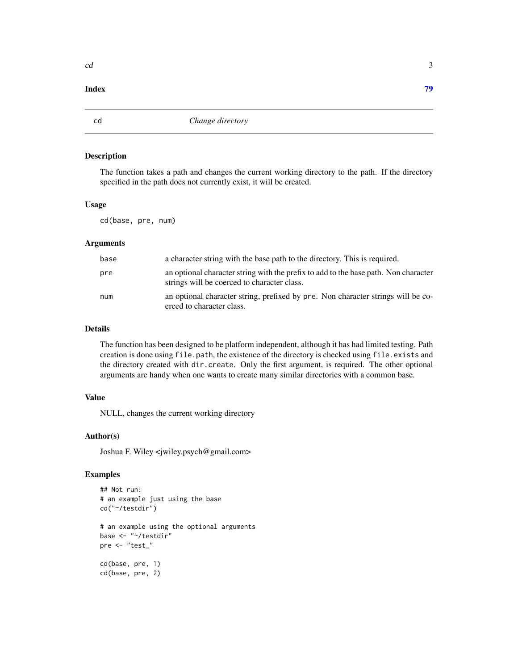## <span id="page-2-0"></span>**Index** [79](#page-78-0)

cd *Change directory*

# Description

The function takes a path and changes the current working directory to the path. If the directory specified in the path does not currently exist, it will be created.

# Usage

cd(base, pre, num)

# **Arguments**

| base | a character string with the base path to the directory. This is required.                                                          |
|------|------------------------------------------------------------------------------------------------------------------------------------|
| pre  | an optional character string with the prefix to add to the base path. Non character<br>strings will be coerced to character class. |
| num  | an optional character string, prefixed by pre. Non character strings will be co-<br>erced to character class.                      |

# Details

The function has been designed to be platform independent, although it has had limited testing. Path creation is done using file.path, the existence of the directory is checked using file.exists and the directory created with dir.create. Only the first argument, is required. The other optional arguments are handy when one wants to create many similar directories with a common base.

#### Value

NULL, changes the current working directory

# Author(s)

Joshua F. Wiley <jwiley.psych@gmail.com>

# Examples

```
## Not run:
# an example just using the base
cd("~/testdir")
# an example using the optional arguments
base <- "~/testdir"
pre <- "test_"
cd(base, pre, 1)
cd(base, pre, 2)
```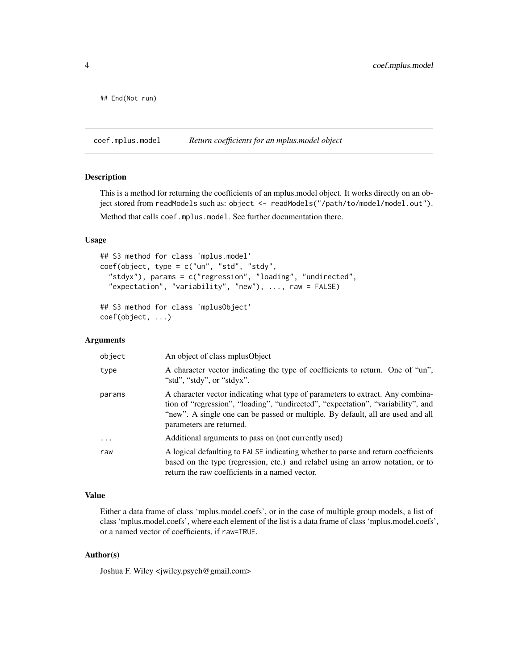<span id="page-3-0"></span>## End(Not run)

<span id="page-3-1"></span>coef.mplus.model *Return coefficients for an mplus.model object*

# Description

This is a method for returning the coefficients of an mplus.model object. It works directly on an object stored from readModels such as: object <- readModels("/path/to/model/model.out").

Method that calls coef.mplus.model. See further documentation there.

# Usage

```
## S3 method for class 'mplus.model'
coef(object, type = c("un", "std", "stdy",
  "stdyx"), params = c("regression", "loading", "undirected",
  "expectation", "variability", "new"), ..., raw = FALSE)
## S3 method for class 'mplusObject'
```

```
coef(object, ...)
```
# Arguments

| object   | An object of class mplus Object                                                                                                                                                                                                                                                   |
|----------|-----------------------------------------------------------------------------------------------------------------------------------------------------------------------------------------------------------------------------------------------------------------------------------|
| type     | A character vector indicating the type of coefficients to return. One of "un",<br>"std", "stdy", or "stdyx".                                                                                                                                                                      |
| params   | A character vector indicating what type of parameters to extract. Any combina-<br>tion of "regression", "loading", "undirected", "expectation", "variability", and<br>"new". A single one can be passed or multiple. By default, all are used and all<br>parameters are returned. |
| $\cdots$ | Additional arguments to pass on (not currently used)                                                                                                                                                                                                                              |
| raw      | A logical defaulting to FALSE indicating whether to parse and return coefficients<br>based on the type (regression, etc.) and relabel using an arrow notation, or to<br>return the raw coefficients in a named vector.                                                            |

#### Value

Either a data frame of class 'mplus.model.coefs', or in the case of multiple group models, a list of class 'mplus.model.coefs', where each element of the list is a data frame of class 'mplus.model.coefs', or a named vector of coefficients, if raw=TRUE.

# Author(s)

Joshua F. Wiley <jwiley.psych@gmail.com>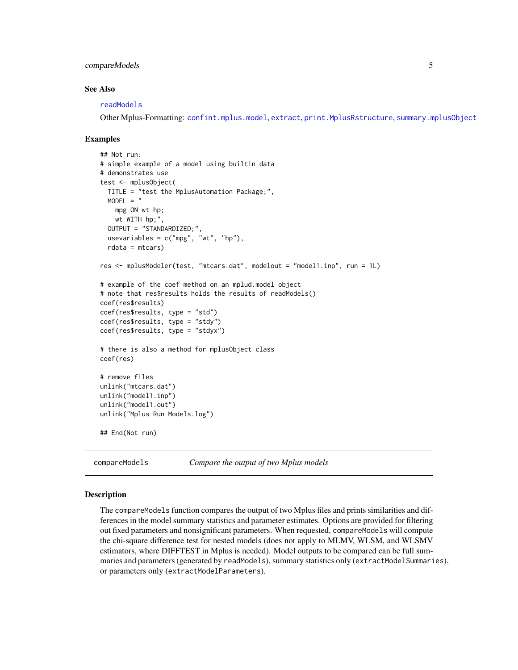# <span id="page-4-0"></span>compareModels 5

#### See Also

[readModels](#page-60-1)

Other Mplus-Formatting: [confint.mplus.model](#page-6-1), [extract](#page-12-1), [print.MplusRstructure](#page-59-1), [summary.mplusObject](#page-67-1)

#### Examples

```
## Not run:
# simple example of a model using builtin data
# demonstrates use
test <- mplusObject(
 TITLE = "test the MplusAutomation Package;",
 MODEL = "mpg ON wt hp;
   wt WITH hp;",
 OUTPUT = "STANDARDIZED;",
 usevariables = c("mpg", "wt", "hp"),rdata = mtcars)
res <- mplusModeler(test, "mtcars.dat", modelout = "model1.inp", run = 1L)
# example of the coef method on an mplud.model object
# note that res$results holds the results of readModels()
coef(res$results)
coef(res$results, type = "std")
coef(res$results, type = "stdy")
coef(res$results, type = "stdyx")
# there is also a method for mplusObject class
coef(res)
# remove files
unlink("mtcars.dat")
unlink("model1.inp")
unlink("model1.out")
unlink("Mplus Run Models.log")
## End(Not run)
```

```
compareModels Compare the output of two Mplus models
```
#### **Description**

The compareModels function compares the output of two Mplus files and prints similarities and differences in the model summary statistics and parameter estimates. Options are provided for filtering out fixed parameters and nonsignificant parameters. When requested, compareModels will compute the chi-square difference test for nested models (does not apply to MLMV, WLSM, and WLSMV estimators, where DIFFTEST in Mplus is needed). Model outputs to be compared can be full summaries and parameters (generated by readModels), summary statistics only (extractModelSummaries), or parameters only (extractModelParameters).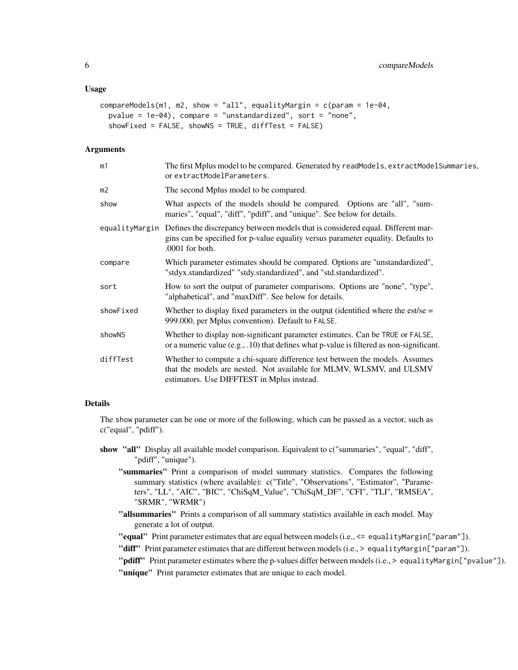#### Usage

```
compareModels(m1, m2, show = "all", equalityMargin = c(param = 1e-04,
 pvalue = 1e-04), compare = "unstandardized", sort = "none",
  showFixed = FALSE, showNS = TRUE, diffTest = FALSE)
```
#### Arguments

| m1        | The first Mplus model to be compared. Generated by readModels, extractModelSummaries,<br>or extractModelParameters.                                                                                    |
|-----------|--------------------------------------------------------------------------------------------------------------------------------------------------------------------------------------------------------|
| m2        | The second Mplus model to be compared.                                                                                                                                                                 |
| show      | What aspects of the models should be compared. Options are "all", "sum-<br>maries", "equal", "diff", "pdiff", and "unique". See below for details.                                                     |
|           | equalityMargin Defines the discrepancy between models that is considered equal. Different mar-<br>gins can be specified for p-value equality versus parameter equality. Defaults to<br>.0001 for both. |
| compare   | Which parameter estimates should be compared. Options are "unstandardized",<br>"stdyx.standardized" "stdy.standardized", and "std.standardized".                                                       |
| sort      | How to sort the output of parameter comparisons. Options are "none", "type",<br>"alphabetical", and "maxDiff". See below for details.                                                                  |
| showFixed | Whether to display fixed parameters in the output (identified where the est/se $=$<br>999.000, per Mplus convention). Default to FALSE.                                                                |
| showNS    | Whether to display non-significant parameter estimates. Can be TRUE or FALSE,<br>or a numeric value (e.g., .10) that defines what p-value is filtered as non-significant.                              |
| diffTest  | Whether to compute a chi-square difference test between the models. Assumes<br>that the models are nested. Not available for MLMV, WLSMV, and ULSMV<br>estimators. Use DIFFTEST in Mplus instead.      |
|           |                                                                                                                                                                                                        |

#### Details

The show parameter can be one or more of the following, which can be passed as a vector, such as c("equal", "pdiff").

- show "all" Display all available model comparison. Equivalent to c("summaries", "equal", "diff", "pdiff", "unique").
	- "summaries" Print a comparison of model summary statistics. Compares the following summary statistics (where available): c("Title", "Observations", "Estimator", "Parameters", "LL", "AIC", "BIC", "ChiSqM\_Value", "ChiSqM\_DF", "CFI", "TLI", "RMSEA", "SRMR", "WRMR")
	- "allsummaries" Prints a comparison of all summary statistics available in each model. May generate a lot of output.

"equal" Print parameter estimates that are equal between models (i.e., <= equalityMargin["param"]).

- "diff" Print parameter estimates that are different between models (i.e., > equalityMargin["param"]).
- "pdiff" Print parameter estimates where the p-values differ between models (i.e., > equalityMargin["pvalue"]).

"unique" Print parameter estimates that are unique to each model.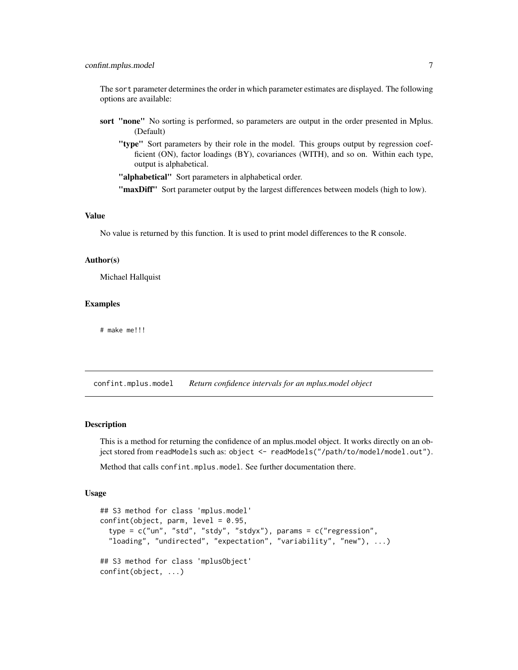# <span id="page-6-0"></span>confint.mplus.model 7

The sort parameter determines the order in which parameter estimates are displayed. The following options are available:

- sort "none" No sorting is performed, so parameters are output in the order presented in Mplus. (Default)
	- "type" Sort parameters by their role in the model. This groups output by regression coefficient (ON), factor loadings (BY), covariances (WITH), and so on. Within each type, output is alphabetical.

"alphabetical" Sort parameters in alphabetical order.

"maxDiff" Sort parameter output by the largest differences between models (high to low).

#### Value

No value is returned by this function. It is used to print model differences to the R console.

# Author(s)

Michael Hallquist

#### Examples

# make me!!!

<span id="page-6-1"></span>confint.mplus.model *Return confidence intervals for an mplus.model object*

#### **Description**

This is a method for returning the confidence of an mplus.model object. It works directly on an object stored from readModels such as: object <- readModels("/path/to/model/model.out").

Method that calls confint.mplus.model. See further documentation there.

#### Usage

```
## S3 method for class 'mplus.model'
confint(object, parm, level = 0.95,type = c("un", "std", "stdy", "stdyx"), params = c("regression",
  "loading", "undirected", "expectation", "variability", "new"), ...)
## S3 method for class 'mplusObject'
confint(object, ...)
```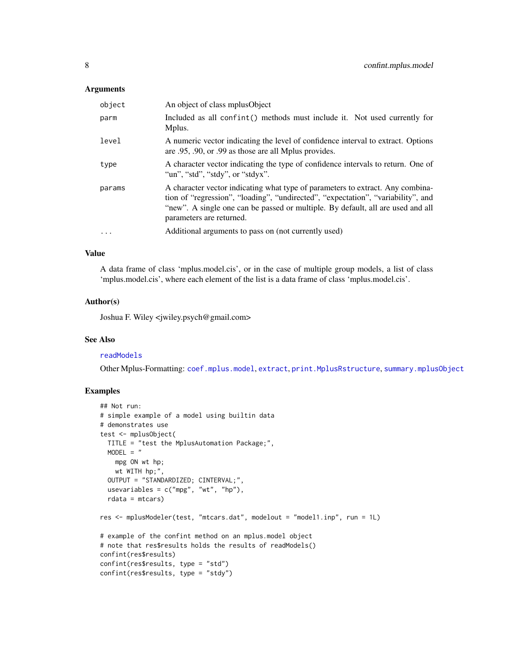# **Arguments**

| object    | An object of class mplus Object                                                                                                                                                                                                                                                   |
|-----------|-----------------------------------------------------------------------------------------------------------------------------------------------------------------------------------------------------------------------------------------------------------------------------------|
| parm      | Included as all confint() methods must include it. Not used currently for<br>Mplus.                                                                                                                                                                                               |
| level     | A numeric vector indicating the level of confidence interval to extract. Options<br>are .95, .90, or .99 as those are all Mplus provides.                                                                                                                                         |
| type      | A character vector indicating the type of confidence intervals to return. One of<br>"un", "std", "stdy", or "stdyx".                                                                                                                                                              |
| params    | A character vector indicating what type of parameters to extract. Any combina-<br>tion of "regression", "loading", "undirected", "expectation", "variability", and<br>"new". A single one can be passed or multiple. By default, all are used and all<br>parameters are returned. |
| $\ddotsc$ | Additional arguments to pass on (not currently used)                                                                                                                                                                                                                              |

# Value

A data frame of class 'mplus.model.cis', or in the case of multiple group models, a list of class 'mplus.model.cis', where each element of the list is a data frame of class 'mplus.model.cis'.

#### Author(s)

Joshua F. Wiley <jwiley.psych@gmail.com>

# See Also

#### [readModels](#page-60-1)

Other Mplus-Formatting: [coef.mplus.model](#page-3-1), [extract](#page-12-1), [print.MplusRstructure](#page-59-1), [summary.mplusObject](#page-67-1)

# Examples

```
## Not run:
# simple example of a model using builtin data
# demonstrates use
test <- mplusObject(
 TITLE = "test the MplusAutomation Package;",
 MODEL = "mpg ON wt hp;
   wt WITH hp;",
  OUTPUT = "STANDARDIZED; CINTERVAL;",
  usevariables = c("mpg", "wt", "hp"),rdata = mtcars)
res <- mplusModeler(test, "mtcars.dat", modelout = "model1.inp", run = 1L)
# example of the confint method on an mplus.model object
# note that res$results holds the results of readModels()
confint(res$results)
confint(res$results, type = "std")
confint(res$results, type = "stdy")
```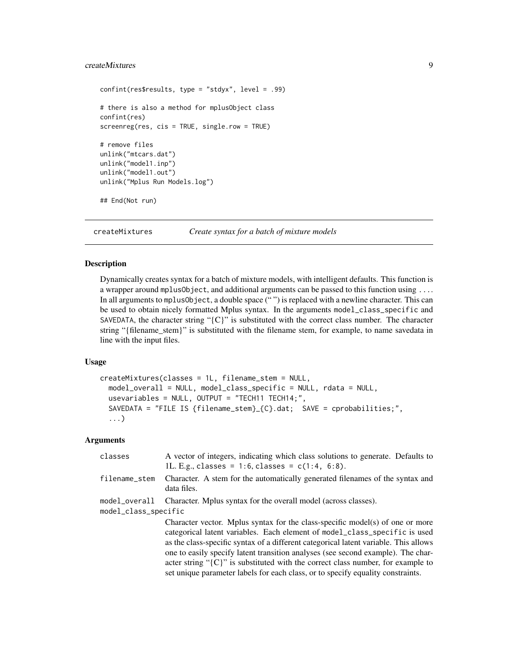# <span id="page-8-0"></span>createMixtures 9

```
confint(res$results, type = "stdyx", level = .99)
# there is also a method for mplusObject class
confint(res)
screenreg(res, cis = TRUE, single.row = TRUE)
# remove files
unlink("mtcars.dat")
unlink("model1.inp")
unlink("model1.out")
unlink("Mplus Run Models.log")
## End(Not run)
```
createMixtures *Create syntax for a batch of mixture models*

#### **Description**

Dynamically creates syntax for a batch of mixture models, with intelligent defaults. This function is a wrapper around mplusObject, and additional arguments can be passed to this function using .... In all arguments to mplusObject, a double space (" ") is replaced with a newline character. This can be used to obtain nicely formatted Mplus syntax. In the arguments model\_class\_specific and SAVEDATA, the character string " ${C}$ " is substituted with the correct class number. The character string "{filename\_stem}" is substituted with the filename stem, for example, to name savedata in line with the input files.

# Usage

```
createMixtures(classes = 1L, filename_stem = NULL,
  model_overall = NULL, model_class_specific = NULL, rdata = NULL,
  usevariables = NULL, OUTPUT = "TECH11 TECH14;",
  SAVEDATA = "FILE IS {filename_stem}_{C}.dat; SAVE = cprobabilities;",
  ...)
```
# Arguments

| classes                               | A vector of integers, indicating which class solutions to generate. Defaults to<br>1L. E.g., classes = 1:6, classes = $c(1:4, 6:8)$ .                                                                                                                                                                                                                                                                                                                                                                               |
|---------------------------------------|---------------------------------------------------------------------------------------------------------------------------------------------------------------------------------------------------------------------------------------------------------------------------------------------------------------------------------------------------------------------------------------------------------------------------------------------------------------------------------------------------------------------|
| filename_stem                         | Character. A stem for the automatically generated filenames of the syntax and<br>data files.                                                                                                                                                                                                                                                                                                                                                                                                                        |
| model overall<br>model_class_specific | Character. Mplus syntax for the overall model (across classes).                                                                                                                                                                                                                                                                                                                                                                                                                                                     |
|                                       | Character vector. Mplus syntax for the class-specific model(s) of one or more<br>categorical latent variables. Each element of model_class_specific is used<br>as the class-specific syntax of a different categorical latent variable. This allows<br>one to easily specify latent transition analyses (see second example). The char-<br>acter string " $\{C\}$ " is substituted with the correct class number, for example to<br>set unique parameter labels for each class, or to specify equality constraints. |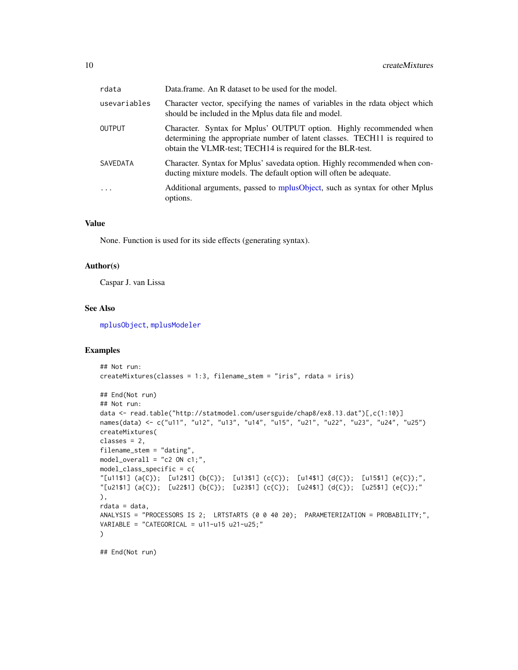| rdata           | Data.frame. An R dataset to be used for the model.                                                                                                                                                               |
|-----------------|------------------------------------------------------------------------------------------------------------------------------------------------------------------------------------------------------------------|
| usevariables    | Character vector, specifying the names of variables in the rdata object which<br>should be included in the Mplus data file and model.                                                                            |
| <b>OUTPUT</b>   | Character. Syntax for Mplus' OUTPUT option. Highly recommended when<br>determining the appropriate number of latent classes. TECH11 is required to<br>obtain the VLMR-test; TECH14 is required for the BLR-test. |
| <b>SAVEDATA</b> | Character. Syntax for Mplus' savedata option. Highly recommended when con-<br>ducting mixture models. The default option will often be adequate.                                                                 |
| $\cdot$         | Additional arguments, passed to mplusObject, such as syntax for other Mplus<br>options.                                                                                                                          |

# Value

None. Function is used for its side effects (generating syntax).

#### Author(s)

Caspar J. van Lissa

#### See Also

[mplusObject](#page-42-1), [mplusModeler](#page-37-1)

#### Examples

```
## Not run:
createMixtures(classes = 1:3, filename_stem = "iris", rdata = iris)
## End(Not run)
## Not run:
data <- read.table("http://statmodel.com/usersguide/chap8/ex8.13.dat")[,c(1:10)]
names(data) <- c("u11", "u12", "u13", "u14", "u15", "u21", "u22", "u23", "u24", "u25")
createMixtures(
classes = 2,
filename_stem = "dating",
model_overall = "c2 ON c1;",
model_class_specific = c(
"[u11$1] (a{C}); [u12$1] (b{C}); [u13$1] (c{C}); [u14$1] (d{C}); [u15$1] (e{C});",
"[u21$1] (a{C}); [u22$1] (b{C}); [u23$1] (c{C}); [u24$1] (d{C}); [u25$1] (e{C});"
),
rdata = data,
ANALYSIS = "PROCESSORS IS 2; LRTSTARTS (0 0 40 20); PARAMETERIZATION = PROBABILITY;",
VARIABLE = "CATEGORICAL = u11-u15 u21-u25;"
\lambda## End(Not run)
```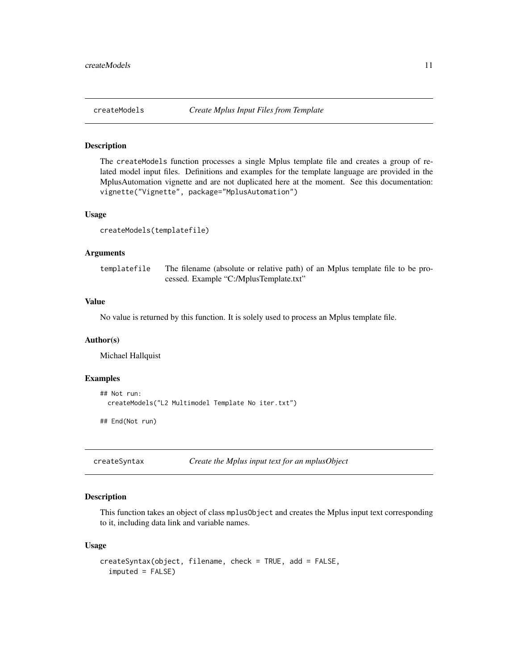<span id="page-10-1"></span><span id="page-10-0"></span>

#### Description

The createModels function processes a single Mplus template file and creates a group of related model input files. Definitions and examples for the template language are provided in the MplusAutomation vignette and are not duplicated here at the moment. See this documentation: vignette("Vignette", package="MplusAutomation")

#### Usage

```
createModels(templatefile)
```
#### Arguments

templatefile The filename (absolute or relative path) of an Mplus template file to be processed. Example "C:/MplusTemplate.txt"

#### Value

No value is returned by this function. It is solely used to process an Mplus template file.

# Author(s)

Michael Hallquist

#### Examples

```
## Not run:
 createModels("L2 Multimodel Template No iter.txt")
```
## End(Not run)

createSyntax *Create the Mplus input text for an mplusObject*

# Description

This function takes an object of class mplusObject and creates the Mplus input text corresponding to it, including data link and variable names.

#### Usage

```
createSyntax(object, filename, check = TRUE, add = FALSE,
  imputed = FALSE)
```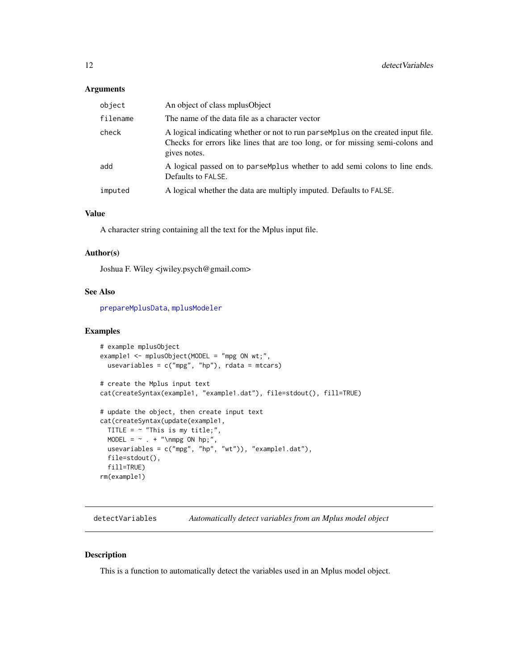#### <span id="page-11-0"></span>Arguments

| object   | An object of class mplus Object                                                                                                                                                    |
|----------|------------------------------------------------------------------------------------------------------------------------------------------------------------------------------------|
| filename | The name of the data file as a character vector                                                                                                                                    |
| check    | A logical indicating whether or not to run parsemplus on the created input file.<br>Checks for errors like lines that are too long, or for missing semi-colons and<br>gives notes. |
| add      | A logical passed on to parsemplus whether to add semi colons to line ends.<br>Defaults to FALSE.                                                                                   |
| imputed  | A logical whether the data are multiply imputed. Defaults to FALSE.                                                                                                                |

# Value

A character string containing all the text for the Mplus input file.

# Author(s)

Joshua F. Wiley <jwiley.psych@gmail.com>

# See Also

[prepareMplusData](#page-56-1), [mplusModeler](#page-37-1)

# Examples

```
# example mplusObject
example1 <- mplusObject(MODEL = "mpg ON wt;",
  usevariables = c("mpg", "hp"),rdata = mtcars)
# create the Mplus input text
cat(createSyntax(example1, "example1.dat"), file=stdout(), fill=TRUE)
# update the object, then create input text
cat(createSyntax(update(example1,
 TITLE = \sim "This is my title;",
  MODEL = \sim . + "\nmpg ON hp;",
  usevariables = c("mpg", "hp", "wt")), "example1.dat"),
  file=stdout(),
  fill=TRUE)
rm(example1)
```
detectVariables *Automatically detect variables from an Mplus model object*

# Description

This is a function to automatically detect the variables used in an Mplus model object.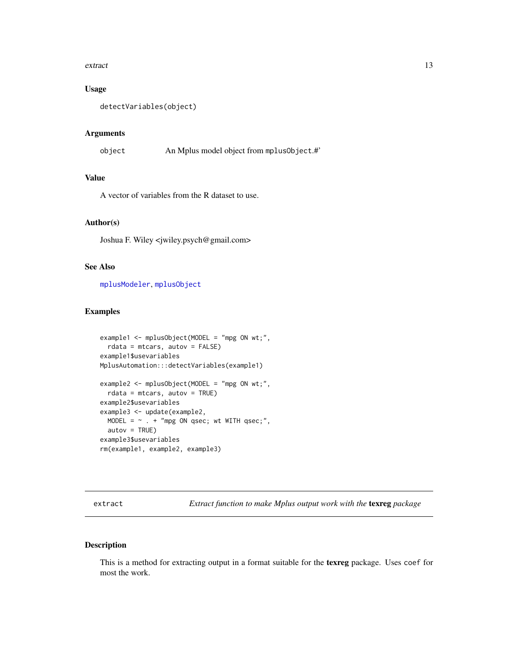#### <span id="page-12-0"></span>extract the contract of the contract of the contract of the contract of the contract of the contract of the contract of the contract of the contract of the contract of the contract of the contract of the contract of the co

# Usage

```
detectVariables(object)
```
#### Arguments

object An Mplus model object from mplusObject.#'

# Value

A vector of variables from the R dataset to use.

# Author(s)

Joshua F. Wiley <jwiley.psych@gmail.com>

# See Also

[mplusModeler](#page-37-1), [mplusObject](#page-42-1)

# Examples

```
example1 <- mplusObject(MODEL = "mpg ON wt;",
  rdata = mtcars, autov = FALSE)
example1$usevariables
MplusAutomation:::detectVariables(example1)
example2 <- mplusObject(MODEL = "mpg ON wt;",
  rdata = mtcars, autov = TRUE)example2$usevariables
example3 <- update(example2,
 MODEL = \sim . + "mpg ON qsec; wt WITH qsec;",
  autov = TRUE)example3$usevariables
rm(example1, example2, example3)
```
<span id="page-12-1"></span>extract *Extract function to make Mplus output work with the* texreg *package*

# Description

This is a method for extracting output in a format suitable for the texreg package. Uses coef for most the work.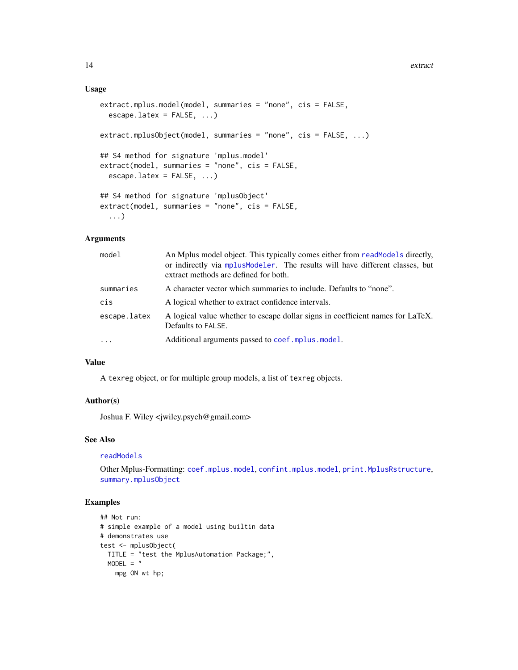# Usage

```
extract.mplus.model(model, summaries = "none", cis = FALSE,
 escape.latex = FALSE, ...)
extract.mplusObject(model, summaries = "none", cis = FALSE, ...)
## S4 method for signature 'mplus.model'
extract(model, summaries = "none", cis = FALSE,
  escape.latex = FALSE, ...)
## S4 method for signature 'mplusObject'
extract(model, summaries = "none", cis = FALSE,
  ...)
```
## Arguments

| model        | An Mplus model object. This typically comes either from readModels directly,<br>or indirectly via mplus Modeler. The results will have different classes, but<br>extract methods are defined for both. |
|--------------|--------------------------------------------------------------------------------------------------------------------------------------------------------------------------------------------------------|
| summaries    | A character vector which summaries to include. Defaults to "none".                                                                                                                                     |
| cis          | A logical whether to extract confidence intervals.                                                                                                                                                     |
| escape.latex | A logical value whether to escape dollar signs in coefficient names for LaTeX.<br>Defaults to FALSE.                                                                                                   |
| $\cdots$     | Additional arguments passed to coef.mplus.model.                                                                                                                                                       |

# Value

A texreg object, or for multiple group models, a list of texreg objects.

# Author(s)

Joshua F. Wiley <jwiley.psych@gmail.com>

#### See Also

#### [readModels](#page-60-1)

Other Mplus-Formatting: [coef.mplus.model](#page-3-1), [confint.mplus.model](#page-6-1), [print.MplusRstructure](#page-59-1), [summary.mplusObject](#page-67-1)

# Examples

```
## Not run:
# simple example of a model using builtin data
# demonstrates use
test <- mplusObject(
 TITLE = "test the MplusAutomation Package;",
 MODEL = "mpg ON wt hp;
```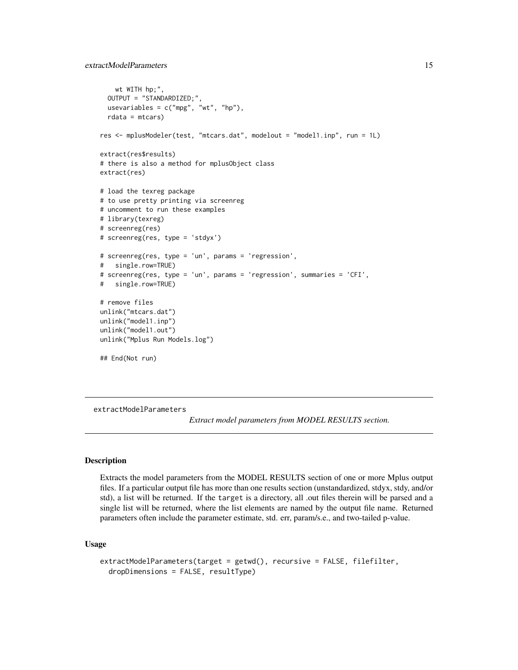```
wt WITH hp;",
 OUTPUT = "STANDARDIZED;",
 usevariables = c("mpg", "wt", "hp"),rdata = mtcars)
res <- mplusModeler(test, "mtcars.dat", modelout = "model1.inp", run = 1L)
extract(res$results)
# there is also a method for mplusObject class
extract(res)
# load the texreg package
# to use pretty printing via screenreg
# uncomment to run these examples
# library(texreg)
# screenreg(res)
# screenreg(res, type = 'stdyx')
# screenreg(res, type = 'un', params = 'regression',
# single.row=TRUE)
# screenreg(res, type = 'un', params = 'regression', summaries = 'CFI',
# single.row=TRUE)
# remove files
unlink("mtcars.dat")
unlink("model1.inp")
unlink("model1.out")
unlink("Mplus Run Models.log")
## End(Not run)
```
<span id="page-14-1"></span>extractModelParameters

*Extract model parameters from MODEL RESULTS section.*

# **Description**

Extracts the model parameters from the MODEL RESULTS section of one or more Mplus output files. If a particular output file has more than one results section (unstandardized, stdyx, stdy, and/or std), a list will be returned. If the target is a directory, all .out files therein will be parsed and a single list will be returned, where the list elements are named by the output file name. Returned parameters often include the parameter estimate, std. err, param/s.e., and two-tailed p-value.

# Usage

```
extractModelParameters(target = getwd(), recursive = FALSE, filefilter,
  dropDimensions = FALSE, resultType)
```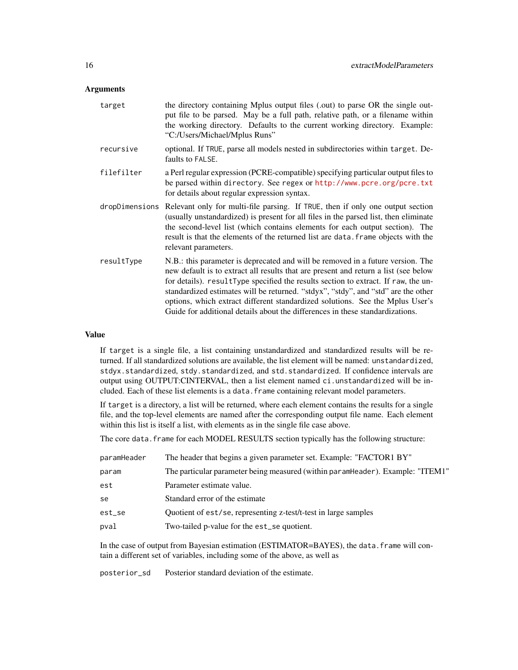#### **Arguments**

| target         | the directory containing Mplus output files (.out) to parse OR the single out-<br>put file to be parsed. May be a full path, relative path, or a filename within<br>the working directory. Defaults to the current working directory. Example:<br>"C:/Users/Michael/Mplus Runs"                                                                                                                                                                                                                                     |
|----------------|---------------------------------------------------------------------------------------------------------------------------------------------------------------------------------------------------------------------------------------------------------------------------------------------------------------------------------------------------------------------------------------------------------------------------------------------------------------------------------------------------------------------|
| recursive      | optional. If TRUE, parse all models nested in subdirectories within target. De-<br>faults to FALSE.                                                                                                                                                                                                                                                                                                                                                                                                                 |
| filefilter     | a Perl regular expression (PCRE-compatible) specifying particular output files to<br>be parsed within directory. See regex or http://www.pcre.org/pcre.txt<br>for details about regular expression syntax.                                                                                                                                                                                                                                                                                                          |
| dropDimensions | Relevant only for multi-file parsing. If TRUE, then if only one output section<br>(usually unstandardized) is present for all files in the parsed list, then eliminate<br>the second-level list (which contains elements for each output section). The<br>result is that the elements of the returned list are data. Frame objects with the<br>relevant parameters.                                                                                                                                                 |
| resultType     | N.B.: this parameter is deprecated and will be removed in a future version. The<br>new default is to extract all results that are present and return a list (see below<br>for details). resultType specified the results section to extract. If raw, the un-<br>standardized estimates will be returned. "stdyx", "stdy", and "std" are the other<br>options, which extract different standardized solutions. See the Mplus User's<br>Guide for additional details about the differences in these standardizations. |

# Value

If target is a single file, a list containing unstandardized and standardized results will be returned. If all standardized solutions are available, the list element will be named: unstandardized, stdyx.standardized, stdy.standardized, and std.standardized. If confidence intervals are output using OUTPUT:CINTERVAL, then a list element named ci.unstandardized will be included. Each of these list elements is a data.frame containing relevant model parameters.

If target is a directory, a list will be returned, where each element contains the results for a single file, and the top-level elements are named after the corresponding output file name. Each element within this list is itself a list, with elements as in the single file case above.

The core data. frame for each MODEL RESULTS section typically has the following structure:

| paramHeader | The header that begins a given parameter set. Example: "FACTOR1 BY"            |
|-------------|--------------------------------------------------------------------------------|
| param       | The particular parameter being measured (within paramHeader). Example: "ITEM1" |
| est         | Parameter estimate value.                                                      |
| se          | Standard error of the estimate                                                 |
| est_se      | Quotient of est/se, representing z-test/t-test in large samples                |
| pval        | Two-tailed p-value for the est_se quotient.                                    |
|             |                                                                                |

In the case of output from Bayesian estimation (ESTIMATOR=BAYES), the data.frame will contain a different set of variables, including some of the above, as well as

posterior\_sd Posterior standard deviation of the estimate.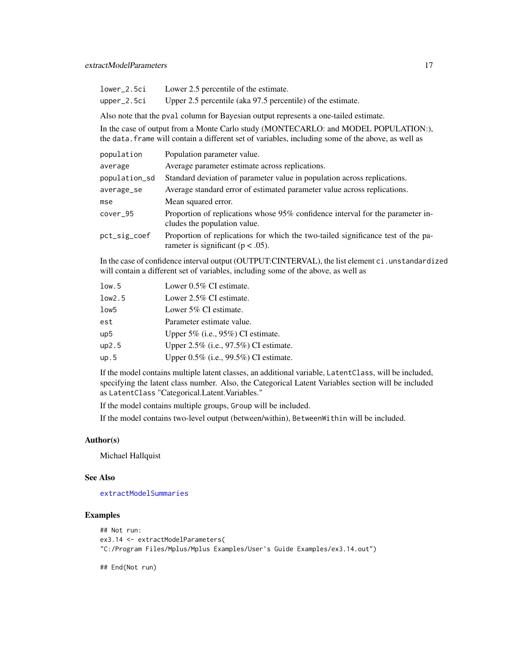| lower_2.5ci | Lower 2.5 percentile of the estimate.                       |
|-------------|-------------------------------------------------------------|
| upper_2.5ci | Upper 2.5 percentile (aka 97.5 percentile) of the estimate. |

Also note that the pval column for Bayesian output represents a one-tailed estimate.

In the case of output from a Monte Carlo study (MONTECARLO: and MODEL POPULATION:), the data.frame will contain a different set of variables, including some of the above, as well as

| population    | Population parameter value.                                                                                               |
|---------------|---------------------------------------------------------------------------------------------------------------------------|
| average       | Average parameter estimate across replications.                                                                           |
| population_sd | Standard deviation of parameter value in population across replications.                                                  |
| average_se    | Average standard error of estimated parameter value across replications.                                                  |
| mse           | Mean squared error.                                                                                                       |
| $cover_95$    | Proportion of replications whose 95% confidence interval for the parameter in-<br>cludes the population value.            |
| pct_sig_coef  | Proportion of replications for which the two-tailed significance test of the pa-<br>rameter is significant ( $p < .05$ ). |

In the case of confidence interval output (OUTPUT:CINTERVAL), the list element ci.unstandardized will contain a different set of variables, including some of the above, as well as

| low.5           | Lower 0.5% CI estimate.                  |
|-----------------|------------------------------------------|
| low2.5          | Lower 2.5% CI estimate.                  |
| low5            | Lower 5% CI estimate.                    |
| est             | Parameter estimate value.                |
| up <sub>5</sub> | Upper $5\%$ (i.e., $95\%$ ) CI estimate. |
| up2.5           | Upper 2.5% (i.e., 97.5%) CI estimate.    |
| up.5            | Upper 0.5% (i.e., 99.5%) CI estimate.    |

If the model contains multiple latent classes, an additional variable, LatentClass, will be included, specifying the latent class number. Also, the Categorical Latent Variables section will be included as LatentClass "Categorical.Latent.Variables."

If the model contains multiple groups, Group will be included.

If the model contains two-level output (between/within), BetweenWithin will be included.

#### Author(s)

Michael Hallquist

# See Also

[extractModelSummaries](#page-17-1)

#### Examples

```
## Not run:
ex3.14 <- extractModelParameters(
"C:/Program Files/Mplus/Mplus Examples/User's Guide Examples/ex3.14.out")
```
## End(Not run)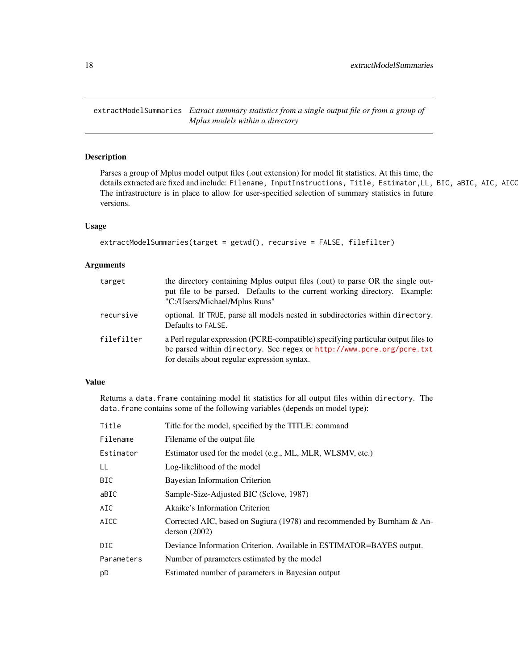<span id="page-17-1"></span><span id="page-17-0"></span>extractModelSummaries *Extract summary statistics from a single output file or from a group of Mplus models within a directory*

# Description

Parses a group of Mplus model output files (.out extension) for model fit statistics. At this time, the details extracted are fixed and include: Filename, InputInstructions, Title, Estimator, LL, BIC, aBIC, AIC, AICC The infrastructure is in place to allow for user-specified selection of summary statistics in future versions.

# Usage

```
extractModelSummaries(target = getwd(), recursive = FALSE, filefilter)
```
# Arguments

| target     | the directory containing Mplus output files (.out) to parse OR the single out-<br>put file to be parsed. Defaults to the current working directory. Example:<br>"C:/Users/Michael/Mplus Runs"              |
|------------|------------------------------------------------------------------------------------------------------------------------------------------------------------------------------------------------------------|
| recursive  | optional. If TRUE, parse all models nested in subdirectories within directory.<br>Defaults to FALSE.                                                                                                       |
| filefilter | a Perl regular expression (PCRE-compatible) specifying particular output files to<br>be parsed within directory. See regex or http://www.pcre.org/pcre.txt<br>for details about regular expression syntax. |

# Value

Returns a data.frame containing model fit statistics for all output files within directory. The data.frame contains some of the following variables (depends on model type):

| Title       | Title for the model, specified by the TITLE: command                                     |
|-------------|------------------------------------------------------------------------------------------|
| Filename    | Filename of the output file.                                                             |
| Estimator   | Estimator used for the model (e.g., ML, MLR, WLSMV, etc.)                                |
| LL          | Log-likelihood of the model                                                              |
| <b>BIC</b>  | Bayesian Information Criterion                                                           |
| aBIC        | Sample-Size-Adjusted BIC (Sclove, 1987)                                                  |
| AIC         | Akaike's Information Criterion                                                           |
| <b>AICC</b> | Corrected AIC, based on Sugiura (1978) and recommended by Burnham & An-<br>derson (2002) |
| DIC.        | Deviance Information Criterion. Available in ESTIMATOR=BAYES output.                     |
| Parameters  | Number of parameters estimated by the model                                              |
| pD          | Estimated number of parameters in Bayesian output                                        |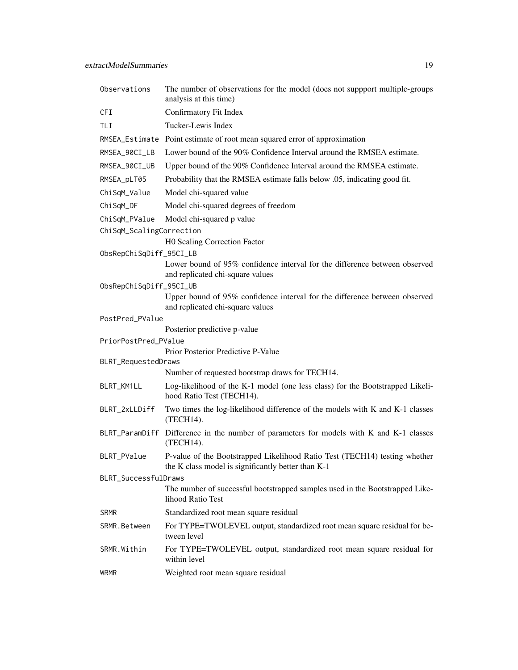| Observations             | The number of observations for the model (does not suppport multiple-groups<br>analysis at this time)                            |  |
|--------------------------|----------------------------------------------------------------------------------------------------------------------------------|--|
| <b>CFI</b>               | Confirmatory Fit Index                                                                                                           |  |
| TLI                      | Tucker-Lewis Index                                                                                                               |  |
|                          | RMSEA_Estimate Point estimate of root mean squared error of approximation                                                        |  |
| RMSEA_90CI_LB            | Lower bound of the 90% Confidence Interval around the RMSEA estimate.                                                            |  |
| RMSEA_90CI_UB            | Upper bound of the 90% Confidence Interval around the RMSEA estimate.                                                            |  |
| RMSEA_pLT05              | Probability that the RMSEA estimate falls below .05, indicating good fit.                                                        |  |
| ChiSqM_Value             | Model chi-squared value                                                                                                          |  |
| ChiSqM_DF                | Model chi-squared degrees of freedom                                                                                             |  |
| ChiSqM_PValue            | Model chi-squared p value                                                                                                        |  |
| ChiSqM_ScalingCorrection |                                                                                                                                  |  |
|                          | H0 Scaling Correction Factor                                                                                                     |  |
| ObsRepChiSqDiff_95CI_LB  |                                                                                                                                  |  |
|                          | Lower bound of 95% confidence interval for the difference between observed<br>and replicated chi-square values                   |  |
| ObsRepChiSqDiff_95CI_UB  |                                                                                                                                  |  |
|                          | Upper bound of 95% confidence interval for the difference between observed<br>and replicated chi-square values                   |  |
| PostPred_PValue          |                                                                                                                                  |  |
|                          | Posterior predictive p-value                                                                                                     |  |
| PriorPostPred_PValue     |                                                                                                                                  |  |
| BLRT_RequestedDraws      | Prior Posterior Predictive P-Value                                                                                               |  |
|                          | Number of requested bootstrap draws for TECH14.                                                                                  |  |
| BLRT_KM1LL               | Log-likelihood of the K-1 model (one less class) for the Bootstrapped Likeli-<br>hood Ratio Test (TECH14).                       |  |
| BLRT_2xLLDiff            | Two times the log-likelihood difference of the models with K and K-1 classes<br>(TECH14).                                        |  |
|                          | BLRT_ParamDiff Difference in the number of parameters for models with K and K-1 classes<br>(TECH14).                             |  |
| BLRT_PValue              | P-value of the Bootstrapped Likelihood Ratio Test (TECH14) testing whether<br>the K class model is significantly better than K-1 |  |
| BLRT_SuccessfulDraws     |                                                                                                                                  |  |
|                          | The number of successful bootstrapped samples used in the Bootstrapped Like-<br>lihood Ratio Test                                |  |
| <b>SRMR</b>              | Standardized root mean square residual                                                                                           |  |
| SRMR.Between             | For TYPE=TWOLEVEL output, standardized root mean square residual for be-<br>tween level                                          |  |
| SRMR.Within              | For TYPE=TWOLEVEL output, standardized root mean square residual for<br>within level                                             |  |
| <b>WRMR</b>              | Weighted root mean square residual                                                                                               |  |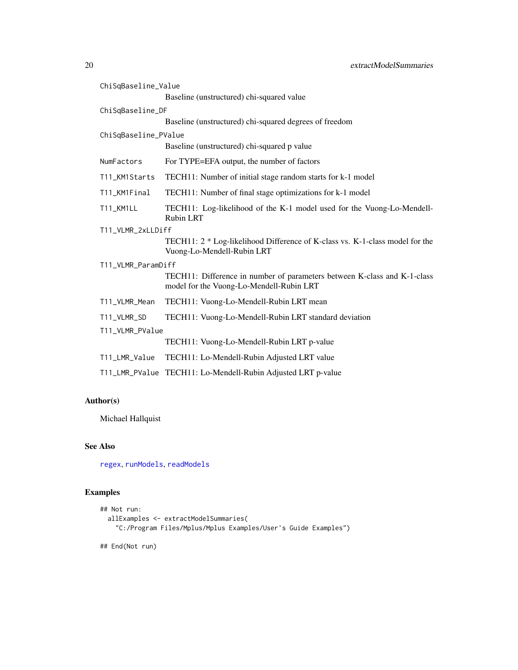| ChiSqBaseline_Value  |                                                                                                                      |  |
|----------------------|----------------------------------------------------------------------------------------------------------------------|--|
|                      | Baseline (unstructured) chi-squared value                                                                            |  |
| ChiSqBaseline_DF     |                                                                                                                      |  |
|                      | Baseline (unstructured) chi-squared degrees of freedom                                                               |  |
| ChiSqBaseline_PValue |                                                                                                                      |  |
|                      | Baseline (unstructured) chi-squared p value                                                                          |  |
| NumFactors           | For TYPE=EFA output, the number of factors                                                                           |  |
| T11_KM1Starts        | TECH11: Number of initial stage random starts for k-1 model                                                          |  |
| T11_KM1Final         | TECH11: Number of final stage optimizations for k-1 model                                                            |  |
| T11_KM1LL            | TECH11: Log-likelihood of the K-1 model used for the Vuong-Lo-Mendell-<br><b>Rubin LRT</b>                           |  |
| T11_VLMR_2xLLDiff    |                                                                                                                      |  |
|                      | TECH11: 2 * Log-likelihood Difference of K-class vs. K-1-class model for the<br>Vuong-Lo-Mendell-Rubin LRT           |  |
| T11_VLMR_ParamDiff   |                                                                                                                      |  |
|                      | TECH11: Difference in number of parameters between K-class and K-1-class<br>model for the Vuong-Lo-Mendell-Rubin LRT |  |
| T11_VLMR_Mean        | TECH11: Vuong-Lo-Mendell-Rubin LRT mean                                                                              |  |
| T11_VLMR_SD          | TECH11: Vuong-Lo-Mendell-Rubin LRT standard deviation                                                                |  |
| T11_VLMR_PValue      |                                                                                                                      |  |
|                      | TECH11: Vuong-Lo-Mendell-Rubin LRT p-value                                                                           |  |
| T11_LMR_Value        | TECH11: Lo-Mendell-Rubin Adjusted LRT value                                                                          |  |
|                      | T11_LMR_PValue TECH11: Lo-Mendell-Rubin Adjusted LRT p-value                                                         |  |

# Author(s)

Michael Hallquist

# See Also

[regex](#page-0-0), [runModels](#page-63-1), [readModels](#page-60-1)

# Examples

```
## Not run:
 allExamples <- extractModelSummaries(
   "C:/Program Files/Mplus/Mplus Examples/User's Guide Examples")
```
## End(Not run)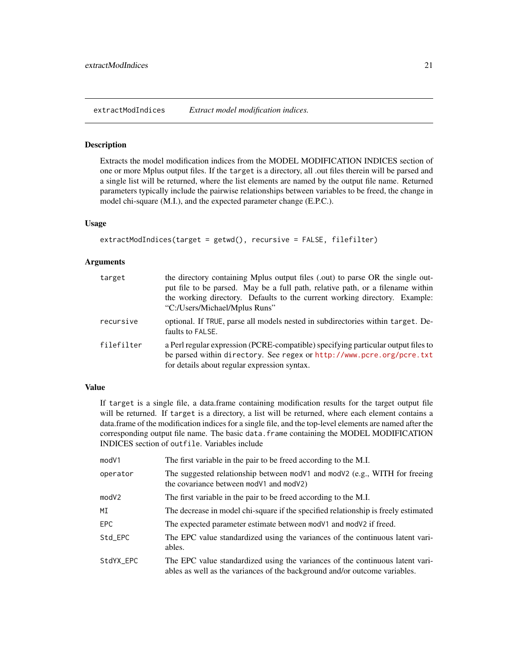<span id="page-20-0"></span>extractModIndices *Extract model modification indices.*

#### Description

Extracts the model modification indices from the MODEL MODIFICATION INDICES section of one or more Mplus output files. If the target is a directory, all .out files therein will be parsed and a single list will be returned, where the list elements are named by the output file name. Returned parameters typically include the pairwise relationships between variables to be freed, the change in model chi-square (M.I.), and the expected parameter change (E.P.C.).

# Usage

```
extractModIndices(target = getwd(), recursive = FALSE, filefilter)
```
# Arguments

| target     | the directory containing Mplus output files (.out) to parse OR the single out-<br>put file to be parsed. May be a full path, relative path, or a filename within<br>the working directory. Defaults to the current working directory. Example:<br>"C:/Users/Michael/Mplus Runs" |
|------------|---------------------------------------------------------------------------------------------------------------------------------------------------------------------------------------------------------------------------------------------------------------------------------|
| recursive  | optional. If TRUE, parse all models nested in subdirectories within target. De-<br>faults to FALSE.                                                                                                                                                                             |
| filefilter | a Perl regular expression (PCRE-compatible) specifying particular output files to<br>be parsed within directory. See regex or http://www.pcre.org/pcre.txt<br>for details about regular expression syntax.                                                                      |

# Value

If target is a single file, a data.frame containing modification results for the target output file will be returned. If target is a directory, a list will be returned, where each element contains a data.frame of the modification indices for a single file, and the top-level elements are named after the corresponding output file name. The basic data. frame containing the MODEL MODIFICATION INDICES section of outfile. Variables include

| mod <sub>V1</sub> | The first variable in the pair to be freed according to the M.I.                                                                                            |
|-------------------|-------------------------------------------------------------------------------------------------------------------------------------------------------------|
| operator          | The suggested relationship between mod $V1$ and mod $V2$ (e.g., WITH for freeing<br>the covariance between modV1 and modV2)                                 |
| modV2             | The first variable in the pair to be freed according to the M.I.                                                                                            |
| МI                | The decrease in model chi-square if the specified relationship is freely estimated                                                                          |
| EPC               | The expected parameter estimate between mod V1 and mod V2 if freed.                                                                                         |
| Std_EPC           | The EPC value standardized using the variances of the continuous latent vari-<br>ables.                                                                     |
| StdYX_EPC         | The EPC value standardized using the variances of the continuous latent vari-<br>ables as well as the variances of the background and/or outcome variables. |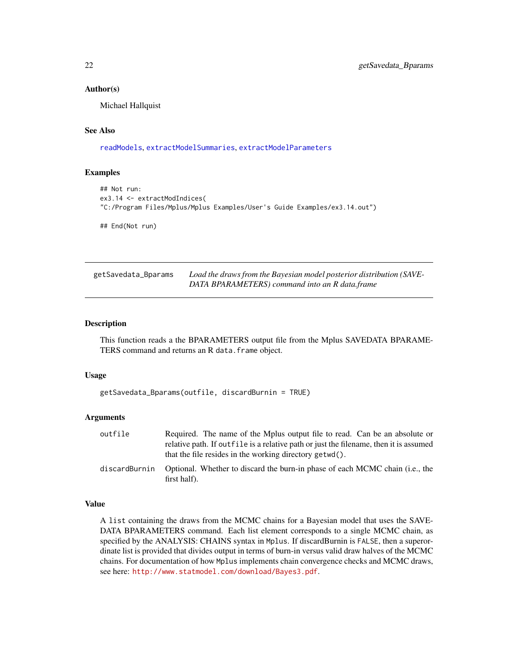#### <span id="page-21-0"></span>Author(s)

Michael Hallquist

# See Also

[readModels](#page-60-1), [extractModelSummaries](#page-17-1), [extractModelParameters](#page-14-1)

# Examples

```
## Not run:
ex3.14 <- extractModIndices(
"C:/Program Files/Mplus/Mplus Examples/User's Guide Examples/ex3.14.out")
```
## End(Not run)

| getSavedata_Bparams | Load the draws from the Bayesian model posterior distribution (SAVE- |
|---------------------|----------------------------------------------------------------------|
|                     | DATA BPARAMETERS) command into an R data.frame                       |

# Description

This function reads a the BPARAMETERS output file from the Mplus SAVEDATA BPARAME-TERS command and returns an R data.frame object.

#### Usage

```
getSavedata_Bparams(outfile, discardBurnin = TRUE)
```
#### Arguments

| outfile       | Required. The name of the Mplus output file to read. Can be an absolute or                   |
|---------------|----------------------------------------------------------------------------------------------|
|               | relative path. If outfile is a relative path or just the filename, then it is assumed        |
|               | that the file resides in the working directory getwd().                                      |
| discardBurnin | Optional. Whether to discard the burn-in phase of each MCMC chain (i.e., the<br>first half). |

# Value

A list containing the draws from the MCMC chains for a Bayesian model that uses the SAVE-DATA BPARAMETERS command. Each list element corresponds to a single MCMC chain, as specified by the ANALYSIS: CHAINS syntax in Mplus. If discardBurnin is FALSE, then a superordinate list is provided that divides output in terms of burn-in versus valid draw halves of the MCMC chains. For documentation of how Mplus implements chain convergence checks and MCMC draws, see here: <http://www.statmodel.com/download/Bayes3.pdf>.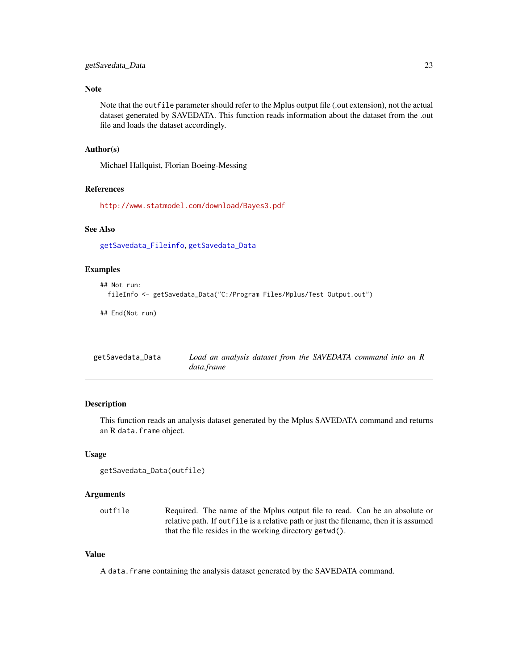# <span id="page-22-0"></span>Note

Note that the outfile parameter should refer to the Mplus output file (.out extension), not the actual dataset generated by SAVEDATA. This function reads information about the dataset from the .out file and loads the dataset accordingly.

# Author(s)

Michael Hallquist, Florian Boeing-Messing

#### References

<http://www.statmodel.com/download/Bayes3.pdf>

# See Also

[getSavedata\\_Fileinfo](#page-23-1), [getSavedata\\_Data](#page-22-1)

# Examples

```
## Not run:
 fileInfo <- getSavedata_Data("C:/Program Files/Mplus/Test Output.out")
```
## End(Not run)

<span id="page-22-1"></span>

| getSavedata_Data | Load an analysis dataset from the SAVEDATA command into an R |
|------------------|--------------------------------------------------------------|
|                  | data.frame                                                   |

# Description

This function reads an analysis dataset generated by the Mplus SAVEDATA command and returns an R data.frame object.

#### Usage

```
getSavedata_Data(outfile)
```
#### Arguments

outfile Required. The name of the Mplus output file to read. Can be an absolute or relative path. If outfile is a relative path or just the filename, then it is assumed that the file resides in the working directory getwd().

# Value

A data.frame containing the analysis dataset generated by the SAVEDATA command.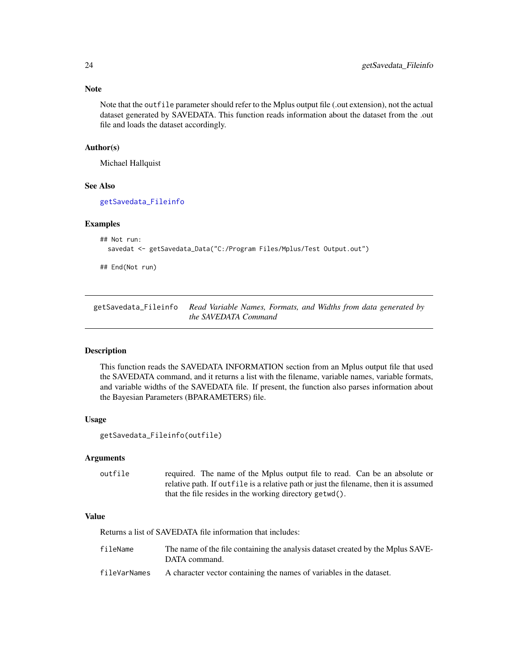Note that the outfile parameter should refer to the Mplus output file (.out extension), not the actual dataset generated by SAVEDATA. This function reads information about the dataset from the .out file and loads the dataset accordingly.

# Author(s)

Michael Hallquist

# See Also

[getSavedata\\_Fileinfo](#page-23-1)

#### Examples

```
## Not run:
 savedat <- getSavedata_Data("C:/Program Files/Mplus/Test Output.out")
```
## End(Not run)

<span id="page-23-1"></span>getSavedata\_Fileinfo *Read Variable Names, Formats, and Widths from data generated by the SAVEDATA Command*

#### Description

This function reads the SAVEDATA INFORMATION section from an Mplus output file that used the SAVEDATA command, and it returns a list with the filename, variable names, variable formats, and variable widths of the SAVEDATA file. If present, the function also parses information about the Bayesian Parameters (BPARAMETERS) file.

#### Usage

```
getSavedata_Fileinfo(outfile)
```
#### Arguments

outfile required. The name of the Mplus output file to read. Can be an absolute or relative path. If outfile is a relative path or just the filename, then it is assumed that the file resides in the working directory getwd().

# Value

Returns a list of SAVEDATA file information that includes:

| fileName     | The name of the file containing the analysis dataset created by the Mplus SAVE-<br>DATA command. |
|--------------|--------------------------------------------------------------------------------------------------|
| fileVarNames | A character vector containing the names of variables in the dataset.                             |

<span id="page-23-0"></span>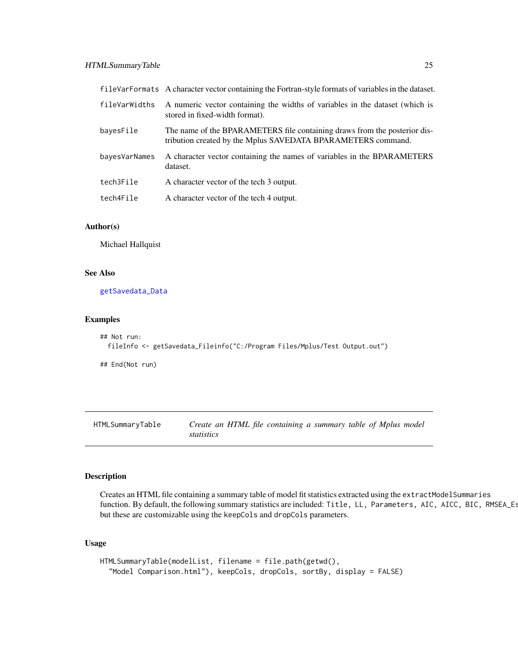<span id="page-24-0"></span>

|               | fileVarFormats A character vector containing the Fortran-style formats of variables in the dataset.                                       |
|---------------|-------------------------------------------------------------------------------------------------------------------------------------------|
| fileVarWidths | A numeric vector containing the widths of variables in the dataset (which is<br>stored in fixed-width format).                            |
| bayesFile     | The name of the BPARAMETERS file containing draws from the posterior dis-<br>tribution created by the Mplus SAVEDATA BPARAMETERS command. |
| bayesVarNames | A character vector containing the names of variables in the BPARAMETERS<br>dataset.                                                       |
| tech3File     | A character vector of the tech 3 output.                                                                                                  |
| tech4File     | A character vector of the tech 4 output.                                                                                                  |

#### Author(s)

Michael Hallquist

# See Also

[getSavedata\\_Data](#page-22-1)

# Examples

```
## Not run:
 fileInfo <- getSavedata_Fileinfo("C:/Program Files/Mplus/Test Output.out")
```
## End(Not run)

<span id="page-24-1"></span>HTMLSummaryTable *Create an HTML file containing a summary table of Mplus model statistics*

# Description

Creates an HTML file containing a summary table of model fit statistics extracted using the extractModelSummaries function. By default, the following summary statistics are included: Title, LL, Parameters, AIC, AICC, BIC, RMSEA\_Es but these are customizable using the keepCols and dropCols parameters.

# Usage

```
HTMLSummaryTable(modelList, filename = file.path(getwd(),
  "Model Comparison.html"), keepCols, dropCols, sortBy, display = FALSE)
```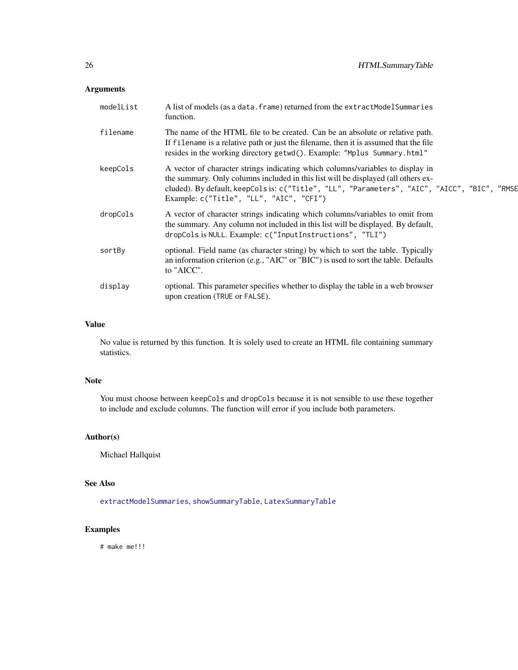# Arguments

| modelList | A list of models (as a data. frame) returned from the extractModelSummaries<br>function.                                                                                                                                                                                                                         |
|-----------|------------------------------------------------------------------------------------------------------------------------------------------------------------------------------------------------------------------------------------------------------------------------------------------------------------------|
| filename  | The name of the HTML file to be created. Can be an absolute or relative path.<br>If filename is a relative path or just the filename, then it is assumed that the file<br>resides in the working directory getwd(). Example: "Mplus Summary.html"                                                                |
| keepCols  | A vector of character strings indicating which columns/variables to display in<br>the summary. Only columns included in this list will be displayed (all others ex-<br>cluded). By default, keepCols is: c("Title", "LL", "Parameters", "AIC", "AICC", "BIC", "RMSE<br>Example: $c("Title", "LL", "AIC", "CFI")$ |
| dropCols  | A vector of character strings indicating which columns/variables to omit from<br>the summary. Any column not included in this list will be displayed. By default,<br>dropCols is NULL. Example: c("InputInstructions", "TLI")                                                                                    |
| sortBy    | optional. Field name (as character string) by which to sort the table. Typically<br>an information criterion (e.g., "AIC" or "BIC") is used to sort the table. Defaults<br>to "AICC".                                                                                                                            |
| display   | optional. This parameter specifies whether to display the table in a web browser<br>upon creation (TRUE or FALSE).                                                                                                                                                                                               |

# Value

No value is returned by this function. It is solely used to create an HTML file containing summary statistics.

# Note

You must choose between keepCols and dropCols because it is not sensible to use these together to include and exclude columns. The function will error if you include both parameters.

# Author(s)

Michael Hallquist

# See Also

[extractModelSummaries](#page-17-1), [showSummaryTable](#page-66-1), [LatexSummaryTable](#page-26-1)

# Examples

# make me!!!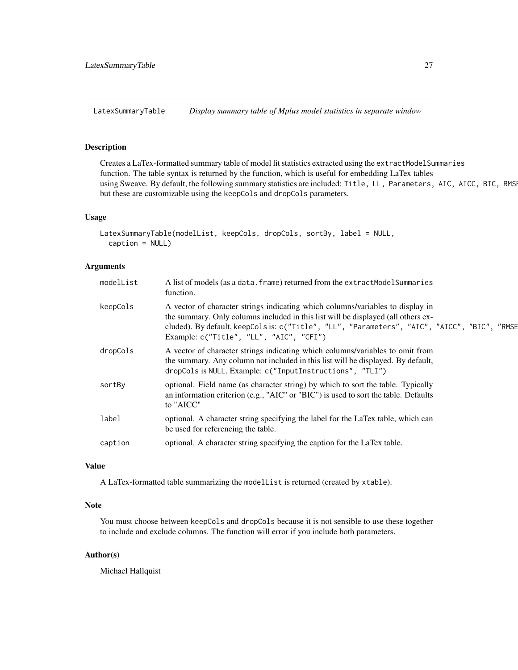<span id="page-26-1"></span><span id="page-26-0"></span>LatexSummaryTable *Display summary table of Mplus model statistics in separate window*

# Description

Creates a LaTex-formatted summary table of model fit statistics extracted using the extractModelSummaries function. The table syntax is returned by the function, which is useful for embedding LaTex tables using Sweave. By default, the following summary statistics are included: Title, LL, Parameters, AIC, AICC, BIC, RMSI but these are customizable using the keepCols and dropCols parameters.

#### Usage

```
LatexSummaryTable(modelList, keepCols, dropCols, sortBy, label = NULL,
  caption = NULL)
```
# Arguments

| modelList | A list of models (as a data. frame) returned from the extractModelSummaries<br>function.                                                                                                                                                                                                                         |
|-----------|------------------------------------------------------------------------------------------------------------------------------------------------------------------------------------------------------------------------------------------------------------------------------------------------------------------|
| keepCols  | A vector of character strings indicating which columns/variables to display in<br>the summary. Only columns included in this list will be displayed (all others ex-<br>cluded). By default, keepCols is: c("Title", "LL", "Parameters", "AIC", "AICC", "BIC", "RMSE<br>Example: $c("Title", "LL", "AIC", "CFI")$ |
| dropCols  | A vector of character strings indicating which columns/variables to omit from<br>the summary. Any column not included in this list will be displayed. By default,<br>dropCols is NULL. Example: c("InputInstructions", "TLI")                                                                                    |
| sortBy    | optional. Field name (as character string) by which to sort the table. Typically<br>an information criterion (e.g., "AIC" or "BIC") is used to sort the table. Defaults<br>to "AICC"                                                                                                                             |
| label     | optional. A character string specifying the label for the LaTex table, which can<br>be used for referencing the table.                                                                                                                                                                                           |
| caption   | optional. A character string specifying the caption for the LaTex table.                                                                                                                                                                                                                                         |
|           |                                                                                                                                                                                                                                                                                                                  |

# Value

A LaTex-formatted table summarizing the modelList is returned (created by xtable).

# Note

You must choose between keepCols and dropCols because it is not sensible to use these together to include and exclude columns. The function will error if you include both parameters.

# Author(s)

Michael Hallquist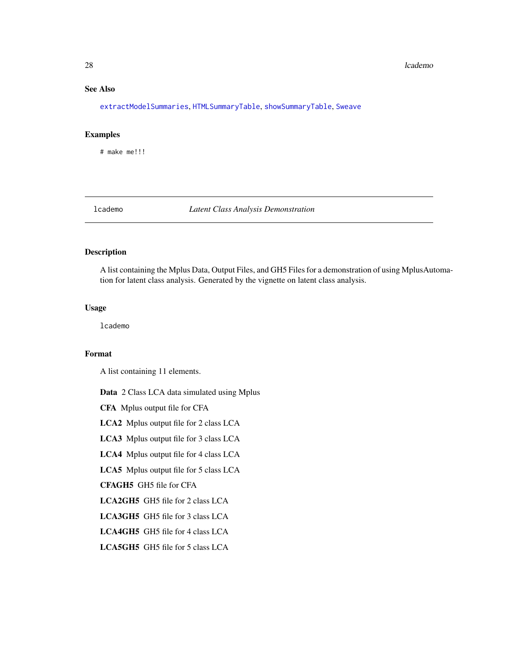#### <span id="page-27-0"></span>28 lcademo and the contract of the contract of the contract of the contract of the contract of the contract of the contract of the contract of the contract of the contract of the contract of the contract of the contract of

# See Also

[extractModelSummaries](#page-17-1), [HTMLSummaryTable](#page-24-1), [showSummaryTable](#page-66-1), [Sweave](#page-0-0)

# Examples

# make me!!!

lcademo *Latent Class Analysis Demonstration*

# Description

A list containing the Mplus Data, Output Files, and GH5 Files for a demonstration of using MplusAutomation for latent class analysis. Generated by the vignette on latent class analysis.

# Usage

lcademo

# Format

A list containing 11 elements.

Data 2 Class LCA data simulated using Mplus

CFA Mplus output file for CFA

LCA2 Mplus output file for 2 class LCA

LCA3 Mplus output file for 3 class LCA

LCA4 Mplus output file for 4 class LCA

LCA5 Mplus output file for 5 class LCA

CFAGH5 GH5 file for CFA

LCA2GH5 GH5 file for 2 class LCA

LCA3GH5 GH5 file for 3 class LCA

LCA4GH5 GH5 file for 4 class LCA

LCA5GH5 GH5 file for 5 class LCA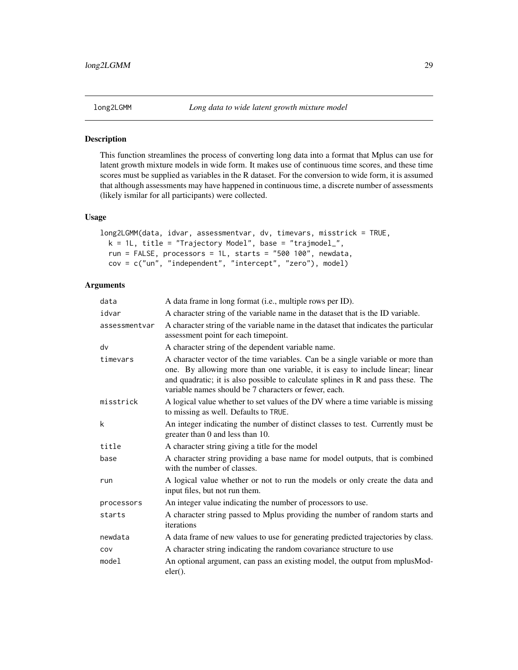# <span id="page-28-0"></span>Description

This function streamlines the process of converting long data into a format that Mplus can use for latent growth mixture models in wide form. It makes use of continuous time scores, and these time scores must be supplied as variables in the R dataset. For the conversion to wide form, it is assumed that although assessments may have happened in continuous time, a discrete number of assessments (likely ismilar for all participants) were collected.

#### Usage

```
long2LGMM(data, idvar, assessmentvar, dv, timevars, misstrick = TRUE,
 k = 1L, title = "Trajectory Model", base = "trajmodel_",
 run = FALSE, processors = 1L, starts = "500 100", newdata,
 cov = c("un", "independent", "intercept", "zero"), model)
```
# Arguments

| data          | A data frame in long format (i.e., multiple rows per ID).                                                                                                                                                                                                                                                     |  |
|---------------|---------------------------------------------------------------------------------------------------------------------------------------------------------------------------------------------------------------------------------------------------------------------------------------------------------------|--|
| idvar         | A character string of the variable name in the dataset that is the ID variable.                                                                                                                                                                                                                               |  |
| assessmentvar | A character string of the variable name in the dataset that indicates the particular<br>assessment point for each timepoint.                                                                                                                                                                                  |  |
| dv            | A character string of the dependent variable name.                                                                                                                                                                                                                                                            |  |
| timevars      | A character vector of the time variables. Can be a single variable or more than<br>one. By allowing more than one variable, it is easy to include linear; linear<br>and quadratic; it is also possible to calculate splines in R and pass these. The<br>variable names should be 7 characters or fewer, each. |  |
| misstrick     | A logical value whether to set values of the DV where a time variable is missing<br>to missing as well. Defaults to TRUE.                                                                                                                                                                                     |  |
| k             | An integer indicating the number of distinct classes to test. Currently must be<br>greater than 0 and less than 10.                                                                                                                                                                                           |  |
| title         | A character string giving a title for the model                                                                                                                                                                                                                                                               |  |
| base          | A character string providing a base name for model outputs, that is combined<br>with the number of classes.                                                                                                                                                                                                   |  |
| run           | A logical value whether or not to run the models or only create the data and<br>input files, but not run them.                                                                                                                                                                                                |  |
| processors    | An integer value indicating the number of processors to use.                                                                                                                                                                                                                                                  |  |
| starts        | A character string passed to Mplus providing the number of random starts and<br>iterations                                                                                                                                                                                                                    |  |
| newdata       | A data frame of new values to use for generating predicted trajectories by class.                                                                                                                                                                                                                             |  |
| COV           | A character string indicating the random covariance structure to use                                                                                                                                                                                                                                          |  |
| model         | An optional argument, can pass an existing model, the output from mplusMod-<br>$eler()$ .                                                                                                                                                                                                                     |  |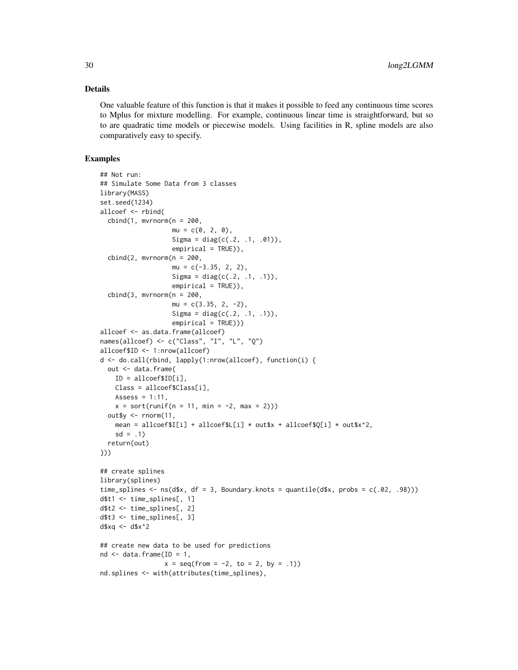# Details

One valuable feature of this function is that it makes it possible to feed any continuous time scores to Mplus for mixture modelling. For example, continuous linear time is straightforward, but so to are quadratic time models or piecewise models. Using facilities in R, spline models are also comparatively easy to specify.

# Examples

```
## Not run:
## Simulate Some Data from 3 classes
library(MASS)
set.seed(1234)
allcoef <- rbind(
  cbind(1, mvrnorm(n = 200,mu = c(0, 2, 0),
                   Sigma = diag(c(.2, .1, .01)),empirical = TRUE)),
  cbind(2, mvrnorm(n = 200,mu = c(-3.35, 2, 2),
                   Sigma = diag(c(.2, .1, .1)),empirical = TRUE)),
  cbind(3, mvrnorm(n = 200,mu = c(3.35, 2, -2),
                   Sigma = diag(c(.2, .1, .1)),empirical = TRUE)))
allcoef <- as.data.frame(allcoef)
names(allcoef) <- c("Class", "I", "L", "Q")
allcoef$ID <- 1:nrow(allcoef)
d <- do.call(rbind, lapply(1:nrow(allcoef), function(i) {
  out <- data.frame(
    ID = allcoef$ID[i],
    Class = allcoef$Class[i],
    Assess = 1:11,
    x = sort(runif(n = 11, min = -2, max = 2)))out$y \leq rnorm(11,
    mean = allcoef$I[i] + allcoef$L[i] * out$x + allcoef$O[i] * out$x^2,
    sd = .1return(out)
}))
## create splines
library(splines)
time_splines \leq ns(d$x, df = 3, Boundary.knots = quantile(d$x, probs = c(.02, .98)))
d$t1 <- time_splines[, 1]
d$t2 <- time_splines[, 2]
d$t3 <- time_splines[, 3]
d$xq <- d$x^2
## create new data to be used for predictions
nd \leq data.frame(ID = 1,
                 x = \text{seq}(\text{from} = -2, \text{to} = 2, \text{by} = .1)nd.splines <- with(attributes(time_splines),
```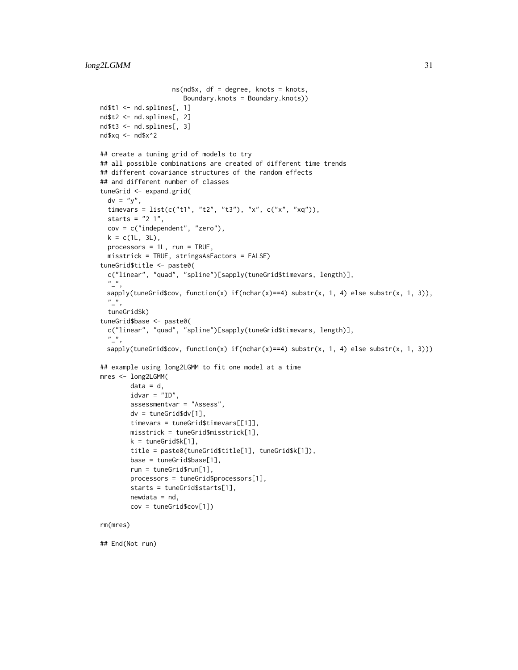```
ns(nd$x, df = degree, knots = knots,
                      Boundary.knots = Boundary.knots))
nd$t1 <- nd.splines[, 1]
nd$t2 <- nd.splines[, 2]
nd$t3 <- nd.splines[, 3]
nd$xq <- nd$x^2
## create a tuning grid of models to try
## all possible combinations are created of different time trends
## different covariance structures of the random effects
## and different number of classes
tuneGrid <- expand.grid(
  dv = "y",timevars = list(c("t1", "t2", "t3"), "x", c("x", "xq")),
  starts = "2 1",cov = c("independent", "zero"),
  k = c(1L, 3L),processors = 1L, run = TRUE,
  misstrick = TRUE, stringsAsFactors = FALSE)
tuneGrid$title <- paste0(
  c("linear", "quad", "spline")[sapply(tuneGrid$timevars, length)],
  "<sub>-</sub>",
 sapply(tuneGrid$cov, function(x) if(nchar(x)==4) substr(x, 1, 4) else substr(x, 1, 3)),
  \frac{n}{2},
  tuneGrid$k)
tuneGrid$base <- paste0(
  c("linear", "quad", "spline")[sapply(tuneGrid$timevars, length)],
  "<sub>-</sub>",
 sapply(tuneGrid$cov, function(x) if(nchar(x)==4) substr(x, 1, 4) else substr(x, 1, 3)))
## example using long2LGMM to fit one model at a time
mres <- long2LGMM(
        data = d,
        idvar = "ID",
        assessmentvar = "Assess",
        dv = tuneGrid$dv[1],
        timevars = tuneGrid$timevars[[1]],
        misstrick = tuneGrid$misstrick[1],
        k = tuneGrid$k[1],
        title = paste0(tuneGrid$title[1], tuneGrid$k[1]),
        base = tuneGrid$base[1],
        run = tuneGrid$run[1],
        processors = tuneGrid$processors[1],
        starts = tuneGrid$starts[1],
        newdata = nd,
        cov = tuneGrid$cov[1])
rm(mres)
```
## End(Not run)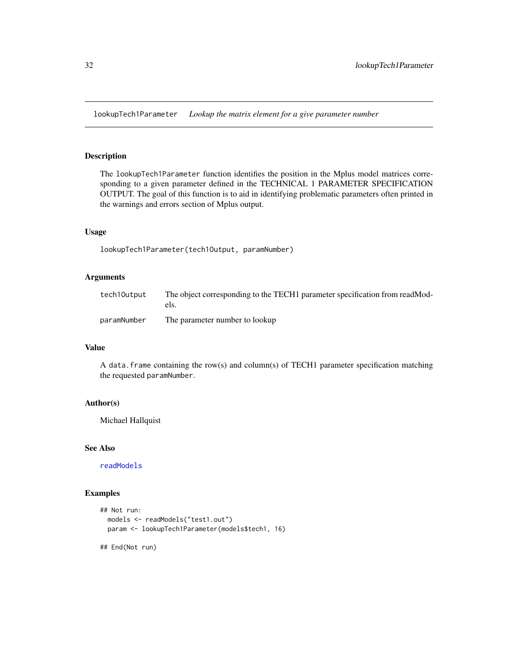<span id="page-31-0"></span>lookupTech1Parameter *Lookup the matrix element for a give parameter number*

# Description

The lookupTech1Parameter function identifies the position in the Mplus model matrices corresponding to a given parameter defined in the TECHNICAL 1 PARAMETER SPECIFICATION OUTPUT. The goal of this function is to aid in identifying problematic parameters often printed in the warnings and errors section of Mplus output.

# Usage

lookupTech1Parameter(tech1Output, paramNumber)

#### Arguments

| tech10utput | The object corresponding to the TECH1 parameter specification from readMod-<br>els. |
|-------------|-------------------------------------------------------------------------------------|
| paramNumber | The parameter number to lookup                                                      |

#### Value

A data.frame containing the row(s) and column(s) of TECH1 parameter specification matching the requested paramNumber.

# Author(s)

Michael Hallquist

#### See Also

[readModels](#page-60-1)

# Examples

```
## Not run:
  models <- readModels("test1.out")
  param <- lookupTech1Parameter(models$tech1, 16)
```
## End(Not run)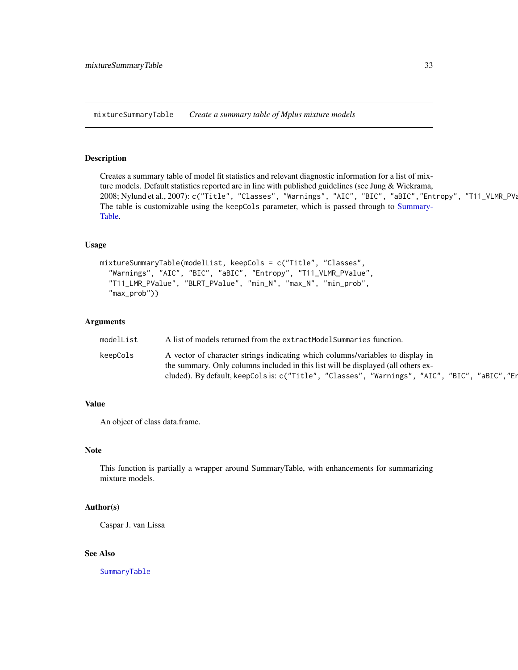<span id="page-32-0"></span>mixtureSummaryTable *Create a summary table of Mplus mixture models*

# Description

Creates a summary table of model fit statistics and relevant diagnostic information for a list of mixture models. Default statistics reported are in line with published guidelines (see Jung & Wickrama, 2008; Nylund et al., 2007): c("Title", "Classes", "Warnings", "AIC", "BIC", "aBIC", "Entropy", "T11\_VLMR\_PVa The table is customizable using the keepCols parameter, which is passed through to [Summary-](#page-68-1)[Table.](#page-68-1)

# Usage

```
mixtureSummaryTable(modelList, keepCols = c("Title", "Classes",
  "Warnings", "AIC", "BIC", "aBIC", "Entropy", "T11_VLMR_PValue",
  "T11_LMR_PValue", "BLRT_PValue", "min_N", "max_N", "min_prob",
  "max_prob"))
```
# **Arguments**

| modelList | A list of models returned from the extractModelSummaries function.                              |  |
|-----------|-------------------------------------------------------------------------------------------------|--|
| keepCols  | A vector of character strings indicating which columns/variables to display in                  |  |
|           | the summary. Only columns included in this list will be displayed (all others ex-               |  |
|           | "aBIC","Er<br>cluded). By default, keepCols is: c("Title", "Classes", "Warnings", "AIC", "BIC", |  |

#### Value

An object of class data.frame.

#### Note

This function is partially a wrapper around SummaryTable, with enhancements for summarizing mixture models.

# Author(s)

Caspar J. van Lissa

# See Also

[SummaryTable](#page-68-1)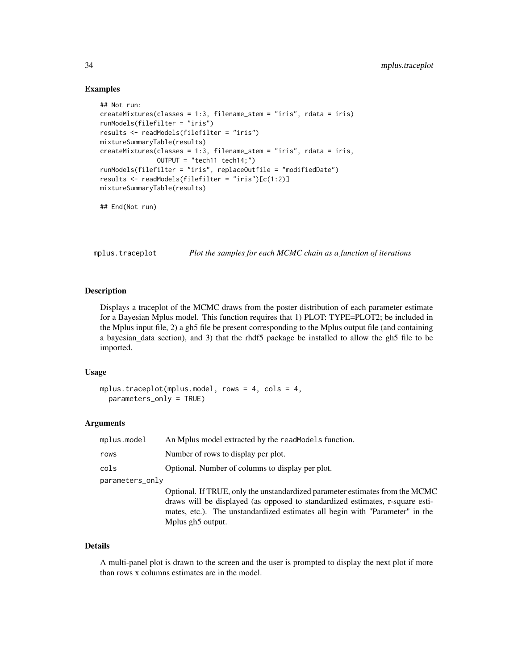# Examples

```
## Not run:
createMixtures(classes = 1:3, filename_stem = "iris", rdata = iris)
runModels(filefilter = "iris")
results <- readModels(filefilter = "iris")
mixtureSummaryTable(results)
createMixtures(classes = 1:3, filename_stem = "iris", rdata = iris,
               OUTPUT = "tech11 tech14;")
runModels(filefilter = "iris", replaceOutfile = "modifiedDate")
results <- readModels(filefilter = "iris")[c(1:2)]
mixtureSummaryTable(results)
## End(Not run)
```
mplus.traceplot *Plot the samples for each MCMC chain as a function of iterations*

## Description

Displays a traceplot of the MCMC draws from the poster distribution of each parameter estimate for a Bayesian Mplus model. This function requires that 1) PLOT: TYPE=PLOT2; be included in the Mplus input file, 2) a gh5 file be present corresponding to the Mplus output file (and containing a bayesian\_data section), and 3) that the rhdf5 package be installed to allow the gh5 file to be imported.

#### Usage

```
mplus.traceplot(mplus.model, rows = 4, cols = 4,
 parameters_only = TRUE)
```
# Arguments

| mplus.model     | An Mplus model extracted by the read Models function.                                                                                                                                                                                                                          |
|-----------------|--------------------------------------------------------------------------------------------------------------------------------------------------------------------------------------------------------------------------------------------------------------------------------|
| rows            | Number of rows to display per plot.                                                                                                                                                                                                                                            |
| cols            | Optional. Number of columns to display per plot.                                                                                                                                                                                                                               |
| parameters_only |                                                                                                                                                                                                                                                                                |
|                 | Optional. If TRUE, only the unstandardized parameter estimates from the MCMC<br>draws will be displayed (as opposed to standardized estimates, r-square esti-<br>mates, etc.). The unstandardized estimates all begin with "Parameter" in the<br>Mplus gh <sub>5</sub> output. |

# Details

A multi-panel plot is drawn to the screen and the user is prompted to display the next plot if more than rows x columns estimates are in the model.

<span id="page-33-0"></span>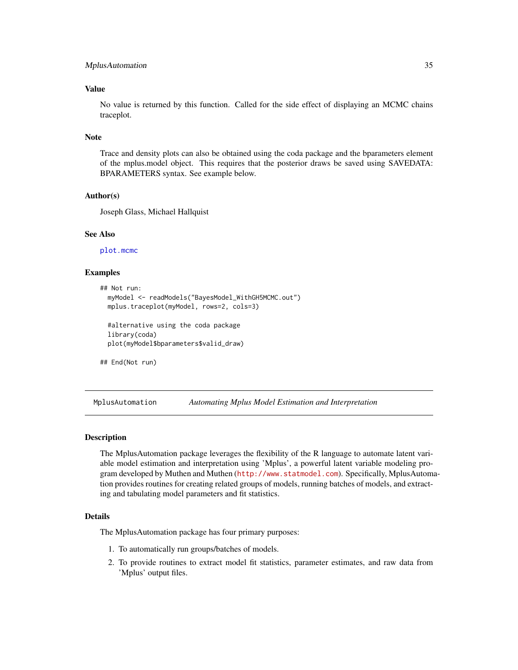#### <span id="page-34-0"></span>MplusAutomation 35

# Value

No value is returned by this function. Called for the side effect of displaying an MCMC chains traceplot.

#### Note

Trace and density plots can also be obtained using the coda package and the bparameters element of the mplus.model object. This requires that the posterior draws be saved using SAVEDATA: BPARAMETERS syntax. See example below.

# Author(s)

Joseph Glass, Michael Hallquist

#### See Also

[plot.mcmc](#page-0-0)

# Examples

```
## Not run:
 myModel <- readModels("BayesModel_WithGH5MCMC.out")
 mplus.traceplot(myModel, rows=2, cols=3)
 #alternative using the coda package
 library(coda)
 plot(myModel$bparameters$valid_draw)
```
## End(Not run)

MplusAutomation *Automating Mplus Model Estimation and Interpretation*

# Description

The MplusAutomation package leverages the flexibility of the R language to automate latent variable model estimation and interpretation using 'Mplus', a powerful latent variable modeling program developed by Muthen and Muthen (<http://www.statmodel.com>). Specifically, MplusAutomation provides routines for creating related groups of models, running batches of models, and extracting and tabulating model parameters and fit statistics.

# Details

The MplusAutomation package has four primary purposes:

- 1. To automatically run groups/batches of models.
- 2. To provide routines to extract model fit statistics, parameter estimates, and raw data from 'Mplus' output files.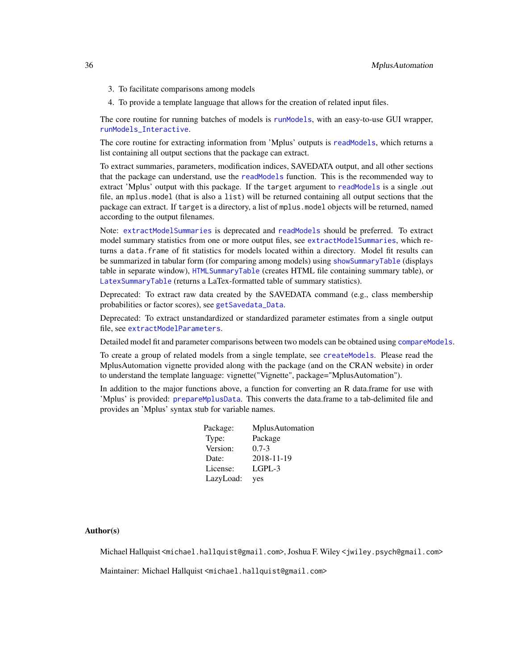- 3. To facilitate comparisons among models
- 4. To provide a template language that allows for the creation of related input files.

The core routine for running batches of models is [runModels](#page-63-1), with an easy-to-use GUI wrapper, [runModels\\_Interactive](#page-64-1).

The core routine for extracting information from 'Mplus' outputs is [readModels](#page-60-1), which returns a list containing all output sections that the package can extract.

To extract summaries, parameters, modification indices, SAVEDATA output, and all other sections that the package can understand, use the [readModels](#page-60-1) function. This is the recommended way to extract 'Mplus' output with this package. If the target argument to [readModels](#page-60-1) is a single .out file, an mplus.model (that is also a list) will be returned containing all output sections that the package can extract. If target is a directory, a list of mplus.model objects will be returned, named according to the output filenames.

Note: [extractModelSummaries](#page-17-1) is deprecated and [readModels](#page-60-1) should be preferred. To extract model summary statistics from one or more output files, see [extractModelSummaries](#page-17-1), which returns a data.frame of fit statistics for models located within a directory. Model fit results can be summarized in tabular form (for comparing among models) using [showSummaryTable](#page-66-1) (displays table in separate window), [HTMLSummaryTable](#page-24-1) (creates HTML file containing summary table), or [LatexSummaryTable](#page-26-1) (returns a LaTex-formatted table of summary statistics).

Deprecated: To extract raw data created by the SAVEDATA command (e.g., class membership probabilities or factor scores), see [getSavedata\\_Data](#page-22-1).

Deprecated: To extract unstandardized or standardized parameter estimates from a single output file, see [extractModelParameters](#page-14-1).

Detailed model fit and parameter comparisons between two models can be obtained using [compareModels](#page-4-1).

To create a group of related models from a single template, see [createModels](#page-10-1). Please read the MplusAutomation vignette provided along with the package (and on the CRAN website) in order to understand the template language: vignette("Vignette", package="MplusAutomation").

In addition to the major functions above, a function for converting an R data.frame for use with 'Mplus' is provided: [prepareMplusData](#page-56-1). This converts the data.frame to a tab-delimited file and provides an 'Mplus' syntax stub for variable names.

| Package:  | MplusAutomation |
|-----------|-----------------|
| Type:     | Package         |
| Version:  | $0.7 - 3$       |
| Date:     | 2018-11-19      |
| License:  | $L$ GPL-3       |
| LazyLoad: | yes             |

#### Author(s)

Michael Hallquist <michael.hallquist@gmail.com>, Joshua F. Wiley <jwiley.psych@gmail.com>

Maintainer: Michael Hallquist <michael.hallquist@gmail.com>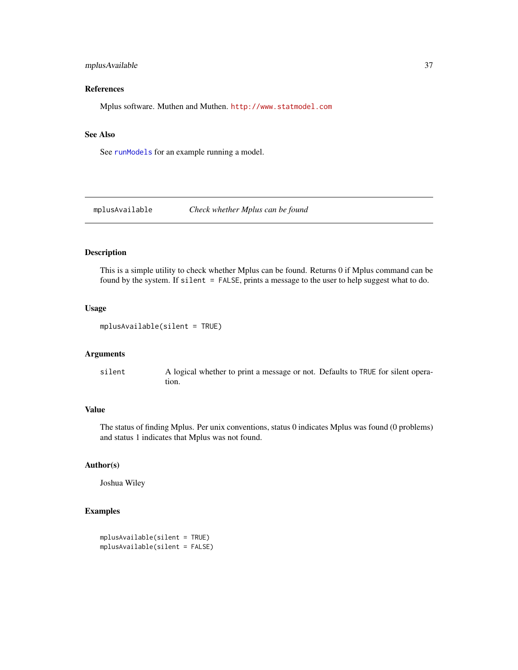# mplusAvailable 37

# References

Mplus software. Muthen and Muthen. <http://www.statmodel.com>

## See Also

See [runModels](#page-63-0) for an example running a model.

mplusAvailable *Check whether Mplus can be found*

## Description

This is a simple utility to check whether Mplus can be found. Returns 0 if Mplus command can be found by the system. If silent = FALSE, prints a message to the user to help suggest what to do.

#### Usage

```
mplusAvailable(silent = TRUE)
```
# Arguments

silent A logical whether to print a message or not. Defaults to TRUE for silent operation.

# Value

The status of finding Mplus. Per unix conventions, status 0 indicates Mplus was found (0 problems) and status 1 indicates that Mplus was not found.

# Author(s)

Joshua Wiley

```
mplusAvailable(silent = TRUE)
mplusAvailable(silent = FALSE)
```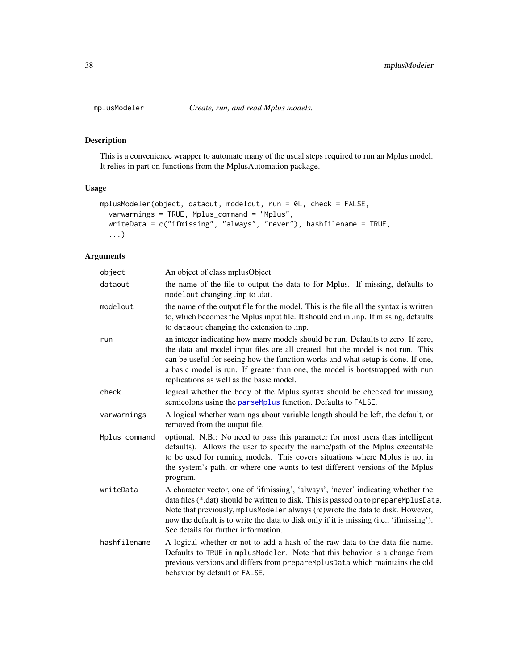<span id="page-37-0"></span>

# Description

This is a convenience wrapper to automate many of the usual steps required to run an Mplus model. It relies in part on functions from the MplusAutomation package.

# Usage

```
mplusModeler(object, dataout, modelout, run = 0L, check = FALSE,
  varwarnings = TRUE, Mplus_command = "Mplus",
 writeData = c("ifmissing", "always", "never"), hashfilename = TRUE,
  ...)
```

| object        | An object of class mplusObject                                                                                                                                                                                                                                                                                                                                                                |
|---------------|-----------------------------------------------------------------------------------------------------------------------------------------------------------------------------------------------------------------------------------------------------------------------------------------------------------------------------------------------------------------------------------------------|
| dataout       | the name of the file to output the data to for Mplus. If missing, defaults to<br>modelout changing .inp to .dat.                                                                                                                                                                                                                                                                              |
| modelout      | the name of the output file for the model. This is the file all the syntax is written<br>to, which becomes the Mplus input file. It should end in .inp. If missing, defaults<br>to dataout changing the extension to .inp.                                                                                                                                                                    |
| run           | an integer indicating how many models should be run. Defaults to zero. If zero,<br>the data and model input files are all created, but the model is not run. This<br>can be useful for seeing how the function works and what setup is done. If one,<br>a basic model is run. If greater than one, the model is bootstrapped with run<br>replications as well as the basic model.             |
| check         | logical whether the body of the Mplus syntax should be checked for missing<br>semicolons using the parseMplus function. Defaults to FALSE.                                                                                                                                                                                                                                                    |
| varwarnings   | A logical whether warnings about variable length should be left, the default, or<br>removed from the output file.                                                                                                                                                                                                                                                                             |
| Mplus_command | optional. N.B.: No need to pass this parameter for most users (has intelligent<br>defaults). Allows the user to specify the name/path of the Mplus executable<br>to be used for running models. This covers situations where Mplus is not in<br>the system's path, or where one wants to test different versions of the Mplus<br>program.                                                     |
| writeData     | A character vector, one of 'ifmissing', 'always', 'never' indicating whether the<br>data files (*.dat) should be written to disk. This is passed on to prepareMplusData.<br>Note that previously, mplusModeler always (re)wrote the data to disk. However,<br>now the default is to write the data to disk only if it is missing (i.e., 'ifmissing').<br>See details for further information. |
| hashfilename  | A logical whether or not to add a hash of the raw data to the data file name.<br>Defaults to TRUE in mplusModeler. Note that this behavior is a change from<br>previous versions and differs from prepareMplusData which maintains the old<br>behavior by default of FALSE.                                                                                                                   |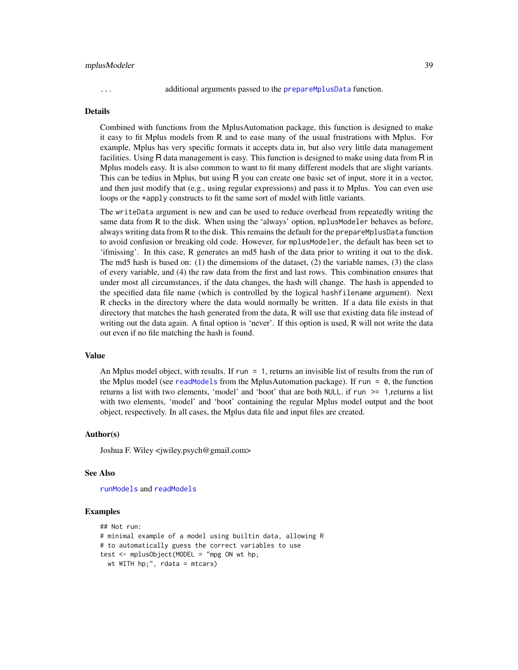#### mplusModeler 39

... additional arguments passed to the [prepareMplusData](#page-56-0) function.

#### Details

Combined with functions from the MplusAutomation package, this function is designed to make it easy to fit Mplus models from R and to ease many of the usual frustrations with Mplus. For example, Mplus has very specific formats it accepts data in, but also very little data management facilities. Using R data management is easy. This function is designed to make using data from R in Mplus models easy. It is also common to want to fit many different models that are slight variants. This can be tedius in Mplus, but using R you can create one basic set of input, store it in a vector, and then just modify that (e.g., using regular expressions) and pass it to Mplus. You can even use loops or the \*apply constructs to fit the same sort of model with little variants.

The writeData argument is new and can be used to reduce overhead from repeatedly writing the same data from R to the disk. When using the 'always' option, mplusModeler behaves as before, always writing data from R to the disk. This remains the default for the prepareMplusData function to avoid confusion or breaking old code. However, for mplusModeler, the default has been set to 'ifmissing'. In this case, R generates an md5 hash of the data prior to writing it out to the disk. The md5 hash is based on: (1) the dimensions of the dataset, (2) the variable names, (3) the class of every variable, and (4) the raw data from the first and last rows. This combination ensures that under most all circumstances, if the data changes, the hash will change. The hash is appended to the specified data file name (which is controlled by the logical hashfilename argument). Next R checks in the directory where the data would normally be written. If a data file exists in that directory that matches the hash generated from the data, R will use that existing data file instead of writing out the data again. A final option is 'never'. If this option is used, R will not write the data out even if no file matching the hash is found.

#### Value

An Mplus model object, with results. If run = 1, returns an invisible list of results from the run of the Mplus model (see [readModels](#page-60-0) from the MplusAutomation package). If run =  $\theta$ , the function returns a list with two elements, 'model' and 'boot' that are both NULL. if run >= 1,returns a list with two elements, 'model' and 'boot' containing the regular Mplus model output and the boot object, respectively. In all cases, the Mplus data file and input files are created.

#### Author(s)

Joshua F. Wiley <jwiley.psych@gmail.com>

#### See Also

[runModels](#page-63-0) and [readModels](#page-60-0)

```
## Not run:
# minimal example of a model using builtin data, allowing R
# to automatically guess the correct variables to use
test <- mplusObject(MODEL = "mpg ON wt hp;
 wt WITH hp;", rdata = mtcars)
```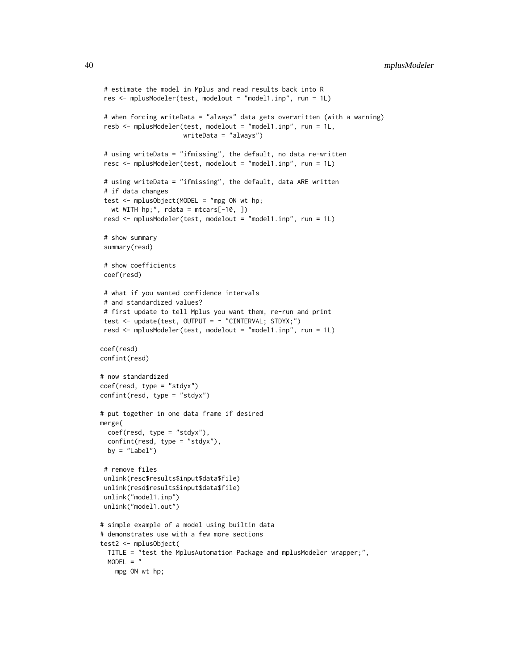```
# estimate the model in Mplus and read results back into R
res <- mplusModeler(test, modelout = "model1.inp", run = 1L)
 # when forcing writeData = "always" data gets overwritten (with a warning)
resb <- mplusModeler(test, modelout = "model1.inp", run = 1L,
                      writeData = "always")
 # using writeData = "ifmissing", the default, no data re-written
resc <- mplusModeler(test, modelout = "model1.inp", run = 1L)
 # using writeData = "ifmissing", the default, data ARE written
# if data changes
 test <- mplusObject(MODEL = "mpg ON wt hp;
  wt WITH hp;", rdata = mtcars[-10, ])
resd <- mplusModeler(test, modelout = "model1.inp", run = 1L)
# show summary
summary(resd)
# show coefficients
coef(resd)
# what if you wanted confidence intervals
# and standardized values?
# first update to tell Mplus you want them, re-run and print
test <- update(test, OUTPUT = ~ "CINTERVAL; STDYX;")
resd <- mplusModeler(test, modelout = "model1.inp", run = 1L)
coef(resd)
confint(resd)
# now standardized
coef(resd, type = "stdyx")
confint(resd, type = "stdyx")
# put together in one data frame if desired
merge(
 coef(resd, type = "stdyx"),
 confint(resd, type = "stdyx"),
 by = "Label")
 # remove files
unlink(resc$results$input$data$file)
unlink(resd$results$input$data$file)
unlink("model1.inp")
unlink("model1.out")
# simple example of a model using builtin data
# demonstrates use with a few more sections
test2 <- mplusObject(
 TITLE = "test the MplusAutomation Package and mplusModeler wrapper;",
 MODEL = "mpg ON wt hp;
```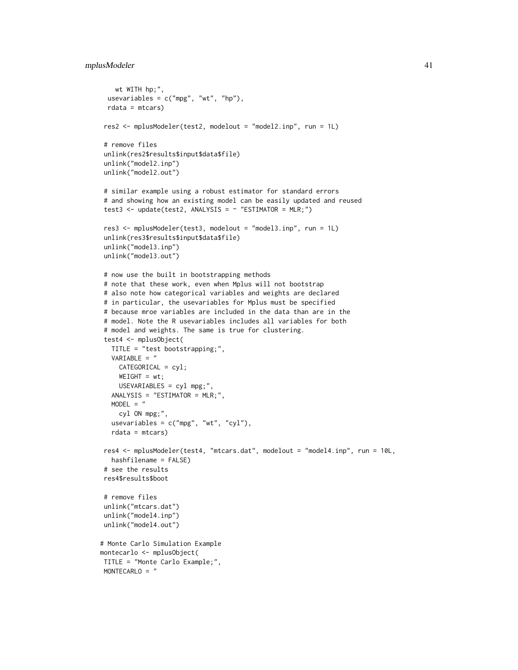# mplusModeler 41

```
wt WITH hp;",
 usevariables = c("mpg", "wt", "hp"),
 rdata = mtcars)
res2 <- mplusModeler(test2, modelout = "model2.inp", run = 1L)
# remove files
unlink(res2$results$input$data$file)
unlink("model2.inp")
unlink("model2.out")
# similar example using a robust estimator for standard errors
# and showing how an existing model can be easily updated and reused
test3 <- update(test2, ANALYSIS = \sim "ESTIMATOR = MLR;")
res3 <- mplusModeler(test3, modelout = "model3.inp", run = 1L)
unlink(res3$results$input$data$file)
unlink("model3.inp")
unlink("model3.out")
# now use the built in bootstrapping methods
# note that these work, even when Mplus will not bootstrap
# also note how categorical variables and weights are declared
# in particular, the usevariables for Mplus must be specified
# because mroe variables are included in the data than are in the
# model. Note the R usevariables includes all variables for both
# model and weights. The same is true for clustering.
test4 <- mplusObject(
  TITLE = "test bootstrapping;",
  VARIABLE = "
    CATEGORICAL = cyl;
    WEIGHT = wt;USEVARIABLES = cyl mpg;",
  ANALYSIS = "ESTIMATOR = MLR;",
  MODEL = "cyl ON mpg;"
  usevariables = c("mpg", "wt", "cyl"),
  rdata = mtcars)
res4 <- mplusModeler(test4, "mtcars.dat", modelout = "model4.inp", run = 10L,
  hashfilename = FALSE)
# see the results
res4$results$boot
# remove files
unlink("mtcars.dat")
unlink("model4.inp")
unlink("model4.out")
# Monte Carlo Simulation Example
montecarlo <- mplusObject(
TITLE = "Monte Carlo Example;",
MONTECARLO = "
```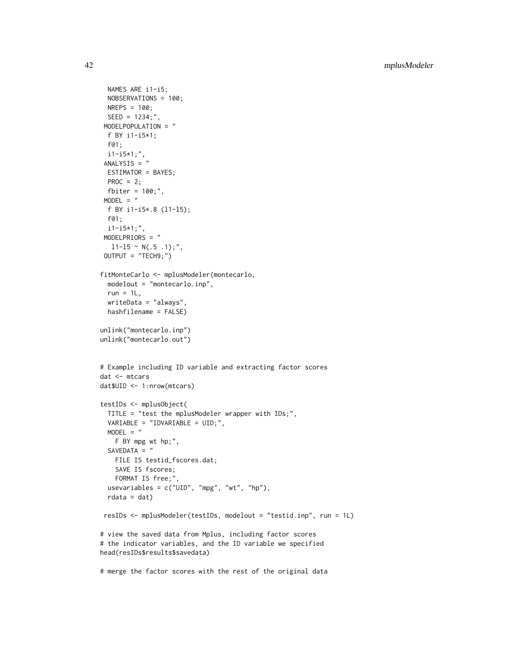```
NAMES ARE i1-i5;
  NOBSERVATIONS = 100;
  NREPS = 100;
 SEED = 1234;",
 MODELPOPULATION = "
 f BY i1-i5*1;
 f@1;
 i1-i5*1;",
 ANALYSIS = "
 ESTIMATOR = BAYES;
 PROC = 2;fbiter = 100;",
 MODEL = "f BY i1-i5*.8 (l1-l5);
  f@1;
 i1-i5*1;",
 MODELPRIORS = "
  11-15 \sim N(.5.1);",
 OUTPUT = "TECH9;")
fitMonteCarlo <- mplusModeler(montecarlo,
  modelout = "montecarlo.inp",
  run = 1L,
  writeData = "always",
  hashfilename = FALSE)
unlink("montecarlo.inp")
unlink("montecarlo.out")
# Example including ID variable and extracting factor scores
dat <- mtcars
dat$UID <- 1:nrow(mtcars)
testIDs <- mplusObject(
  TITLE = "test the mplusModeler wrapper with IDs;",
  VARIABLE = "IDVARIABLE = UID;",
 MODEL = "F BY mpg wt hp;",
  SAVEDATA = "
   FILE IS testid_fscores.dat;
   SAVE IS fscores;
   FORMAT IS free;",
  usevariables = c("UID", "mpg", "wt", "hp"),
  rdata = dat)
 resIDs <- mplusModeler(testIDs, modelout = "testid.inp", run = 1L)
# view the saved data from Mplus, including factor scores
# the indicator variables, and the ID variable we specified
head(resIDs$results$savedata)
# merge the factor scores with the rest of the original data
```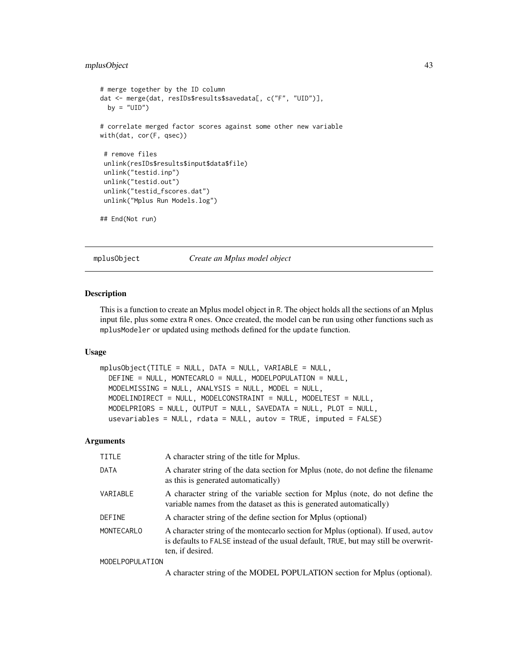# mplusObject 43

```
# merge together by the ID column
dat <- merge(dat, resIDs$results$savedata[, c("F", "UID")],
 by = "UID")
# correlate merged factor scores against some other new variable
with(dat, cor(F, qsec))
 # remove files
unlink(resIDs$results$input$data$file)
unlink("testid.inp")
unlink("testid.out")
unlink("testid_fscores.dat")
unlink("Mplus Run Models.log")
## End(Not run)
```
mplusObject *Create an Mplus model object*

# Description

This is a function to create an Mplus model object in R. The object holds all the sections of an Mplus input file, plus some extra R ones. Once created, the model can be run using other functions such as mplusModeler or updated using methods defined for the update function.

# Usage

```
mplusObject(TITLE = NULL, DATA = NULL, VARIABLE = NULL,
 DEFINE = NULL, MONTECARLO = NULL, MODELPOPULATION = NULL,
 MODELMISSING = NULL, ANALYSIS = NULL, MODEL = NULL,
 MODELINDIRECT = NULL, MODELCONSTRAINT = NULL, MODELTEST = NULL,
 MODELPRIORS = NULL, OUTPUT = NULL, SAVEDATA = NULL, PLOT = NULL,
  usevariables = NULL, rdata = NULL, autov = TRUE, imputed = FALSE)
```

| <b>TITLE</b>      | A character string of the title for Mplus.                                                                                                                                                   |
|-------------------|----------------------------------------------------------------------------------------------------------------------------------------------------------------------------------------------|
| DATA              | A charater string of the data section for Mplus (note, do not define the filename<br>as this is generated automatically)                                                                     |
| VARIABLE          | A character string of the variable section for Mplus (note, do not define the<br>variable names from the dataset as this is generated automatically)                                         |
| <b>DEFINE</b>     | A character string of the define section for Mplus (optional)                                                                                                                                |
| <b>MONTECARLO</b> | A character string of the montecarlo section for Mplus (optional). If used, autov<br>is defaults to FALSE instead of the usual default, TRUE, but may still be overwrit-<br>ten, if desired. |
| MODELPOPULATION   |                                                                                                                                                                                              |
|                   | A character string of the MODEL POPULATION section for Mplus (optional).                                                                                                                     |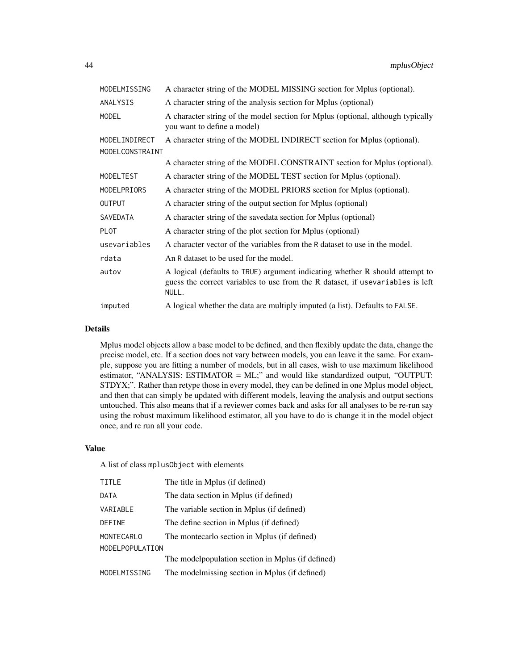| MODELMISSING     | A character string of the MODEL MISSING section for Mplus (optional).                                                                                                   |
|------------------|-------------------------------------------------------------------------------------------------------------------------------------------------------------------------|
| ANALYSIS         | A character string of the analysis section for Mplus (optional)                                                                                                         |
| <b>MODEL</b>     | A character string of the model section for Mplus (optional, although typically<br>you want to define a model)                                                          |
| MODELINDIRECT    | A character string of the MODEL INDIRECT section for Mplus (optional).                                                                                                  |
| MODELCONSTRAINT  |                                                                                                                                                                         |
|                  | A character string of the MODEL CONSTRAINT section for Mplus (optional).                                                                                                |
| <b>MODELTEST</b> | A character string of the MODEL TEST section for Mplus (optional).                                                                                                      |
| MODELPRIORS      | A character string of the MODEL PRIORS section for Mplus (optional).                                                                                                    |
| <b>OUTPUT</b>    | A character string of the output section for Mplus (optional)                                                                                                           |
| <b>SAVEDATA</b>  | A character string of the savedata section for Mplus (optional)                                                                                                         |
| <b>PLOT</b>      | A character string of the plot section for Mplus (optional)                                                                                                             |
| usevariables     | A character vector of the variables from the R dataset to use in the model.                                                                                             |
| rdata            | An R dataset to be used for the model.                                                                                                                                  |
| autov            | A logical (defaults to TRUE) argument indicating whether R should attempt to<br>guess the correct variables to use from the R dataset, if usevariables is left<br>NULL. |
| imputed          | A logical whether the data are multiply imputed (a list). Defaults to FALSE.                                                                                            |

#### Details

Mplus model objects allow a base model to be defined, and then flexibly update the data, change the precise model, etc. If a section does not vary between models, you can leave it the same. For example, suppose you are fitting a number of models, but in all cases, wish to use maximum likelihood estimator, "ANALYSIS: ESTIMATOR = ML;" and would like standardized output, "OUTPUT: STDYX;". Rather than retype those in every model, they can be defined in one Mplus model object, and then that can simply be updated with different models, leaving the analysis and output sections untouched. This also means that if a reviewer comes back and asks for all analyses to be re-run say using the robust maximum likelihood estimator, all you have to do is change it in the model object once, and re run all your code.

#### Value

A list of class mplusObject with elements

| TITLE           | The title in Mplus (if defined)                    |
|-----------------|----------------------------------------------------|
| DATA            | The data section in Mplus (if defined)             |
| VARIABLE        | The variable section in Mplus (if defined)         |
| DEFINE          | The define section in Mplus (if defined)           |
| MONTECARLO      | The montecarlo section in Mplus (if defined)       |
| MODELPOPULATION |                                                    |
|                 | The model population section in Mplus (if defined) |
| MODELMISSING    | The modelmissing section in Mplus (if defined)     |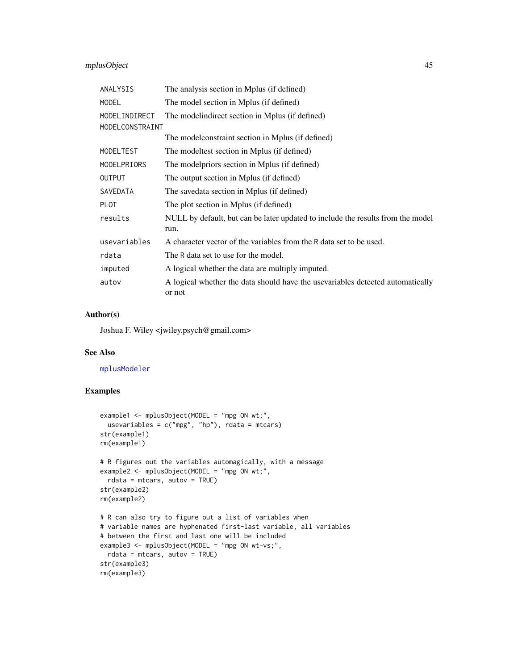# mplusObject 45

| ANALYSIS        | The analysis section in Mplus (if defined)                                               |
|-----------------|------------------------------------------------------------------------------------------|
| <b>MODEL</b>    | The model section in Mplus (if defined)                                                  |
| MODELINDIRECT   | The model indirect section in Mplus (if defined)                                         |
| MODELCONSTRAINT |                                                                                          |
|                 | The model constraint section in Mplus (if defined)                                       |
| MODELTEST       | The modeltest section in Mplus (if defined)                                              |
| MODELPRIORS     | The modelpriors section in Mplus (if defined)                                            |
| <b>OUTPUT</b>   | The output section in Mplus (if defined)                                                 |
| SAVEDATA        | The savedata section in Mplus (if defined)                                               |
| <b>PLOT</b>     | The plot section in Mplus (if defined)                                                   |
| results         | NULL by default, but can be later updated to include the results from the model<br>run.  |
| usevariables    | A character vector of the variables from the R data set to be used.                      |
| rdata           | The R data set to use for the model.                                                     |
| imputed         | A logical whether the data are multiply imputed.                                         |
| autov           | A logical whether the data should have the usevariables detected automatically<br>or not |

## Author(s)

Joshua F. Wiley <jwiley.psych@gmail.com>

#### See Also

## [mplusModeler](#page-37-0)

```
example1 <- mplusObject(MODEL = "mpg ON wt;",
  usevariables = c("mpg", "hp"), rdata = mtcars)
str(example1)
rm(example1)
# R figures out the variables automagically, with a message
example2 <- mplusObject(MODEL = "mpg ON wt;",
  rdata = mtcars, autov = TRUE)str(example2)
rm(example2)
# R can also try to figure out a list of variables when
# variable names are hyphenated first-last variable, all variables
# between the first and last one will be included
example3 <- mplusObject(MODEL = "mpg ON wt-vs;",
  rdata = mtcars, autov = TRUE)
str(example3)
rm(example3)
```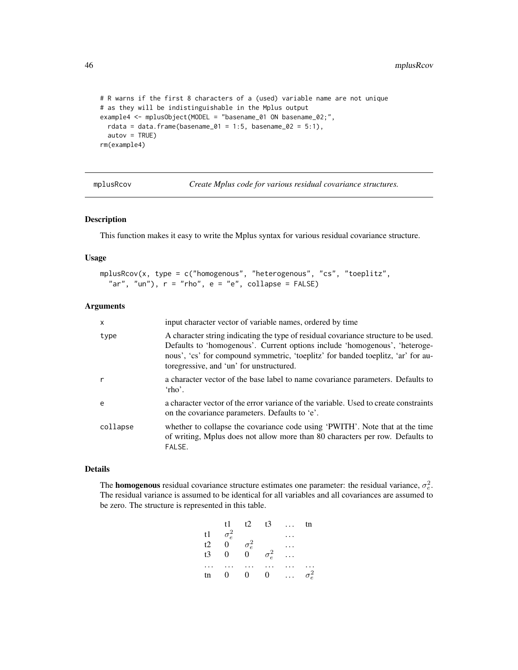```
# R warns if the first 8 characters of a (used) variable name are not unique
# as they will be indistinguishable in the Mplus output
example4 <- mplusObject(MODEL = "basename_01 ON basename_02;",
  rdata = data.frame(basename_01 = 1:5, basename_02 = 5:1),
  autov = TRUE)rm(example4)
```
mplusRcov *Create Mplus code for various residual covariance structures.*

## Description

This function makes it easy to write the Mplus syntax for various residual covariance structure.

## Usage

```
mplusRcov(x, type = c("homogenous", "heterogenous", "cs", "toeplitz",
  "ar", "un"), r = "rho", e = "e", collapse = FALSE)
```
# Arguments

| $\mathsf{x}$ | input character vector of variable names, ordered by time                                                                                                                                                                                                                                         |
|--------------|---------------------------------------------------------------------------------------------------------------------------------------------------------------------------------------------------------------------------------------------------------------------------------------------------|
| type         | A character string indicating the type of residual covariance structure to be used.<br>Defaults to 'homogenous'. Current options include 'homogenous', 'heteroge-<br>nous', 'cs' for compound symmetric, 'toeplitz' for banded toeplitz, 'ar' for au-<br>toregressive, and 'un' for unstructured. |
| r            | a character vector of the base label to name covariance parameters. Defaults to<br>$'$ rho'.                                                                                                                                                                                                      |
| e            | a character vector of the error variance of the variable. Used to create constraints<br>on the covariance parameters. Defaults to 'e'.                                                                                                                                                            |
| collapse     | whether to collapse the covariance code using 'PWITH'. Note that at the time<br>of writing, Mplus does not allow more than 80 characters per row. Defaults to<br>FALSE.                                                                                                                           |

#### Details

The **homogenous** residual covariance structure estimates one parameter: the residual variance,  $\sigma_e^2$ . The residual variance is assumed to be identical for all variables and all covariances are assumed to be zero. The structure is represented in this table.

| t1 -             | t2             |              |              | tn           |
|------------------|----------------|--------------|--------------|--------------|
|                  |                |              |              |              |
| $\boldsymbol{0}$ |                |              |              |              |
| $\mathbf{0}$     | $\overline{0}$ |              |              |              |
|                  |                |              |              |              |
| $\overline{0}$   | $\overline{0}$ | 0            |              | $\sigma_e^2$ |
|                  | $\sigma_e^2$   | $\sigma_e^2$ | $\sigma_e^2$ | $t3 \ldots$  |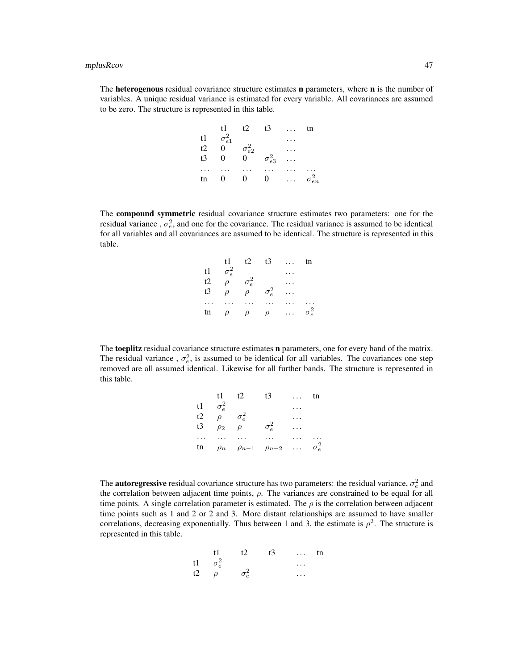The heterogenous residual covariance structure estimates n parameters, where n is the number of variables. A unique residual variance is estimated for every variable. All covariances are assumed to be zero. The structure is represented in this table.

|                      | t1.             | t2              | t3              | tn              |
|----------------------|-----------------|-----------------|-----------------|-----------------|
| t1                   | $\sigma_{e1}^2$ |                 |                 |                 |
| t2                   | 0               | $\sigma^2_{e2}$ |                 |                 |
| t3                   | 0               | 0               | $\sigma_{e3}^2$ |                 |
| $\ddot{\phantom{0}}$ |                 |                 |                 |                 |
| tn                   | $\theta$        | $_{0}$          | 0               | $\sigma_{en}^2$ |
|                      |                 |                 |                 |                 |

The compound symmetric residual covariance structure estimates two parameters: one for the residual variance,  $\sigma_e^2$ , and one for the covariance. The residual variance is assumed to be identical for all variables and all covariances are assumed to be identical. The structure is represented in this table.

| t1.          | t2     |              | $\cdots$           | tn           |
|--------------|--------|--------------|--------------------|--------------|
| $\sigma_e^2$ |        |              |                    |              |
| $\rho$       |        |              |                    |              |
| $\rho$       | $\rho$ |              |                    |              |
|              |        |              |                    |              |
| $\rho$       | $\rho$ | $\rho$       |                    | $\sigma_e^2$ |
|              |        | $\sigma_e^2$ | t3<br>$\sigma_e^2$ |              |

The toeplitz residual covariance structure estimates n parameters, one for every band of the matrix. The residual variance,  $\sigma_e^2$ , is assumed to be identical for all variables. The covariances one step removed are all assumed identical. Likewise for all further bands. The structure is represented in this table.

|          | t1           | t2                                 | t3           |          | tn           |
|----------|--------------|------------------------------------|--------------|----------|--------------|
| t1       | $\sigma_e^2$ |                                    |              |          |              |
| t2       | $\rho$       | $\sigma_e^2$                       |              |          |              |
| t3       | $\rho_2$     | ρ                                  | $\sigma_e^2$ |          |              |
| $\cdots$ |              |                                    |              |          |              |
| tn       |              | $\rho_n$ $\rho_{n-1}$ $\rho_{n-2}$ |              | $\cdots$ | $\sigma_e^2$ |

The **autoregressive** residual covariance structure has two parameters: the residual variance,  $\sigma_e^2$  and the correlation between adjacent time points,  $\rho$ . The variances are constrained to be equal for all time points. A single correlation parameter is estimated. The  $\rho$  is the correlation between adjacent time points such as 1 and 2 or 2 and 3. More distant relationships are assumed to have smaller correlations, decreasing exponentially. Thus between 1 and 3, the estimate is  $\rho^2$ . The structure is represented in this table.

|    | t 1           | $+2$ | t3 | $\cdots$ | tn |
|----|---------------|------|----|----------|----|
| t1 | $\sigma_e^2$  |      |    | $\cdots$ |    |
| t2 | $\mathcal{D}$ |      |    | .        |    |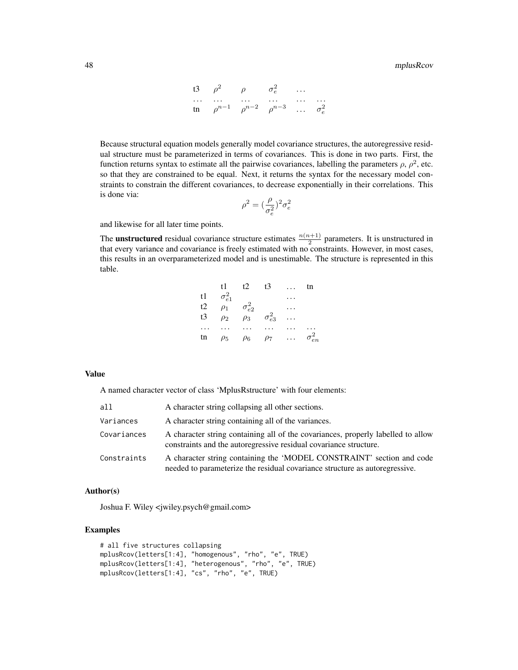13 
$$
\rho^2
$$
  $\rho$   $\sigma_e^2$  ...  
\n... ... ...  
\n $\rho^{n-1}$   $\rho^{n-2}$   $\rho^{n-3}$  ...  $\sigma_e^2$ 

Because structural equation models generally model covariance structures, the autoregressive residual structure must be parameterized in terms of covariances. This is done in two parts. First, the function returns syntax to estimate all the pairwise covariances, labelling the parameters  $\rho$ ,  $\rho^2$ , etc. so that they are constrained to be equal. Next, it returns the syntax for the necessary model constraints to constrain the different covariances, to decrease exponentially in their correlations. This is done via:

$$
\rho^2=(\frac{\rho}{\sigma_e^2})^2\sigma_e^2
$$

and likewise for all later time points.

The **unstructured** residual covariance structure estimates  $\frac{n(n+1)}{2}$  parameters. It is unstructured in that every variance and covariance is freely estimated with no constraints. However, in most cases, this results in an overparameterized model and is unestimable. The structure is represented in this table.

| t1              | t2       | t3              |                 | tn              |
|-----------------|----------|-----------------|-----------------|-----------------|
| $\sigma_{e1}^2$ |          |                 |                 |                 |
| $\rho_1$        |          |                 |                 |                 |
| $\rho_2$        | $\rho_3$ |                 |                 |                 |
|                 |          |                 |                 |                 |
| $\rho_5$        | $\rho_6$ | $\rho_7$        |                 | $\sigma_{en}^2$ |
|                 |          | $\sigma_{e2}^2$ | $\sigma_{e3}^2$ |                 |

#### Value

A named character vector of class 'MplusRstructure' with four elements:

| all         | A character string collapsing all other sections.                                                                                                     |
|-------------|-------------------------------------------------------------------------------------------------------------------------------------------------------|
| Variances   | A character string containing all of the variances.                                                                                                   |
| Covariances | A character string containing all of the covariances, properly labelled to allow<br>constraints and the autoregressive residual covariance structure. |
| Constraints | A character string containing the 'MODEL CONSTRAINT' section and code<br>needed to parameterize the residual covariance structure as autoregressive.  |

## Author(s)

Joshua F. Wiley <jwiley.psych@gmail.com>

```
# all five structures collapsing
mplusRcov(letters[1:4], "homogenous", "rho", "e", TRUE)
mplusRcov(letters[1:4], "heterogenous", "rho", "e", TRUE)
mplusRcov(letters[1:4], "cs", "rho", "e", TRUE)
```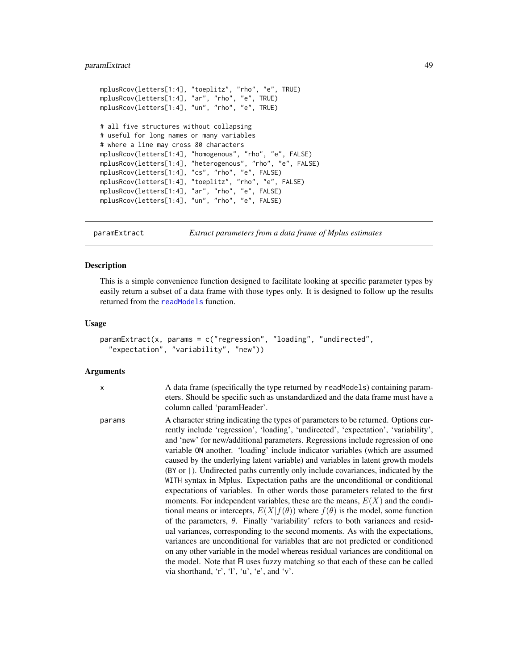# paramExtract 49

```
mplusRcov(letters[1:4], "toeplitz", "rho", "e", TRUE)
mplusRcov(letters[1:4], "ar", "rho", "e", TRUE)
mplusRcov(letters[1:4], "un", "rho", "e", TRUE)
# all five structures without collapsing
# useful for long names or many variables
# where a line may cross 80 characters
mplusRcov(letters[1:4], "homogenous", "rho", "e", FALSE)
mplusRcov(letters[1:4], "heterogenous", "rho", "e", FALSE)
mplusRcov(letters[1:4], "cs", "rho", "e", FALSE)
mplusRcov(letters[1:4], "toeplitz", "rho", "e", FALSE)
mplusRcov(letters[1:4], "ar", "rho", "e", FALSE)
mplusRcov(letters[1:4], "un", "rho", "e", FALSE)
```
paramExtract *Extract parameters from a data frame of Mplus estimates*

## Description

This is a simple convenience function designed to facilitate looking at specific parameter types by easily return a subset of a data frame with those types only. It is designed to follow up the results returned from the [readModels](#page-60-0) function.

#### Usage

```
paramExtract(x, params = c("regression", "loading", "undirected",
  "expectation", "variability", "new"))
```
#### Arguments

x A data frame (specifically the type returned by readModels) containing parameters. Should be specific such as unstandardized and the data frame must have a column called 'paramHeader'.

params A character string indicating the types of parameters to be returned. Options currently include 'regression', 'loading', 'undirected', 'expectation', 'variability', and 'new' for new/additional parameters. Regressions include regression of one variable ON another. 'loading' include indicator variables (which are assumed caused by the underlying latent variable) and variables in latent growth models (BY or |). Undirected paths currently only include covariances, indicated by the WITH syntax in Mplus. Expectation paths are the unconditional or conditional expectations of variables. In other words those parameters related to the first moments. For independent variables, these are the means,  $E(X)$  and the conditional means or intercepts,  $E(X|f(\theta))$  where  $f(\theta)$  is the model, some function of the parameters,  $\theta$ . Finally 'variability' refers to both variances and residual variances, corresponding to the second moments. As with the expectations, variances are unconditional for variables that are not predicted or conditioned on any other variable in the model whereas residual variances are conditional on the model. Note that R uses fuzzy matching so that each of these can be called via shorthand, 'r', 'l', 'u', 'e', and 'v'.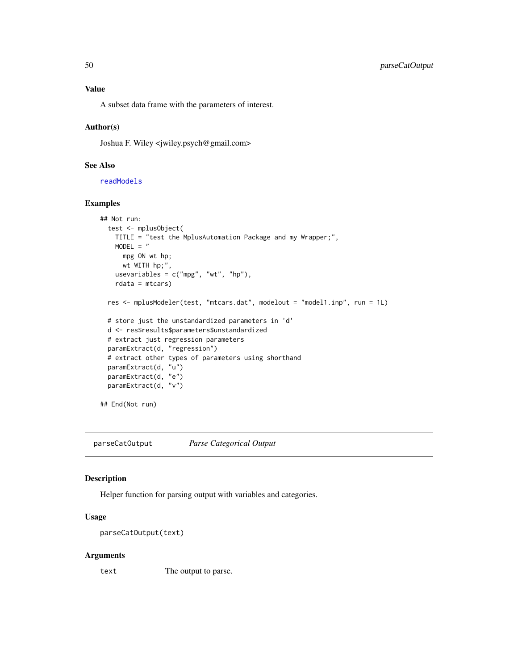A subset data frame with the parameters of interest.

#### Author(s)

Joshua F. Wiley <jwiley.psych@gmail.com>

## See Also

[readModels](#page-60-0)

## Examples

```
## Not run:
 test <- mplusObject(
   TITLE = "test the MplusAutomation Package and my Wrapper;",
   MODEL = "mpg ON wt hp;
     wt WITH hp;",
   usevariables = c("mpg", "wt", "hp"),
   rdata = mtcars)
 res <- mplusModeler(test, "mtcars.dat", modelout = "model1.inp", run = 1L)
 # store just the unstandardized parameters in 'd'
 d <- res$results$parameters$unstandardized
 # extract just regression parameters
 paramExtract(d, "regression")
 # extract other types of parameters using shorthand
 paramExtract(d, "u")
 paramExtract(d, "e")
 paramExtract(d, "v")
## End(Not run)
```
parseCatOutput *Parse Categorical Output*

# Description

Helper function for parsing output with variables and categories.

# Usage

```
parseCatOutput(text)
```
#### Arguments

text The output to parse.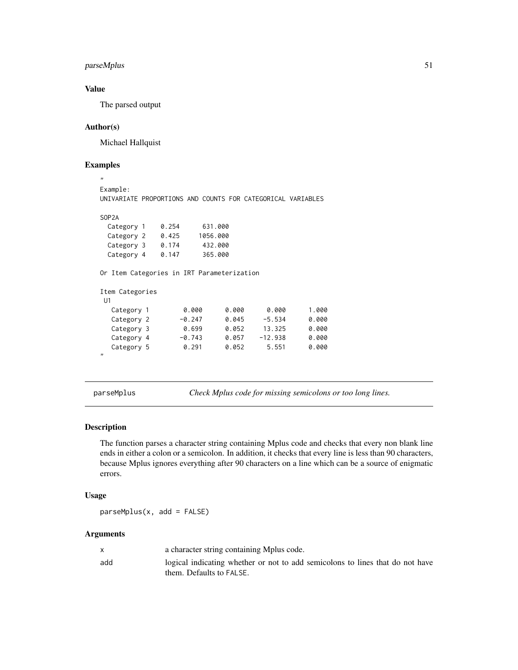# parseMplus 51

# Value

The parsed output

## Author(s)

Michael Hallquist

# Examples ,,

```
Example:
UNIVARIATE PROPORTIONS AND COUNTS FOR CATEGORICAL VARIABLES
SOP2A
 Category 1  0.254  631.000
 Category 2 0.425 1056.000
 Category 3 0.174 432.000
 Category 4 0.147 365.000
Or Item Categories in IRT Parameterization
Item Categories
U1
  Category 1 0.000 0.000 0.000 1.000
  Category 2 -0.247 0.045 -5.534 0.000
  Category 3 0.699 0.052 13.325 0.000
  Category 4 -0.743 0.057 -12.938 0.000
  Category 5 0.291 0.052 5.551 0.000
,,
```
<span id="page-50-0"></span>parseMplus *Check Mplus code for missing semicolons or too long lines.*

# Description

The function parses a character string containing Mplus code and checks that every non blank line ends in either a colon or a semicolon. In addition, it checks that every line is less than 90 characters, because Mplus ignores everything after 90 characters on a line which can be a source of enigmatic errors.

#### Usage

parseMplus(x, add = FALSE)

|     | a character string containing Mplus code.                                     |
|-----|-------------------------------------------------------------------------------|
| add | logical indicating whether or not to add semicolons to lines that do not have |
|     | them. Defaults to FALSE.                                                      |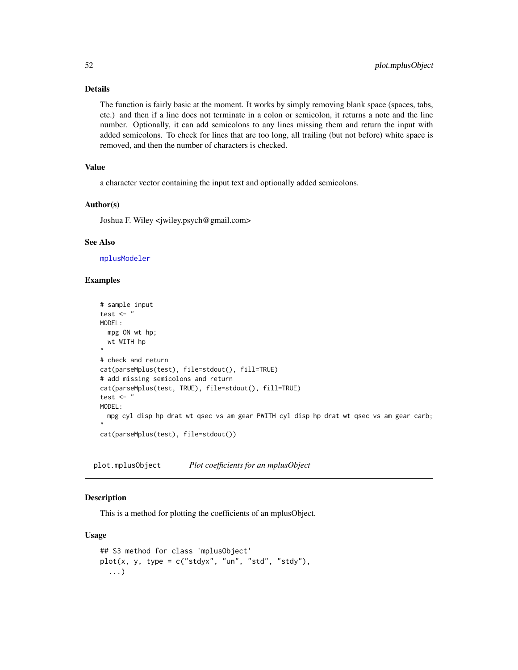## Details

The function is fairly basic at the moment. It works by simply removing blank space (spaces, tabs, etc.) and then if a line does not terminate in a colon or semicolon, it returns a note and the line number. Optionally, it can add semicolons to any lines missing them and return the input with added semicolons. To check for lines that are too long, all trailing (but not before) white space is removed, and then the number of characters is checked.

# Value

a character vector containing the input text and optionally added semicolons.

## Author(s)

Joshua F. Wiley <jwiley.psych@gmail.com>

## See Also

[mplusModeler](#page-37-0)

## Examples

```
# sample input
test \leftarrow "
MODEL:
  mpg ON wt hp;
  wt WITH hp
"
# check and return
cat(parseMplus(test), file=stdout(), fill=TRUE)
# add missing semicolons and return
cat(parseMplus(test, TRUE), file=stdout(), fill=TRUE)
test \leftarrow "
MODEL:
 mpg cyl disp hp drat wt qsec vs am gear PWITH cyl disp hp drat wt qsec vs am gear carb;
"
cat(parseMplus(test), file=stdout())
```
plot.mplusObject *Plot coefficients for an mplusObject*

## Description

This is a method for plotting the coefficients of an mplusObject.

## Usage

```
## S3 method for class 'mplusObject'
plot(x, y, type = c("stdyx", "un", "std", "std","),
  ...)
```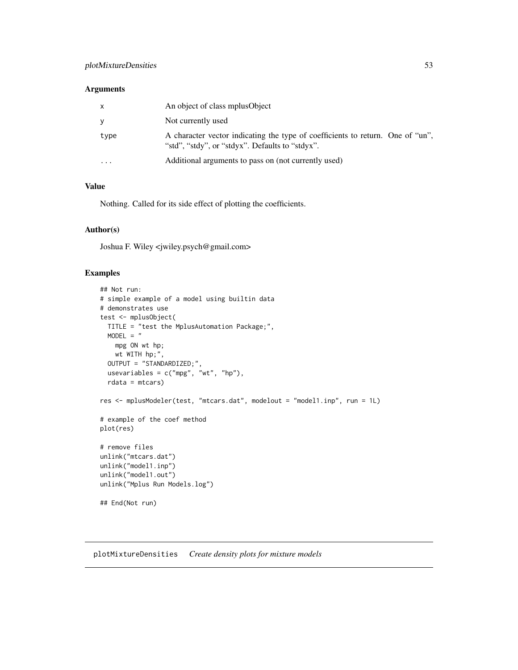# plotMixtureDensities 53

## Arguments

| $\mathsf{x}$ | An object of class mplus Object                                                                                                   |
|--------------|-----------------------------------------------------------------------------------------------------------------------------------|
| y            | Not currently used                                                                                                                |
| type         | A character vector indicating the type of coefficients to return. One of "un",<br>"std", "stdy", or "stdyx". Defaults to "stdyx". |
| .            | Additional arguments to pass on (not currently used)                                                                              |

# Value

Nothing. Called for its side effect of plotting the coefficients.

#### Author(s)

Joshua F. Wiley <jwiley.psych@gmail.com>

# Examples

```
## Not run:
# simple example of a model using builtin data
# demonstrates use
test <- mplusObject(
 TITLE = "test the MplusAutomation Package;",
 MODEL = "mpg ON wt hp;
   wt WITH hp;",
  OUTPUT = "STANDARDIZED;",
 usevariables = c("mpg", "wt", "hp"),
  rdata = mtcars)
res <- mplusModeler(test, "mtcars.dat", modelout = "model1.inp", run = 1L)
# example of the coef method
plot(res)
# remove files
unlink("mtcars.dat")
unlink("model1.inp")
unlink("model1.out")
unlink("Mplus Run Models.log")
## End(Not run)
```
plotMixtureDensities *Create density plots for mixture models*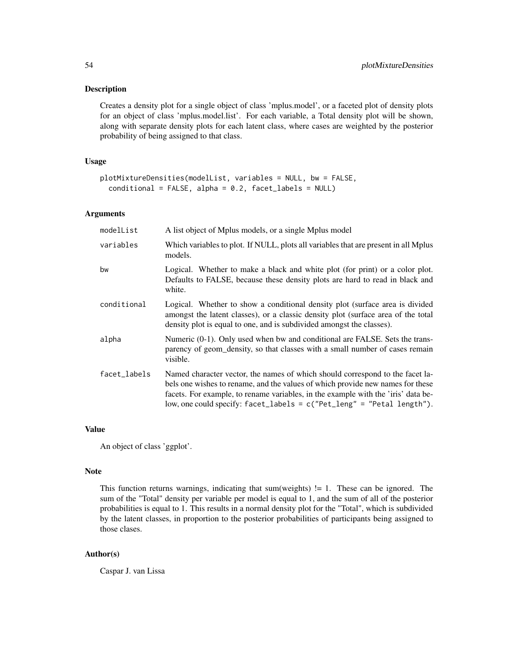### Description

Creates a density plot for a single object of class 'mplus.model', or a faceted plot of density plots for an object of class 'mplus.model.list'. For each variable, a Total density plot will be shown, along with separate density plots for each latent class, where cases are weighted by the posterior probability of being assigned to that class.

## Usage

```
plotMixtureDensities(modelList, variables = NULL, bw = FALSE,
 conditional = FALSE, alpha = 0.2, facet_labels = NULL)
```
# Arguments

| modelList    | A list object of Mplus models, or a single Mplus model                                                                                                                                                                                                                                                                             |
|--------------|------------------------------------------------------------------------------------------------------------------------------------------------------------------------------------------------------------------------------------------------------------------------------------------------------------------------------------|
| variables    | Which variables to plot. If NULL, plots all variables that are present in all Mplus<br>models.                                                                                                                                                                                                                                     |
| bw           | Logical. Whether to make a black and white plot (for print) or a color plot.<br>Defaults to FALSE, because these density plots are hard to read in black and<br>white.                                                                                                                                                             |
| conditional  | Logical. Whether to show a conditional density plot (surface area is divided<br>amongst the latent classes), or a classic density plot (surface area of the total<br>density plot is equal to one, and is subdivided amongst the classes).                                                                                         |
| alpha        | Numeric (0-1). Only used when bw and conditional are FALSE. Sets the trans-<br>parency of geom_density, so that classes with a small number of cases remain<br>visible.                                                                                                                                                            |
| facet_labels | Named character vector, the names of which should correspond to the facet la-<br>bels one wishes to rename, and the values of which provide new names for these<br>facets. For example, to rename variables, in the example with the 'iris' data be-<br>low, one could specify: $facet_labels = c("Pet_length" = "Petal length").$ |

# Value

An object of class 'ggplot'.

## Note

This function returns warnings, indicating that sum(weights)  $!= 1$ . These can be ignored. The sum of the "Total" density per variable per model is equal to 1, and the sum of all of the posterior probabilities is equal to 1. This results in a normal density plot for the "Total", which is subdivided by the latent classes, in proportion to the posterior probabilities of participants being assigned to those clases.

# Author(s)

Caspar J. van Lissa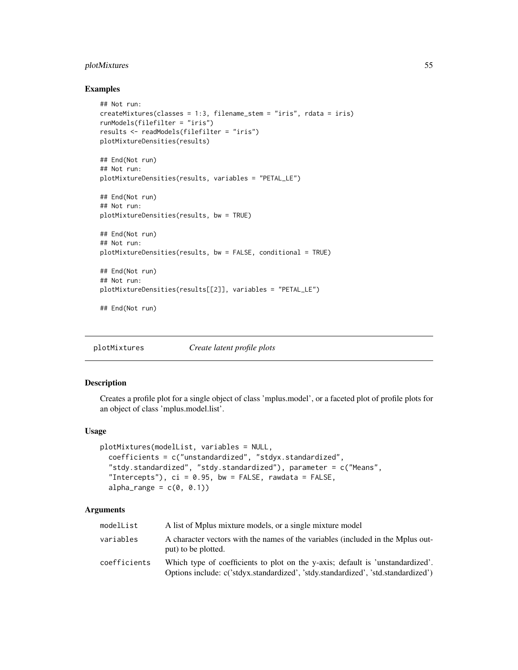# plotMixtures 55

#### Examples

```
## Not run:
createMixtures(classes = 1:3, filename_stem = "iris", rdata = iris)
runModels(filefilter = "iris")
results <- readModels(filefilter = "iris")
plotMixtureDensities(results)
## End(Not run)
## Not run:
plotMixtureDensities(results, variables = "PETAL_LE")
## End(Not run)
## Not run:
plotMixtureDensities(results, bw = TRUE)
## End(Not run)
## Not run:
plotMixtureDensities(results, bw = FALSE, conditional = TRUE)
## End(Not run)
## Not run:
plotMixtureDensities(results[[2]], variables = "PETAL_LE")
```
## End(Not run)

plotMixtures *Create latent profile plots*

# Description

Creates a profile plot for a single object of class 'mplus.model', or a faceted plot of profile plots for an object of class 'mplus.model.list'.

## Usage

```
plotMixtures(modelList, variables = NULL,
  coefficients = c("unstandardized", "stdyx.standardized",
  "stdy.standardized", "stdy.standardized"), parameter = c("Means",
  "Intercepts"), ci = 0.95, bw = FALSE, rawdata = FALSE,
  alpha_range = c(0, 0.1))
```

| modelList    | A list of Mplus mixture models, or a single mixture model                                                                                                           |
|--------------|---------------------------------------------------------------------------------------------------------------------------------------------------------------------|
| variables    | A character vectors with the names of the variables (included in the Mplus out-<br>put) to be plotted.                                                              |
| coefficients | Which type of coefficients to plot on the y-axis; default is 'unstandardized'.<br>Options include: c('stdyx.standardized', 'stdy.standardized', 'std.standardized') |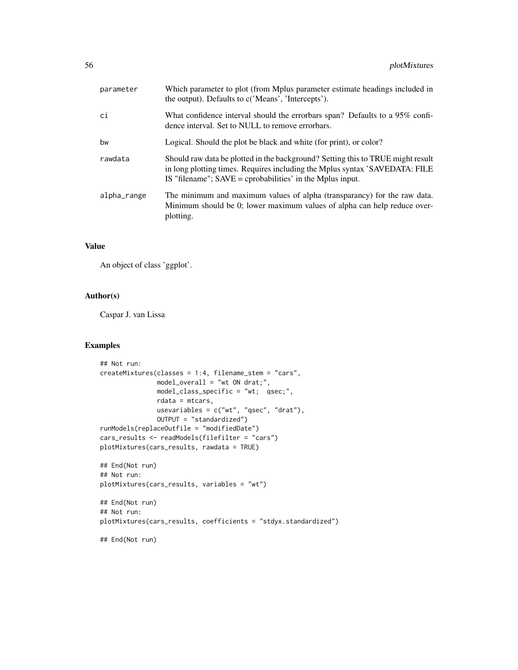| parameter   | Which parameter to plot (from Mplus parameter estimate headings included in<br>the output). Defaults to c('Means', 'Intercepts').                                                                                             |
|-------------|-------------------------------------------------------------------------------------------------------------------------------------------------------------------------------------------------------------------------------|
| ci          | What confidence interval should the errorbars span? Defaults to a 95% confi-<br>dence interval. Set to NULL to remove errorbars.                                                                                              |
| bw          | Logical. Should the plot be black and white (for print), or color?                                                                                                                                                            |
| rawdata     | Should raw data be plotted in the background? Setting this to TRUE might result<br>in long plotting times. Requires including the Mplus syntax 'SAVEDATA: FILE<br>IS "filename"; $SAVE =$ cprobabilities' in the Mplus input. |
| alpha_range | The minimum and maximum values of alpha (transparancy) for the raw data.<br>Minimum should be 0; lower maximum values of alpha can help reduce over-<br>plotting.                                                             |

# Value

An object of class 'ggplot'.

# Author(s)

Caspar J. van Lissa

```
## Not run:
createMixtures(classes = 1:4, filename_stem = "cars",
              model_overall = "wt ON drat;",
              model_class_specific = "wt; qsec;",
              rdata = mtcars,
               usevariables = c("wt", "qsec", "drat"),OUTPUT = "standardized")
runModels(replaceOutfile = "modifiedDate")
cars_results <- readModels(filefilter = "cars")
plotMixtures(cars_results, rawdata = TRUE)
## End(Not run)
## Not run:
plotMixtures(cars_results, variables = "wt")
## End(Not run)
## Not run:
plotMixtures(cars_results, coefficients = "stdyx.standardized")
## End(Not run)
```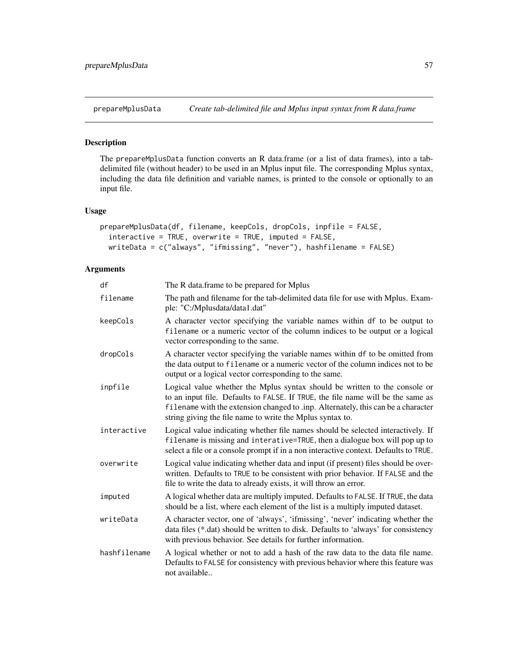<span id="page-56-0"></span>

## Description

The prepareMplusData function converts an R data.frame (or a list of data frames), into a tabdelimited file (without header) to be used in an Mplus input file. The corresponding Mplus syntax, including the data file definition and variable names, is printed to the console or optionally to an input file.

# Usage

```
prepareMplusData(df, filename, keepCols, dropCols, inpfile = FALSE,
  interactive = TRUE, overwrite = TRUE, imputed = FALSE,
 writeData = c("always", "ifmissing", "never"), hashfilename = FALSE)
```

| df           | The R data frame to be prepared for Mplus                                                                                                                                                                                                                                                                       |
|--------------|-----------------------------------------------------------------------------------------------------------------------------------------------------------------------------------------------------------------------------------------------------------------------------------------------------------------|
| filename     | The path and filename for the tab-delimited data file for use with Mplus. Exam-<br>ple: "C:/Mplusdata/data1.dat"                                                                                                                                                                                                |
| keepCols     | A character vector specifying the variable names within df to be output to<br>filename or a numeric vector of the column indices to be output or a logical<br>vector corresponding to the same.                                                                                                                 |
| dropCols     | A character vector specifying the variable names within df to be omitted from<br>the data output to filename or a numeric vector of the column indices not to be<br>output or a logical vector corresponding to the same.                                                                                       |
| inpfile      | Logical value whether the Mplus syntax should be written to the console or<br>to an input file. Defaults to FALSE. If TRUE, the file name will be the same as<br>filename with the extension changed to .inp. Alternately, this can be a character<br>string giving the file name to write the Mplus syntax to. |
| interactive  | Logical value indicating whether file names should be selected interactively. If<br>filename is missing and interative=TRUE, then a dialogue box will pop up to<br>select a file or a console prompt if in a non interactive context. Defaults to TRUE.                                                         |
| overwrite    | Logical value indicating whether data and input (if present) files should be over-<br>written. Defaults to TRUE to be consistent with prior behavior. If FALSE and the<br>file to write the data to already exists, it will throw an error.                                                                     |
| imputed      | A logical whether data are multiply imputed. Defaults to FALSE. If TRUE, the data<br>should be a list, where each element of the list is a multiply imputed dataset.                                                                                                                                            |
| writeData    | A character vector, one of 'always', 'ifmissing', 'never' indicating whether the<br>data files (*.dat) should be written to disk. Defaults to 'always' for consistency<br>with previous behavior. See details for further information.                                                                          |
| hashfilename | A logical whether or not to add a hash of the raw data to the data file name.<br>Defaults to FALSE for consistency with previous behavior where this feature was<br>not available                                                                                                                               |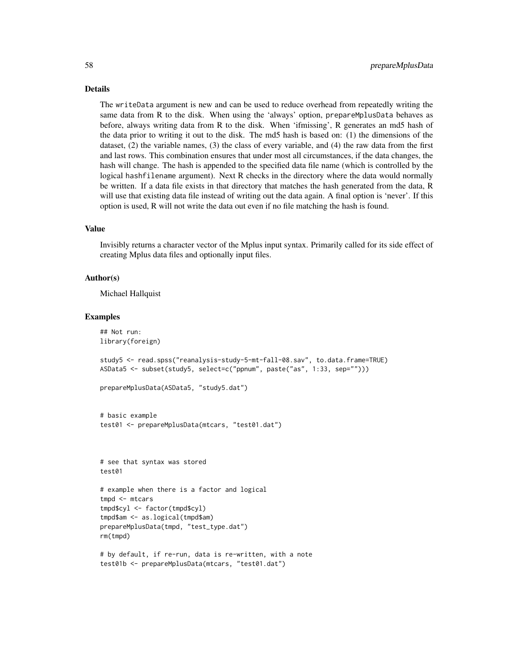# Details

The writeData argument is new and can be used to reduce overhead from repeatedly writing the same data from R to the disk. When using the 'always' option, prepareMplusData behaves as before, always writing data from R to the disk. When 'ifmissing', R generates an md5 hash of the data prior to writing it out to the disk. The md5 hash is based on: (1) the dimensions of the dataset, (2) the variable names, (3) the class of every variable, and (4) the raw data from the first and last rows. This combination ensures that under most all circumstances, if the data changes, the hash will change. The hash is appended to the specified data file name (which is controlled by the logical hashfilename argument). Next R checks in the directory where the data would normally be written. If a data file exists in that directory that matches the hash generated from the data, R will use that existing data file instead of writing out the data again. A final option is 'never'. If this option is used, R will not write the data out even if no file matching the hash is found.

#### Value

Invisibly returns a character vector of the Mplus input syntax. Primarily called for its side effect of creating Mplus data files and optionally input files.

## Author(s)

Michael Hallquist

```
## Not run:
library(foreign)
study5 <- read.spss("reanalysis-study-5-mt-fall-08.sav", to.data.frame=TRUE)
ASData5 <- subset(study5, select=c("ppnum", paste("as", 1:33, sep="")))
prepareMplusData(ASData5, "study5.dat")
# basic example
test01 <- prepareMplusData(mtcars, "test01.dat")
# see that syntax was stored
test01
# example when there is a factor and logical
tmpd <- mtcars
tmpd$cyl <- factor(tmpd$cyl)
tmpd$am <- as.logical(tmpd$am)
prepareMplusData(tmpd, "test_type.dat")
rm(tmpd)
# by default, if re-run, data is re-written, with a note
test01b <- prepareMplusData(mtcars, "test01.dat")
```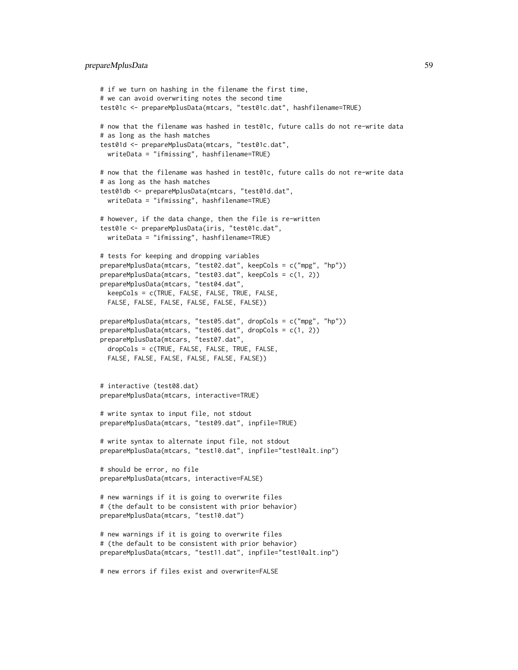```
# if we turn on hashing in the filename the first time,
# we can avoid overwriting notes the second time
test01c <- prepareMplusData(mtcars, "test01c.dat", hashfilename=TRUE)
# now that the filename was hashed in test01c, future calls do not re-write data
# as long as the hash matches
test01d <- prepareMplusData(mtcars, "test01c.dat",
  writeData = "ifmissing", hashfilename=TRUE)
# now that the filename was hashed in test01c, future calls do not re-write data
# as long as the hash matches
test01db <- prepareMplusData(mtcars, "test01d.dat",
  writeData = "ifmissing", hashfilename=TRUE)
# however, if the data change, then the file is re-written
test01e <- prepareMplusData(iris, "test01c.dat",
  writeData = "ifmissing", hashfilename=TRUE)
# tests for keeping and dropping variables
prepareMplusData(mtcars, "test02.dat", keepCols = c("mpg", "hp"))
prepareMplusData(mtcars, "test03.dat", keepCols = c(1, 2))
prepareMplusData(mtcars, "test04.dat",
  keepCols = c(TRUE, FALSE, FALSE, TRUE, FALSE,
  FALSE, FALSE, FALSE, FALSE, FALSE, FALSE))
prepareMplusData(mtcars, "test05.dat", dropCols = c("mpg", "hp"))
prepareMplusData(mtcars, "test06.dat", dropCols = c(1, 2))
prepareMplusData(mtcars, "test07.dat",
  dropCols = c(TRUE, FALSE, FALSE, TRUE, FALSE,
  FALSE, FALSE, FALSE, FALSE, FALSE, FALSE))
# interactive (test08.dat)
prepareMplusData(mtcars, interactive=TRUE)
# write syntax to input file, not stdout
prepareMplusData(mtcars, "test09.dat", inpfile=TRUE)
# write syntax to alternate input file, not stdout
prepareMplusData(mtcars, "test10.dat", inpfile="test10alt.inp")
# should be error, no file
prepareMplusData(mtcars, interactive=FALSE)
# new warnings if it is going to overwrite files
# (the default to be consistent with prior behavior)
prepareMplusData(mtcars, "test10.dat")
# new warnings if it is going to overwrite files
# (the default to be consistent with prior behavior)
prepareMplusData(mtcars, "test11.dat", inpfile="test10alt.inp")
# new errors if files exist and overwrite=FALSE
```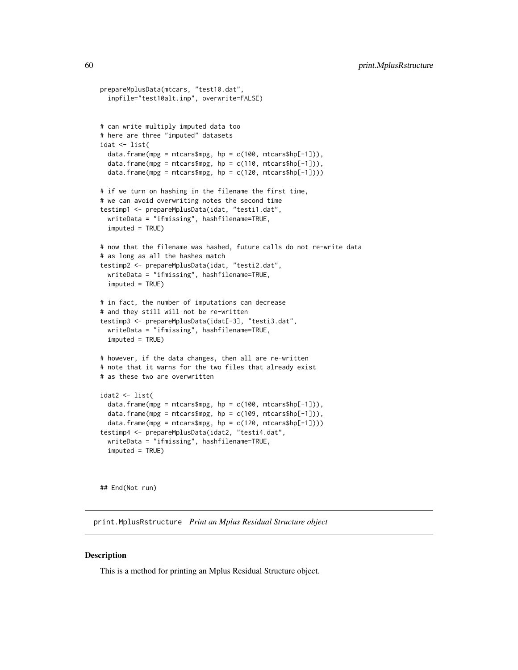```
prepareMplusData(mtcars, "test10.dat",
 inpfile="test10alt.inp", overwrite=FALSE)
# can write multiply imputed data too
# here are three "imputed" datasets
idat <- list(
 data.frame(mpg = mtcars$mpg, hp = c(100, \text{mtcars}$hp[-1])),
 data.frame(mpg = mtcars$mpg, hp = c(110, \text{mtcars}$hp[-1])),
 data.frame(mpg = mtcars$mpg, hp = c(120, \text{ mtcars}$hp[-1])))
# if we turn on hashing in the filename the first time,
# we can avoid overwriting notes the second time
testimp1 <- prepareMplusData(idat, "testi1.dat",
 writeData = "ifmissing", hashfilename=TRUE,
 imputed = TRUE)
# now that the filename was hashed, future calls do not re-write data
# as long as all the hashes match
testimp2 <- prepareMplusData(idat, "testi2.dat",
 writeData = "ifmissing", hashfilename=TRUE,
 imputed = TRUE)
# in fact, the number of imputations can decrease
# and they still will not be re-written
testimp3 <- prepareMplusData(idat[-3], "testi3.dat",
 writeData = "ifmissing", hashfilename=TRUE,
 imputed = TRUE)
# however, if the data changes, then all are re-written
# note that it warns for the two files that already exist
# as these two are overwritten
idat2 <- list(
 data.frame(mpg = mtcars$mpg, hp = c(100, \text{ mtcars}$hp[-1])),
 data.frame(mpg = mtcars$mpg, hp = c(109, \text{ mtcars}$hp[-1])),
 data.frame(mpg = mtcars$mpg, hp = c(120, mtcars$hp[-1])))
testimp4 <- prepareMplusData(idat2, "testi4.dat",
 writeData = "ifmissing", hashfilename=TRUE,
 imputed = TRUE)
```
## End(Not run)

<span id="page-59-0"></span>print.MplusRstructure *Print an Mplus Residual Structure object*

#### Description

This is a method for printing an Mplus Residual Structure object.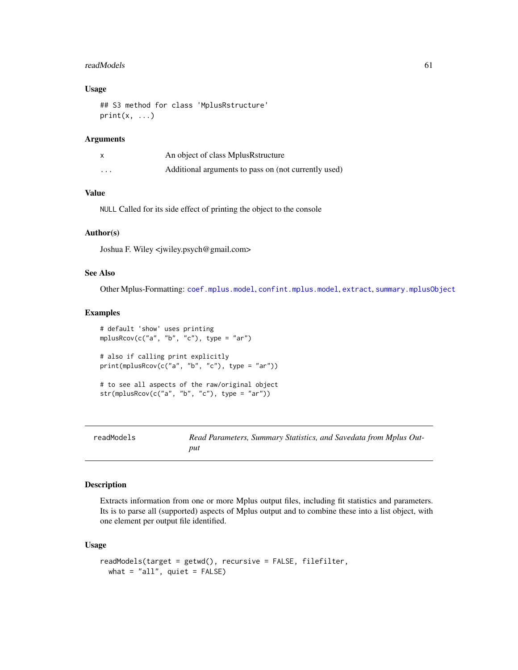#### readModels 61

# Usage

```
## S3 method for class 'MplusRstructure'
print(x, \ldots)
```
# Arguments

|         | An object of class MplusRstructure                   |
|---------|------------------------------------------------------|
| $\cdot$ | Additional arguments to pass on (not currently used) |

# Value

NULL Called for its side effect of printing the object to the console

# Author(s)

Joshua F. Wiley <jwiley.psych@gmail.com>

# See Also

Other Mplus-Formatting: [coef.mplus.model](#page-3-0), [confint.mplus.model](#page-6-0), [extract](#page-12-0), [summary.mplusObject](#page-67-0)

# Examples

```
# default 'show' uses printing
mplusRcov(c("a", "b", "c"), type = "ar")
# also if calling print explicitly
print(mplusRcov(c("a", "b", "c"), type = "ar"))
# to see all aspects of the raw/original object
str(mplusRcov(c("a", "b", "c"), type = "ar"))
```
<span id="page-60-0"></span>

| readModels | Read Parameters, Summary Statistics, and Savedata from Mplus Out- |
|------------|-------------------------------------------------------------------|
|            | put                                                               |

## Description

Extracts information from one or more Mplus output files, including fit statistics and parameters. Its is to parse all (supported) aspects of Mplus output and to combine these into a list object, with one element per output file identified.

#### Usage

```
readModels(target = getwd(), recursive = FALSE, filefilter,
 what = "all", quiet = FALSE)
```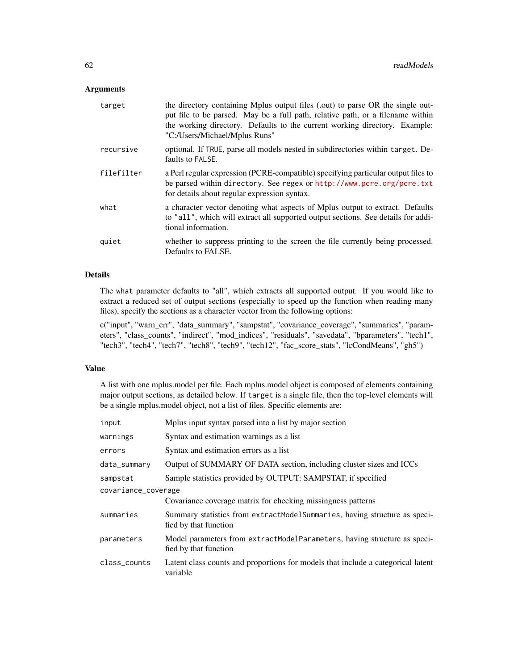### Arguments

| target     | the directory containing Mplus output files (.out) to parse OR the single out-<br>put file to be parsed. May be a full path, relative path, or a filename within<br>the working directory. Defaults to the current working directory. Example:<br>"C:/Users/Michael/Mplus Runs" |
|------------|---------------------------------------------------------------------------------------------------------------------------------------------------------------------------------------------------------------------------------------------------------------------------------|
| recursive  | optional. If TRUE, parse all models nested in subdirectories within target. De-<br>faults to FALSE.                                                                                                                                                                             |
| filefilter | a Perl regular expression (PCRE-compatible) specifying particular output files to<br>be parsed within directory. See regex or http://www.pcre.org/pcre.txt<br>for details about regular expression syntax.                                                                      |
| what       | a character vector denoting what aspects of Mplus output to extract. Defaults<br>to "all", which will extract all supported output sections. See details for addi-<br>tional information.                                                                                       |
| quiet      | whether to suppress printing to the screen the file currently being processed.<br>Defaults to FALSE.                                                                                                                                                                            |

# Details

The what parameter defaults to "all", which extracts all supported output. If you would like to extract a reduced set of output sections (especially to speed up the function when reading many files), specify the sections as a character vector from the following options:

c("input", "warn\_err", "data\_summary", "sampstat", "covariance\_coverage", "summaries", "parameters", "class\_counts", "indirect", "mod\_indices", "residuals", "savedata", "bparameters", "tech1", "tech3", "tech4", "tech7", "tech8", "tech9", "tech12", "fac\_score\_stats", "lcCondMeans", "gh5")

#### Value

A list with one mplus.model per file. Each mplus.model object is composed of elements containing major output sections, as detailed below. If target is a single file, then the top-level elements will be a single mplus.model object, not a list of files. Specific elements are:

| input               | Mplus input syntax parsed into a list by major section                                             |  |
|---------------------|----------------------------------------------------------------------------------------------------|--|
| warnings            | Syntax and estimation warnings as a list                                                           |  |
| errors              | Syntax and estimation errors as a list                                                             |  |
| data_summary        | Output of SUMMARY OF DATA section, including cluster sizes and ICCs                                |  |
| sampstat            | Sample statistics provided by OUTPUT: SAMPSTAT, if specified                                       |  |
| covariance_coverage |                                                                                                    |  |
|                     | Covariance coverage matrix for checking missingness patterns                                       |  |
| summaries           | Summary statistics from extractModelSummaries, having structure as speci-<br>fied by that function |  |
| parameters          | Model parameters from extractModelParameters, having structure as speci-<br>fied by that function  |  |
| class_counts        | Latent class counts and proportions for models that include a categorical latent<br>variable       |  |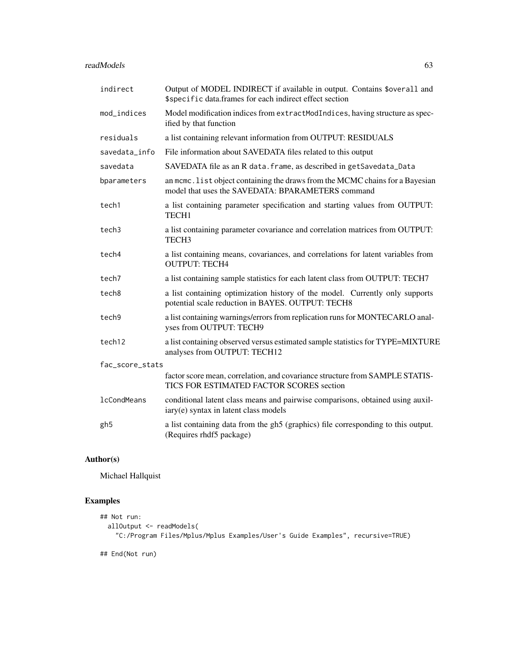### readModels 63

| indirect           | Output of MODEL INDIRECT if available in output. Contains \$overall and<br>\$specific data.frames for each indirect effect section |
|--------------------|------------------------------------------------------------------------------------------------------------------------------------|
| mod_indices        | Model modification indices from extractModIndices, having structure as spec-<br>ified by that function                             |
| residuals          | a list containing relevant information from OUTPUT: RESIDUALS                                                                      |
| savedata info      | File information about SAVEDATA files related to this output                                                                       |
| savedata           | SAVEDATA file as an R data. frame, as described in getSavedata_Data                                                                |
| bparameters        | an mcmc. list object containing the draws from the MCMC chains for a Bayesian<br>model that uses the SAVEDATA: BPARAMETERS command |
| tech1              | a list containing parameter specification and starting values from OUTPUT:<br>TECH <sub>1</sub>                                    |
| tech3              | a list containing parameter covariance and correlation matrices from OUTPUT:<br>TECH <sub>3</sub>                                  |
| tech4              | a list containing means, covariances, and correlations for latent variables from<br><b>OUTPUT: TECH4</b>                           |
| tech7              | a list containing sample statistics for each latent class from OUTPUT: TECH7                                                       |
| tech8              | a list containing optimization history of the model. Currently only supports<br>potential scale reduction in BAYES. OUTPUT: TECH8  |
| tech9              | a list containing warnings/errors from replication runs for MONTECARLO anal-<br>yses from OUTPUT: TECH9                            |
| tech12             | a list containing observed versus estimated sample statistics for TYPE=MIXTURE<br>analyses from OUTPUT: TECH12                     |
| fac_score_stats    |                                                                                                                                    |
|                    | factor score mean, correlation, and covariance structure from SAMPLE STATIS-<br>TICS FOR ESTIMATED FACTOR SCORES section           |
| <b>lcCondMeans</b> | conditional latent class means and pairwise comparisons, obtained using auxil-<br>iary(e) syntax in latent class models            |
| gh5                | a list containing data from the gh5 (graphics) file corresponding to this output.<br>(Requires rhdf5 package)                      |

# Author(s)

Michael Hallquist

```
## Not run:
 allOutput <- readModels(
    "C:/Program Files/Mplus/Mplus Examples/User's Guide Examples", recursive=TRUE)
## End(Not run)
```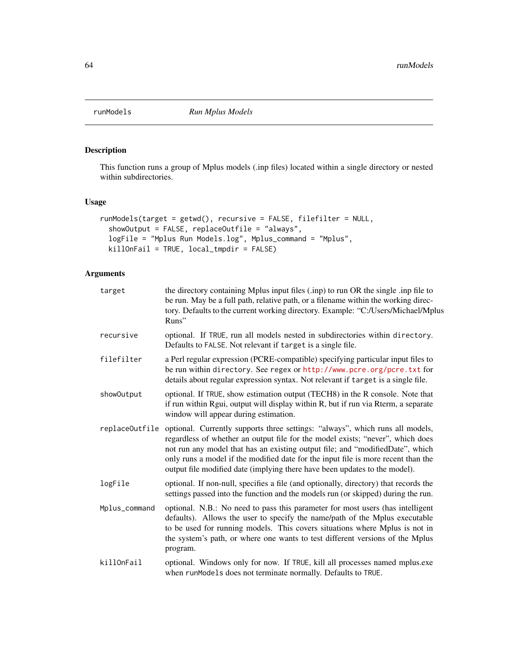<span id="page-63-0"></span>

# Description

This function runs a group of Mplus models (.inp files) located within a single directory or nested within subdirectories.

# Usage

```
runModels(target = getwd(), recursive = FALSE, filefilter = NULL,
  showOutput = FALSE, replaceOutfile = "always",
 logFile = "Mplus Run Models.log", Mplus_command = "Mplus",
 killOnFail = TRUE, local_tmpdir = FALSE)
```

| target         | the directory containing Mplus input files (.inp) to run OR the single .inp file to<br>be run. May be a full path, relative path, or a filename within the working direc-<br>tory. Defaults to the current working directory. Example: "C:/Users/Michael/Mplus<br>Runs"                                                                                                                                             |  |  |  |
|----------------|---------------------------------------------------------------------------------------------------------------------------------------------------------------------------------------------------------------------------------------------------------------------------------------------------------------------------------------------------------------------------------------------------------------------|--|--|--|
| recursive      | optional. If TRUE, run all models nested in subdirectories within directory.<br>Defaults to FALSE. Not relevant if target is a single file.                                                                                                                                                                                                                                                                         |  |  |  |
| filefilter     | a Perl regular expression (PCRE-compatible) specifying particular input files to<br>be run within directory. See regex or http://www.pcre.org/pcre.txt for<br>details about regular expression syntax. Not relevant if target is a single file.                                                                                                                                                                     |  |  |  |
| showOutput     | optional. If TRUE, show estimation output (TECH8) in the R console. Note that<br>if run within Rgui, output will display within R, but if run via Rterm, a separate<br>window will appear during estimation.                                                                                                                                                                                                        |  |  |  |
| replaceOutfile | optional. Currently supports three settings: "always", which runs all models,<br>regardless of whether an output file for the model exists; "never", which does<br>not run any model that has an existing output file; and "modifiedDate", which<br>only runs a model if the modified date for the input file is more recent than the<br>output file modified date (implying there have been updates to the model). |  |  |  |
| logFile        | optional. If non-null, specifies a file (and optionally, directory) that records the<br>settings passed into the function and the models run (or skipped) during the run.                                                                                                                                                                                                                                           |  |  |  |
| Mplus_command  | optional. N.B.: No need to pass this parameter for most users (has intelligent<br>defaults). Allows the user to specify the name/path of the Mplus executable<br>to be used for running models. This covers situations where Mplus is not in<br>the system's path, or where one wants to test different versions of the Mplus<br>program.                                                                           |  |  |  |
| killOnFail     | optional. Windows only for now. If TRUE, kill all processes named mplus.exe<br>when runModels does not terminate normally. Defaults to TRUE.                                                                                                                                                                                                                                                                        |  |  |  |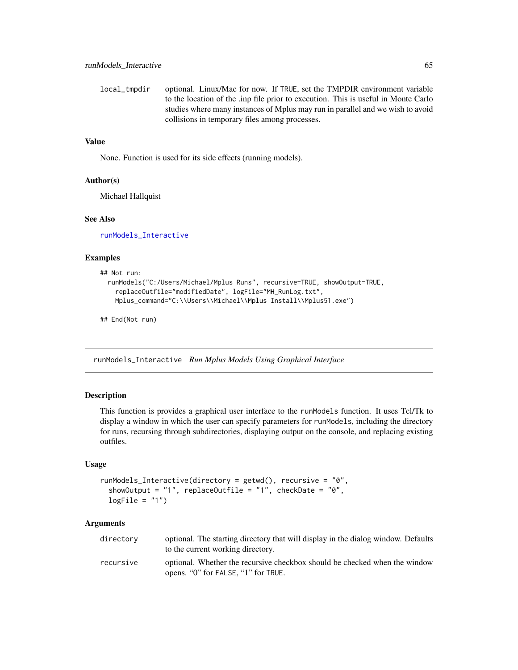local\_tmpdir optional. Linux/Mac for now. If TRUE, set the TMPDIR environment variable to the location of the .inp file prior to execution. This is useful in Monte Carlo studies where many instances of Mplus may run in parallel and we wish to avoid collisions in temporary files among processes.

# Value

None. Function is used for its side effects (running models).

#### Author(s)

Michael Hallquist

# See Also

[runModels\\_Interactive](#page-64-0)

#### Examples

```
## Not run:
 runModels("C:/Users/Michael/Mplus Runs", recursive=TRUE, showOutput=TRUE,
    replaceOutfile="modifiedDate", logFile="MH_RunLog.txt",
   Mplus_command="C:\\Users\\Michael\\Mplus Install\\Mplus51.exe")
```
## End(Not run)

<span id="page-64-0"></span>runModels\_Interactive *Run Mplus Models Using Graphical Interface*

## Description

This function is provides a graphical user interface to the runModels function. It uses Tcl/Tk to display a window in which the user can specify parameters for runModels, including the directory for runs, recursing through subdirectories, displaying output on the console, and replacing existing outfiles.

## Usage

```
runModels_Interactive(directory = getwd(), recursive = "0",
 showOutput = "1", replaceOutfile = "1", checkDate = "0",
 logFile = "1")
```

| directory | optional. The starting directory that will display in the dialog window. Defaults<br>to the current working directory. |
|-----------|------------------------------------------------------------------------------------------------------------------------|
| recursive | optional. Whether the recursive checkbox should be checked when the window<br>opens. "O" for FALSE, "1" for TRUE.      |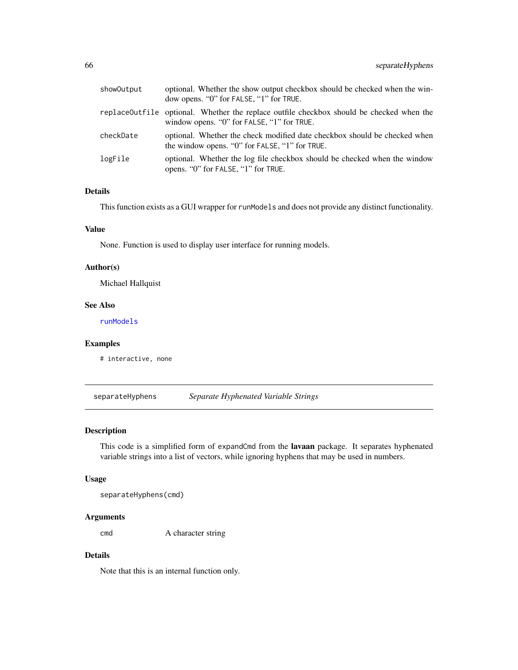| showOutput | optional. Whether the show output checkbox should be checked when the win-<br>dow opens. "0" for FALSE, "1" for TRUE.                  |
|------------|----------------------------------------------------------------------------------------------------------------------------------------|
|            | replaceOutfile optional. Whether the replace outfile checkbox should be checked when the<br>window opens. "0" for FALSE, "1" for TRUE. |
| checkDate  | optional. Whether the check modified date checkbox should be checked when<br>the window opens. "0" for FALSE, "1" for TRUE.            |
| logFile    | optional. Whether the log file checkbox should be checked when the window<br>opens. "O" for FALSE, "1" for TRUE.                       |

# Details

This function exists as a GUI wrapper for runModels and does not provide any distinct functionality.

## Value

None. Function is used to display user interface for running models.

#### Author(s)

Michael Hallquist

### See Also

[runModels](#page-63-0)

# Examples

# interactive, none

separateHyphens *Separate Hyphenated Variable Strings*

## Description

This code is a simplified form of expandCmd from the lavaan package. It separates hyphenated variable strings into a list of vectors, while ignoring hyphens that may be used in numbers.

# Usage

```
separateHyphens(cmd)
```
## Arguments

cmd A character string

# Details

Note that this is an internal function only.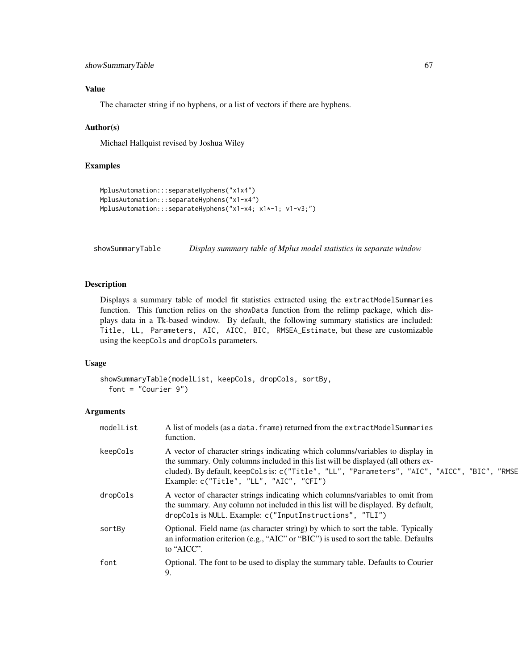# Value

The character string if no hyphens, or a list of vectors if there are hyphens.

#### Author(s)

Michael Hallquist revised by Joshua Wiley

## Examples

```
MplusAutomation:::separateHyphens("x1x4")
MplusAutomation:::separateHyphens("x1-x4")
MplusAutomation:::separateHyphens("x1-x4; x1*-1; v1-v3;")
```
showSummaryTable *Display summary table of Mplus model statistics in separate window*

# Description

Displays a summary table of model fit statistics extracted using the extractModelSummaries function. This function relies on the showData function from the relimp package, which displays data in a Tk-based window. By default, the following summary statistics are included: Title, LL, Parameters, AIC, AICC, BIC, RMSEA\_Estimate, but these are customizable using the keepCols and dropCols parameters.

# Usage

```
showSummaryTable(modelList, keepCols, dropCols, sortBy,
  font = "Courier 9")
```

| modelList | A list of models (as a data. frame) returned from the extractModelSummaries<br>function.                                                                                                                                                                                                                       |
|-----------|----------------------------------------------------------------------------------------------------------------------------------------------------------------------------------------------------------------------------------------------------------------------------------------------------------------|
| keepCols  | A vector of character strings indicating which columns/variables to display in<br>the summary. Only columns included in this list will be displayed (all others ex-<br>cluded). By default, keepCols is: c("Title", "LL", "Parameters", "AIC", "AICC", "BIC", "RMSE<br>Example: c("Title", "LL", "AIC", "CFI") |
| dropCols  | A vector of character strings indicating which columns/variables to omit from<br>the summary. Any column not included in this list will be displayed. By default,<br>dropCols is NULL. Example: c("InputInstructions", "TLI")                                                                                  |
| sortBy    | Optional. Field name (as character string) by which to sort the table. Typically<br>an information criterion (e.g., "AIC" or "BIC") is used to sort the table. Defaults<br>to "AICC".                                                                                                                          |
| font      | Optional. The font to be used to display the summary table. Defaults to Courier<br>9.                                                                                                                                                                                                                          |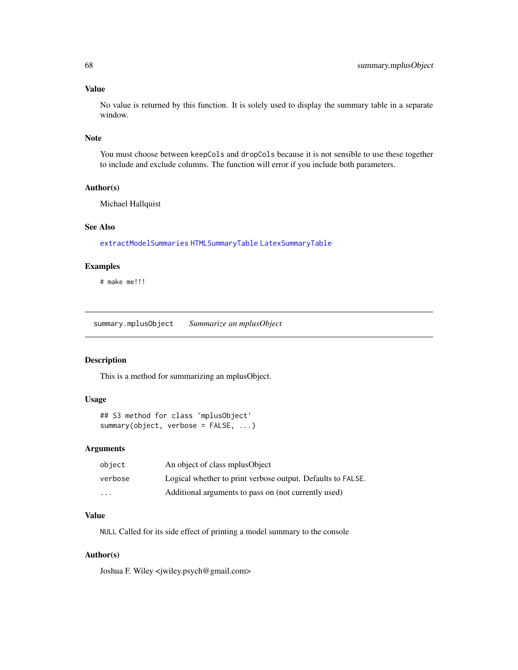## Value

No value is returned by this function. It is solely used to display the summary table in a separate window.

#### Note

You must choose between keepCols and dropCols because it is not sensible to use these together to include and exclude columns. The function will error if you include both parameters.

#### Author(s)

Michael Hallquist

#### See Also

[extractModelSummaries](#page-17-0) [HTMLSummaryTable](#page-24-0) [LatexSummaryTable](#page-26-0)

# Examples

# make me!!!

<span id="page-67-0"></span>summary.mplusObject *Summarize an mplusObject*

## Description

This is a method for summarizing an mplusObject.

# Usage

## S3 method for class 'mplusObject' summary(object, verbose = FALSE, ...)

#### Arguments

| object   | An object of class mplusObject                              |
|----------|-------------------------------------------------------------|
| verbose  | Logical whether to print verbose output. Defaults to FALSE. |
| $\cdots$ | Additional arguments to pass on (not currently used)        |

# Value

NULL Called for its side effect of printing a model summary to the console

# Author(s)

Joshua F. Wiley <jwiley.psych@gmail.com>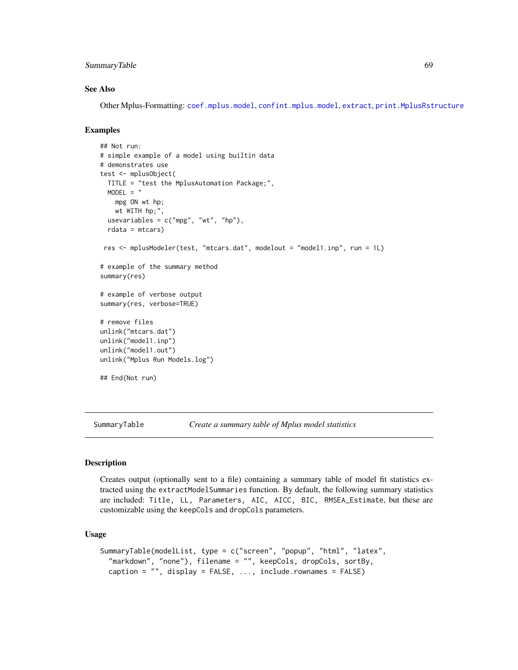# SummaryTable 69

#### See Also

Other Mplus-Formatting: [coef.mplus.model](#page-3-0), [confint.mplus.model](#page-6-0), [extract](#page-12-0), [print.MplusRstructure](#page-59-0)

# Examples

```
## Not run:
# simple example of a model using builtin data
# demonstrates use
test <- mplusObject(
  TITLE = "test the MplusAutomation Package;",
  MODEL = "mpg ON wt hp;
   wt WITH hp;",
  usevariables = c("mpg", "wt", "hp"),rdata = mtcars)
 res <- mplusModeler(test, "mtcars.dat", modelout = "model1.inp", run = 1L)
# example of the summary method
summary(res)
# example of verbose output
summary(res, verbose=TRUE)
# remove files
unlink("mtcars.dat")
unlink("model1.inp")
unlink("model1.out")
unlink("Mplus Run Models.log")
## End(Not run)
```
SummaryTable *Create a summary table of Mplus model statistics*

### Description

Creates output (optionally sent to a file) containing a summary table of model fit statistics extracted using the extractModelSummaries function. By default, the following summary statistics are included: Title, LL, Parameters, AIC, AICC, BIC, RMSEA\_Estimate, but these are customizable using the keepCols and dropCols parameters.

# Usage

```
SummaryTable(modelList, type = c("screen", "popup", "html", "latex",
 "markdown", "none"), filename = "", keepCols, dropCols, sortBy,
  caption = "", display = FALSE, ..., include.rownames = FALSE)
```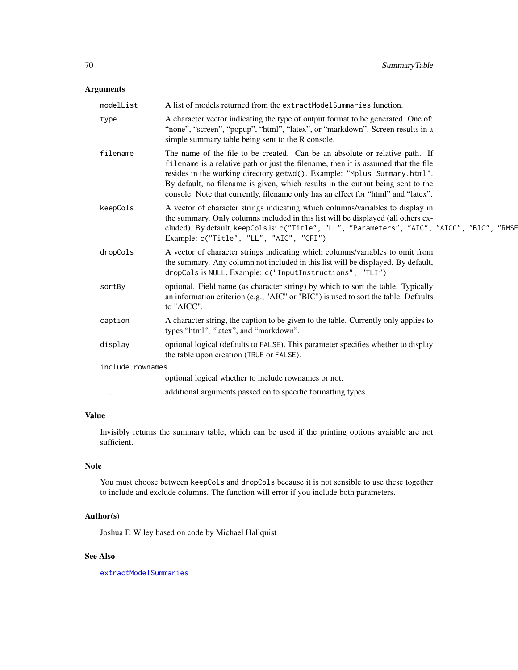# Arguments

| modelList        | A list of models returned from the extractModelSummaries function.                                                                                                                                                                                                                                                                                                                                                    |  |
|------------------|-----------------------------------------------------------------------------------------------------------------------------------------------------------------------------------------------------------------------------------------------------------------------------------------------------------------------------------------------------------------------------------------------------------------------|--|
| type             | A character vector indicating the type of output format to be generated. One of:<br>"none", "screen", "popup", "html", "latex", or "markdown". Screen results in a<br>simple summary table being sent to the R console.                                                                                                                                                                                               |  |
| filename         | The name of the file to be created. Can be an absolute or relative path. If<br>filename is a relative path or just the filename, then it is assumed that the file<br>resides in the working directory getwd(). Example: "Mplus Summary.html".<br>By default, no filename is given, which results in the output being sent to the<br>console. Note that currently, filename only has an effect for "html" and "latex". |  |
| keepCols         | A vector of character strings indicating which columns/variables to display in<br>the summary. Only columns included in this list will be displayed (all others ex-<br>cluded). By default, keepCols is: c("Title", "LL", "Parameters", "AIC", "AICC", "BIC", "RMSE<br>Example: c("Title", "LL", "AIC", "CFI")                                                                                                        |  |
| dropCols         | A vector of character strings indicating which columns/variables to omit from<br>the summary. Any column not included in this list will be displayed. By default,<br>dropCols is NULL. Example: c("InputInstructions", "TLI")                                                                                                                                                                                         |  |
| sortBy           | optional. Field name (as character string) by which to sort the table. Typically<br>an information criterion (e.g., "AIC" or "BIC") is used to sort the table. Defaults<br>to "AICC".                                                                                                                                                                                                                                 |  |
| caption          | A character string, the caption to be given to the table. Currently only applies to<br>types "html", "latex", and "markdown".                                                                                                                                                                                                                                                                                         |  |
| display          | optional logical (defaults to FALSE). This parameter specifies whether to display<br>the table upon creation (TRUE or FALSE).                                                                                                                                                                                                                                                                                         |  |
| include.rownames |                                                                                                                                                                                                                                                                                                                                                                                                                       |  |
|                  | optional logical whether to include rownames or not.                                                                                                                                                                                                                                                                                                                                                                  |  |
| $\cdots$         | additional arguments passed on to specific formatting types.                                                                                                                                                                                                                                                                                                                                                          |  |
|                  |                                                                                                                                                                                                                                                                                                                                                                                                                       |  |

# Value

Invisibly returns the summary table, which can be used if the printing options avaiable are not sufficient.

# Note

You must choose between keepCols and dropCols because it is not sensible to use these together to include and exclude columns. The function will error if you include both parameters.

# Author(s)

Joshua F. Wiley based on code by Michael Hallquist

# See Also

[extractModelSummaries](#page-17-0)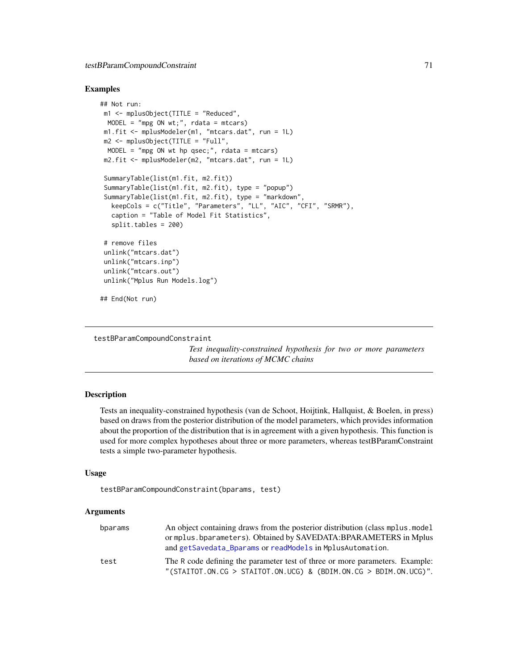# testBParamCompoundConstraint 71

### Examples

```
## Not run:
m1 <- mplusObject(TITLE = "Reduced",
 MODEL = "mpg ON wt;", rdata = mtcars)
m1.fit <- mplusModeler(m1, "mtcars.dat", run = 1L)
m2 \le mplus 0bject(TITLE = "Full",
 MODEL = "mpg ON wt hp qsec;", rdata = mtcars)
 m2.fit <- mplusModeler(m2, "mtcars.dat", run = 1L)
 SummaryTable(list(m1.fit, m2.fit))
 SummaryTable(list(m1.fit, m2.fit), type = "popup")
 SummaryTable(list(m1.fit, m2.fit), type = "markdown",
  keepCols = c("Title", "Parameters", "LL", "AIC", "CFI", "SRMR"),
  caption = "Table of Model Fit Statistics",
  split.tables = 200)
 # remove files
unlink("mtcars.dat")
unlink("mtcars.inp")
unlink("mtcars.out")
unlink("Mplus Run Models.log")
## End(Not run)
```
testBParamCompoundConstraint

*Test inequality-constrained hypothesis for two or more parameters based on iterations of MCMC chains*

## Description

Tests an inequality-constrained hypothesis (van de Schoot, Hoijtink, Hallquist, & Boelen, in press) based on draws from the posterior distribution of the model parameters, which provides information about the proportion of the distribution that is in agreement with a given hypothesis. This function is used for more complex hypotheses about three or more parameters, whereas testBParamConstraint tests a simple two-parameter hypothesis.

### Usage

```
testBParamCompoundConstraint(bparams, test)
```

| bparams | An object containing draws from the posterior distribution (class mplus model) |
|---------|--------------------------------------------------------------------------------|
|         | or mplus. bparameters). Obtained by SAVEDATA: BPARAMETERS in Mplus             |
|         | and getSavedata_Bparams or readModels in MplusAutomation.                      |
| test    | The R code defining the parameter test of three or more parameters. Example:   |
|         | "(STAITOT.ON.CG > STAITOT.ON.UCG) & (BDIM.ON.CG > BDIM.ON.UCG)".               |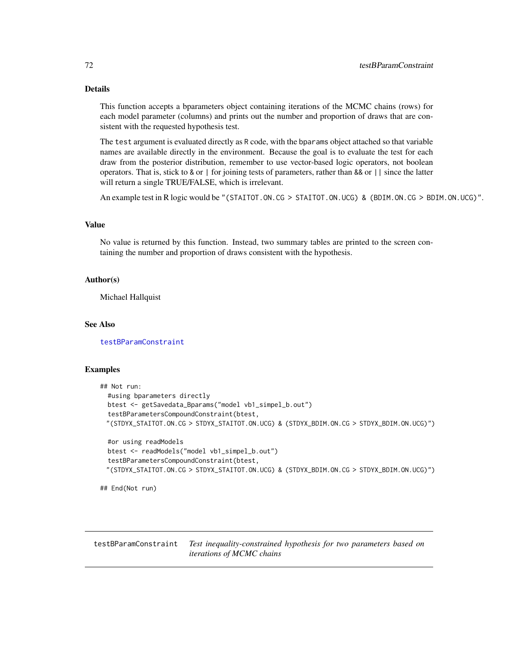# Details

This function accepts a bparameters object containing iterations of the MCMC chains (rows) for each model parameter (columns) and prints out the number and proportion of draws that are consistent with the requested hypothesis test.

The test argument is evaluated directly as R code, with the bparams object attached so that variable names are available directly in the environment. Because the goal is to evaluate the test for each draw from the posterior distribution, remember to use vector-based logic operators, not boolean operators. That is, stick to & or | for joining tests of parameters, rather than && or || since the latter will return a single TRUE/FALSE, which is irrelevant.

An example test in R logic would be "(STAITOT.ON.CG > STAITOT.ON.UCG) & (BDIM.ON.CG > BDIM.ON.UCG)".

## Value

No value is returned by this function. Instead, two summary tables are printed to the screen containing the number and proportion of draws consistent with the hypothesis.

#### Author(s)

Michael Hallquist

#### See Also

[testBParamConstraint](#page-71-0)

#### Examples

```
## Not run:
 #using bparameters directly
 btest <- getSavedata_Bparams("model vb1_simpel_b.out")
 testBParametersCompoundConstraint(btest,
 "(STDYX_STAITOT.ON.CG > STDYX_STAITOT.ON.UCG) & (STDYX_BDIM.ON.CG > STDYX_BDIM.ON.UCG)")
 #or using readModels
 btest <- readModels("model vb1_simpel_b.out")
 testBParametersCompoundConstraint(btest,
 "(STDYX_STAITOT.ON.CG > STDYX_STAITOT.ON.UCG) & (STDYX_BDIM.ON.CG > STDYX_BDIM.ON.UCG)")
```
## End(Not run)

<span id="page-71-0"></span>testBParamConstraint *Test inequality-constrained hypothesis for two parameters based on iterations of MCMC chains*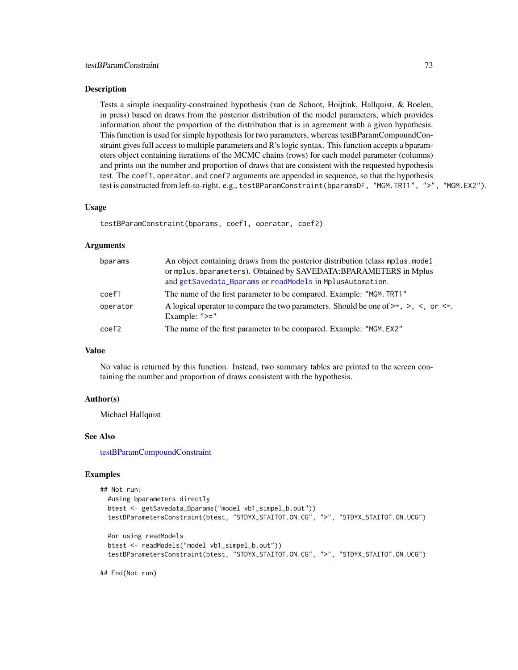#### <span id="page-72-0"></span>Description

Tests a simple inequality-constrained hypothesis (van de Schoot, Hoijtink, Hallquist, & Boelen, in press) based on draws from the posterior distribution of the model parameters, which provides information about the proportion of the distribution that is in agreement with a given hypothesis. This function is used for simple hypothesis for two parameters, whereas testBParamCompoundConstraint gives full access to multiple parameters and R's logic syntax. This function accepts a bparameters object containing iterations of the MCMC chains (rows) for each model parameter (columns) and prints out the number and proportion of draws that are consistent with the requested hypothesis test. The coef1, operator, and coef2 arguments are appended in sequence, so that the hypothesis test is constructed from left-to-right. e.g., testBParamConstraint(bparamsDF, "MGM.TRT1", ">", "MGM.EX2").

## Usage

testBParamConstraint(bparams, coef1, operator, coef2)

## Arguments

| bparams  | An object containing draws from the posterior distribution (class mplus model)<br>or mplus.bparameters). Obtained by SAVEDATA:BPARAMETERS in Mplus<br>and getSavedata_Bparams or readModels in MplusAutomation. |  |
|----------|-----------------------------------------------------------------------------------------------------------------------------------------------------------------------------------------------------------------|--|
| coef1    | The name of the first parameter to be compared. Example: "MGM. TRT1"                                                                                                                                            |  |
| operator | A logical operator to compare the two parameters. Should be one of $>=, >, <,$ or $<=$ .<br>Example: $">="$                                                                                                     |  |
| coef2    | The name of the first parameter to be compared. Example: "MGM. EX2"                                                                                                                                             |  |

#### Value

No value is returned by this function. Instead, two summary tables are printed to the screen containing the number and proportion of draws consistent with the hypothesis.

## Author(s)

Michael Hallquist

#### See Also

[testBParamCompoundConstraint](#page-70-0)

## Examples

```
## Not run:
 #using bparameters directly
 btest <- getSavedata_Bparams("model vb1_simpel_b.out"))
 testBParametersConstraint(btest, "STDYX_STAITOT.ON.CG", ">", "STDYX_STAITOT.ON.UCG")
 #or using readModels
 btest <- readModels("model vb1_simpel_b.out"))
 testBParametersConstraint(btest, "STDYX_STAITOT.ON.CG", ">", "STDYX_STAITOT.ON.UCG")
```
## End(Not run)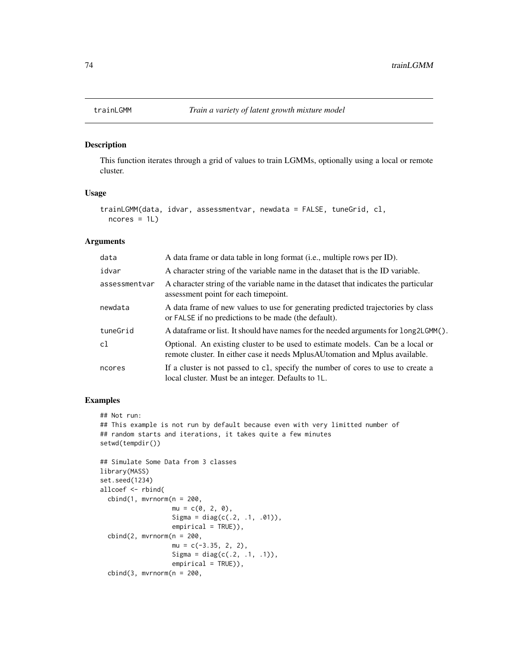## Description

This function iterates through a grid of values to train LGMMs, optionally using a local or remote cluster.

## Usage

```
trainLGMM(data, idvar, assessmentvar, newdata = FALSE, tuneGrid, cl,
 ncores = 1L)
```
## Arguments

| data          | A data frame or data table in long format (i.e., multiple rows per ID).                                                                                         |  |
|---------------|-----------------------------------------------------------------------------------------------------------------------------------------------------------------|--|
| idvar         | A character string of the variable name in the dataset that is the ID variable.                                                                                 |  |
| assessmentvar | A character string of the variable name in the dataset that indicates the particular<br>assessment point for each time point.                                   |  |
| newdata       | A data frame of new values to use for generating predicted trajectories by class<br>or FALSE if no predictions to be made (the default).                        |  |
| tuneGrid      | A data frame or list. It should have names for the needed arguments for long2LGMM().                                                                            |  |
| cl            | Optional. An existing cluster to be used to estimate models. Can be a local or<br>remote cluster. In either case it needs MplusAU tomation and Mplus available. |  |
| ncores        | If a cluster is not passed to c1, specify the number of cores to use to create a<br>local cluster. Must be an integer. Defaults to 1L.                          |  |

## Examples

```
## Not run:
## This example is not run by default because even with very limitted number of
## random starts and iterations, it takes quite a few minutes
setwd(tempdir())
## Simulate Some Data from 3 classes
library(MASS)
set.seed(1234)
allcoef <- rbind(
  cbind(1, mvrnorm(n = 200,mu = c(0, 2, 0),Sigma = diag(c(.2, .1, .01)),empirical = TRUE)),
```

```
cbind(2, mvrnorm(n = 200,mu = c(-3.35, 2, 2),Sigma = diag(c(.2, .1, .1)),empirical = TRUE),
cbind(3, mvrnorm(n = 200,
```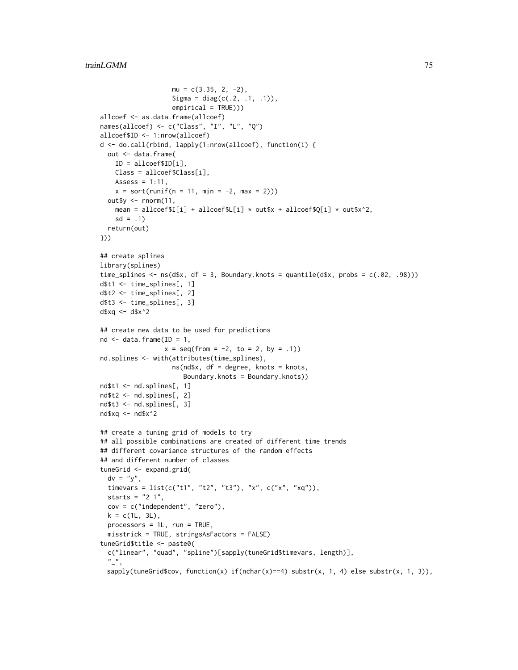```
mu = c(3.35, 2, -2),
                   Sigma = diag(c(.2, .1, .1)),empirical = TRUE)))
allcoef <- as.data.frame(allcoef)
names(allcoef) <- c("Class", "I", "L", "Q")
allcoef$ID <- 1:nrow(allcoef)
d <- do.call(rbind, lapply(1:nrow(allcoef), function(i) {
  out <- data.frame(
   ID = allcoef$ID[i],
   Class = allcoef$Class[i],
   Assess = 1:11,
   x = sort(runif(n = 11, min = -2, max = 2)))out$y <- rnorm(11,
    mean = allcoef$I[i] + allcoef$L[i] * out$x + allcoef$Q[i] * out$x^2,
    sd = .1return(out)
}))
## create splines
library(splines)
time_splines \leq ns(d$x, df = 3, Boundary.knots = quantile(d$x, probs = c(.02, .98)))
d$t1 <- time_splines[, 1]
d$t2 <- time_splines[, 2]
d$t3 <- time_splines[, 3]
d$xq <- d$x^2
## create new data to be used for predictions
nd \leq data.frame(ID = 1,
                 x = seq(from = -2, to = 2, by = .1)nd.splines <- with(attributes(time_splines),
                   ns(nd$x, df = degree, knots = knots,
                      Boundary.knots = Boundary.knots))
nd$t1 <- nd.splines[, 1]
nd$t2 <- nd.splines[, 2]
nd$t3 <- nd.splines[, 3]
nd$xq <- nd$x^2
## create a tuning grid of models to try
## all possible combinations are created of different time trends
## different covariance structures of the random effects
## and different number of classes
tuneGrid <- expand.grid(
  dv = "y",timevars = list(c("t1", "t2", "t3"), "x", c("x", "xq")),
  starts = "2 1",cov = c("independent", "zero"),
  k = c(1L, 3L),
  processors = 1L, run = TRUE,
  misstrick = TRUE, stringsAsFactors = FALSE)
tuneGrid$title <- paste0(
  c("linear", "quad", "spline")[sapply(tuneGrid$timevars, length)],
  "<sub>-</sub>",
  sapply(tuneGrid$cov, function(x) if(nchar(x)==4) substr(x, 1, 4) else substr(x, 1, 3)),
```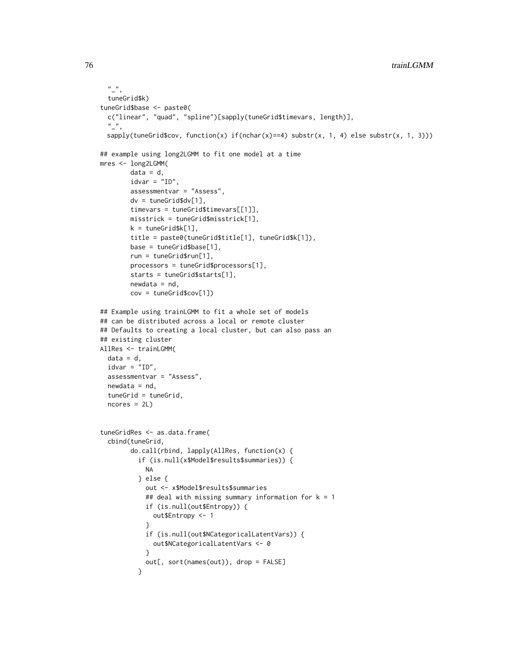```
\binom{n}{r}tuneGrid$k)
tuneGrid$base <- paste0(
  c("linear", "quad", "spline")[sapply(tuneGrid$timevars, length)],
  \binom{n}{-n}sapply(tuneGrid$cov, function(x) if(nchar(x)==4) substr(x, 1, 4) else substr(x, 1, 3)))
## example using long2LGMM to fit one model at a time
mres <- long2LGMM(
        data = d,idvar = "ID",
        assessmentvar = "Assess",
        dv = tuneGrid$dv[1],
        timevars = tuneGrid$timevars[[1]],
        misstrick = tuneGrid$misstrick[1],
        k = tuneGrid$k[1],
        title = paste0(tuneGrid$title[1], tuneGrid$k[1]),
        base = tuneGrid$base[1],
        run = tuneGrid$run[1],
        processors = tuneGrid$processors[1],
        starts = tuneGrid$starts[1],
        newdata = nd,
        cov = tuneGrid$cov[1])
## Example using trainLGMM to fit a whole set of models
## can be distributed across a local or remote cluster
## Defaults to creating a local cluster, but can also pass an
## existing cluster
AllRes <- trainLGMM(
  data = d,
  idvar = "ID",assessmentvar = "Assess",
  newdata = nd,tuneGrid = tuneGrid,
  ncores = 2L)
tuneGridRes <- as.data.frame(
  cbind(tuneGrid,
        do.call(rbind, lapply(AllRes, function(x) {
          if (is.null(x$Model$results$summaries)) {
            NA
          } else {
            out <- x$Model$results$summaries
            ## deal with missing summary information for k = 1if (is.null(out$Entropy)) {
              out$Entropy <- 1
            }
            if (is.null(out$NCategoricalLatentVars)) {
              out$NCategoricalLatentVars <- 0
            }
            out[, sort(names(out)), drop = FALSE]
          }
```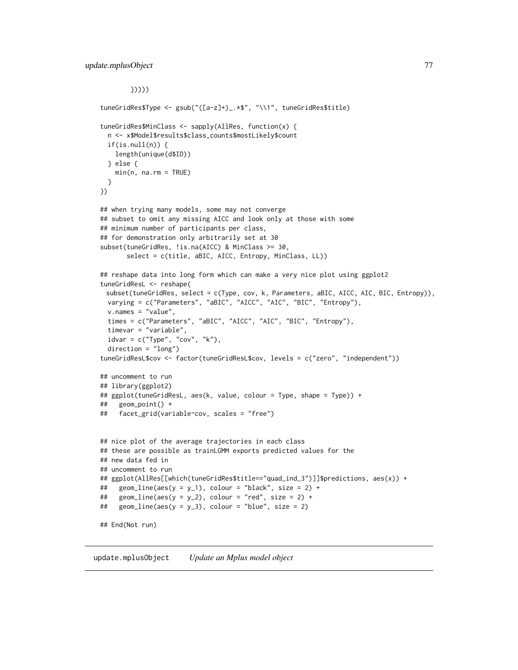```
}))))
tuneGridRes$Type <- gsub("([a-z]+)_.*$", "\\1", tuneGridRes$title)
tuneGridRes$MinClass <- sapply(AllRes, function(x) {
 n <- x$Model$results$class_counts$mostLikely$count
 if(is.null(n)) {
   length(unique(d$ID))
 } else {
   min(n, na.rm = TRUE)}
})
## when trying many models, some may not converge
## subset to omit any missing AICC and look only at those with some
## minimum number of participants per class,
## for demonstration only arbitrarily set at 30
subset(tuneGridRes, !is.na(AICC) & MinClass >= 30,
      select = c(title, aBIC, AICC, Entropy, MinClass, LL))
## reshape data into long form which can make a very nice plot using ggplot2
tuneGridResL <- reshape(
 subset(tuneGridRes, select = c(Type, cov, k, Parameters, aBIC, AICC, AIC, BIC, Entropy)),
 varying = c("Parameters", "aBIC", "AICC", "AIC", "BIC", "Entropy"),
 v.names = "value",
 times = c("Parameters", "aBIC", "AICC", "AIC", "BIC", "Entropy"),
 timevar = "variable",
 idvar = c("Type", "cov", "k"),
 direction = "long")
tuneGridResL$cov <- factor(tuneGridResL$cov, levels = c("zero", "independent"))
## uncomment to run
## library(ggplot2)
## ggplot(tuneGridResL, aes(k, value, colour = Type, shape = Type)) +
## geom_point() +
## facet_grid(variable~cov, scales = "free")
## nice plot of the average trajectories in each class
## these are possible as trainLGMM exports predicted values for the
## new data fed in
## uncomment to run
## ggplot(AllRes[[which(tuneGridRes$title=="quad_ind_3")]]$predictions, aes(x)) +
## geom_line(aes(y = y_1), colour = "black", size = 2) +
## geom_line(aes(y = y_2), colour = "red", size = 2) +
## geom_line(aes(y = y_3), colour = "blue", size = 2)
## End(Not run)
```
update.mplusObject *Update an Mplus model object*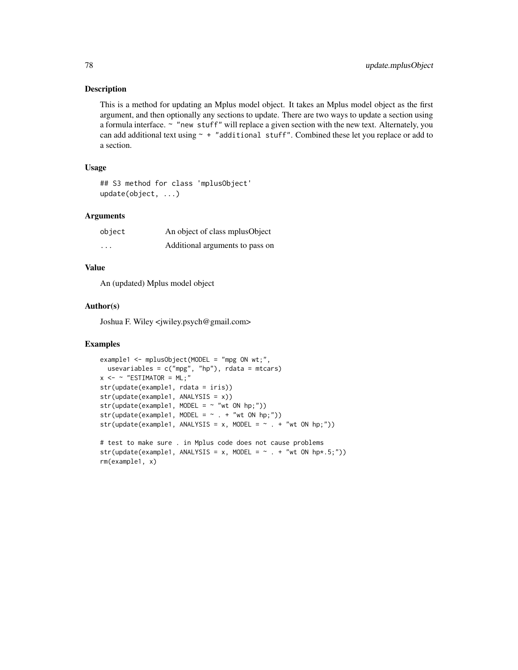## Description

This is a method for updating an Mplus model object. It takes an Mplus model object as the first argument, and then optionally any sections to update. There are two ways to update a section using a formula interface. ~ "new stuff" will replace a given section with the new text. Alternately, you can add additional text using  $\sim$  + "additional stuff". Combined these let you replace or add to a section.

## Usage

## S3 method for class 'mplusObject' update(object, ...)

## Arguments

| object  | An object of class mplus Object |
|---------|---------------------------------|
| $\cdot$ | Additional arguments to pass on |

## Value

An (updated) Mplus model object

## Author(s)

Joshua F. Wiley <jwiley.psych@gmail.com>

## Examples

```
example1 <- mplusObject(MODEL = "mpg ON wt;",
  usevariables = c("mpg", "hp"),rdata = mtcars)
x \le - \sim "ESTIMATOR = ML;"
str(update(example1, rdata = iris))
str(update(example1, ANALYSIS = x))
str(update(example1, MODEL = ~ "wt ON hp;"))str(update(example1, MODEL = ~ . + "wt ON hp;"))str(update(example1, ANALYSIS = x, MODEL = ~ . + "wt ON hp;"))# test to make sure . in Mplus code does not cause problems
str(update(example1, ANALYSIS = x, MODEL = \sim . + "wt ON hp*.5;"))
rm(example1, x)
```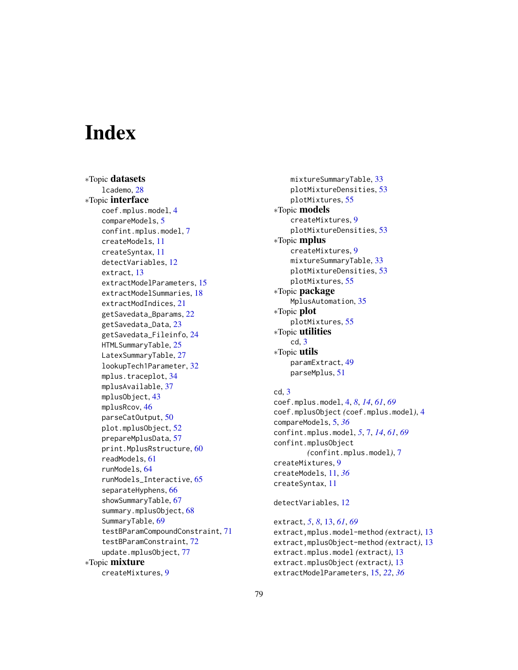# **Index**

∗Topic datasets lcademo, [28](#page-27-0) ∗Topic interface coef.mplus.model, [4](#page-3-0) compareModels, [5](#page-4-0) confint.mplus.model, [7](#page-6-0) createModels, [11](#page-10-0) createSyntax, [11](#page-10-0) detectVariables, [12](#page-11-0) extract, [13](#page-12-0) extractModelParameters, [15](#page-14-0) extractModelSummaries, [18](#page-17-0) extractModIndices, [21](#page-20-0) getSavedata\_Bparams, [22](#page-21-1) getSavedata\_Data, [23](#page-22-0) getSavedata\_Fileinfo, [24](#page-23-0) HTMLSummaryTable, [25](#page-24-0) LatexSummaryTable, [27](#page-26-0) lookupTech1Parameter, [32](#page-31-0) mplus.traceplot, [34](#page-33-0) mplusAvailable, [37](#page-36-0) mplusObject, [43](#page-42-0) mplusRcov, [46](#page-45-0) parseCatOutput, [50](#page-49-0) plot.mplusObject, [52](#page-51-0) prepareMplusData, [57](#page-56-0) print.MplusRstructure, [60](#page-59-0) readModels, [61](#page-60-1) runModels, [64](#page-63-0) runModels\_Interactive, [65](#page-64-0) separateHyphens, [66](#page-65-0) showSummaryTable, [67](#page-66-0) summary.mplusObject, [68](#page-67-0) SummaryTable, [69](#page-68-0) testBParamCompoundConstraint, [71](#page-70-1) testBParamConstraint, [72](#page-71-0) update.mplusObject, [77](#page-76-0) ∗Topic mixture createMixtures, [9](#page-8-0)

mixtureSummaryTable, [33](#page-32-0) plotMixtureDensities, [53](#page-52-0) plotMixtures, [55](#page-54-0) ∗Topic models createMixtures, [9](#page-8-0) plotMixtureDensities, [53](#page-52-0) ∗Topic mplus createMixtures, [9](#page-8-0) mixtureSummaryTable, [33](#page-32-0) plotMixtureDensities, [53](#page-52-0) plotMixtures, [55](#page-54-0) ∗Topic package MplusAutomation, [35](#page-34-0) ∗Topic plot plotMixtures, [55](#page-54-0) ∗Topic utilities cd, [3](#page-2-0) ∗Topic utils paramExtract, [49](#page-48-0) parseMplus, [51](#page-50-0) cd, [3](#page-2-0)

coef.mplus.model, [4,](#page-3-0) *[8](#page-7-0)*, *[14](#page-13-0)*, *[61](#page-60-1)*, *[69](#page-68-0)* coef.mplusObject *(*coef.mplus.model*)*, [4](#page-3-0) compareModels, [5,](#page-4-0) *[36](#page-35-0)* confint.mplus.model, *[5](#page-4-0)*, [7,](#page-6-0) *[14](#page-13-0)*, *[61](#page-60-1)*, *[69](#page-68-0)* confint.mplusObject *(*confint.mplus.model*)*, [7](#page-6-0) createMixtures, [9](#page-8-0) createModels, [11,](#page-10-0) *[36](#page-35-0)* createSyntax, [11](#page-10-0)

detectVariables, [12](#page-11-0)

extract, *[5](#page-4-0)*, *[8](#page-7-0)*, [13,](#page-12-0) *[61](#page-60-1)*, *[69](#page-68-0)* extract,mplus.model-method *(*extract*)*, [13](#page-12-0) extract,mplusObject-method *(*extract*)*, [13](#page-12-0) extract.mplus.model *(*extract*)*, [13](#page-12-0) extract.mplusObject *(*extract*)*, [13](#page-12-0) extractModelParameters, [15,](#page-14-0) *[22](#page-21-1)*, *[36](#page-35-0)*